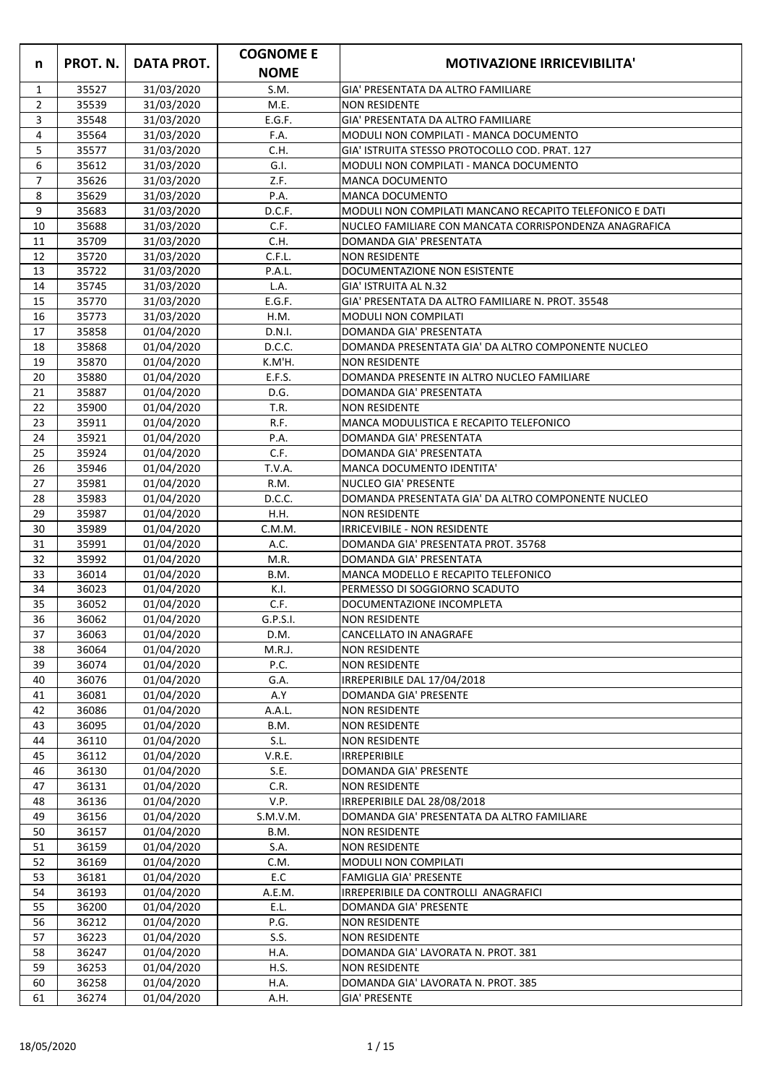|                |                |                          | <b>COGNOME E</b> |                                                                 |
|----------------|----------------|--------------------------|------------------|-----------------------------------------------------------------|
| $\mathsf{n}$   | PROT. N.       | <b>DATA PROT.</b>        | <b>NOME</b>      | <b>MOTIVAZIONE IRRICEVIBILITA'</b>                              |
| $\mathbf{1}$   | 35527          | 31/03/2020               | S.M.             | GIA' PRESENTATA DA ALTRO FAMILIARE                              |
| $2^{\circ}$    | 35539          | 31/03/2020               | M.E.             | <b>NON RESIDENTE</b>                                            |
| 3              | 35548          | 31/03/2020               | E.G.F.           | GIA' PRESENTATA DA ALTRO FAMILIARE                              |
| 4              | 35564          | 31/03/2020               | F.A.             | MODULI NON COMPILATI - MANCA DOCUMENTO                          |
| 5              | 35577          | 31/03/2020               | C.H.             | IGIA' ISTRUITA STESSO PROTOCOLLO COD. PRAT. 127                 |
| 6              | 35612          | 31/03/2020               | G.I.             | MODULI NON COMPILATI - MANCA DOCUMENTO                          |
| $\overline{7}$ | 35626          | 31/03/2020               | Z.F.             | <b>MANCA DOCUMENTO</b>                                          |
| 8              | 35629          | 31/03/2020               | P.A.             | <b>MANCA DOCUMENTO</b>                                          |
| 9              | 35683          | 31/03/2020               | D.C.F.           | MODULI NON COMPILATI MANCANO RECAPITO TELEFONICO E DATI         |
| 10             | 35688          | 31/03/2020               | C.F.             | NUCLEO FAMILIARE CON MANCATA CORRISPONDENZA ANAGRAFICA          |
| 11             | 35709          | 31/03/2020               | C.H.             | DOMANDA GIA' PRESENTATA                                         |
| 12             | 35720          | 31/03/2020               | C.F.L.           | <b>NON RESIDENTE</b>                                            |
| 13             | 35722          | 31/03/2020               | P.A.L.           | DOCUMENTAZIONE NON ESISTENTE                                    |
| 14             | 35745          | 31/03/2020               | L.A.             | GIA' ISTRUITA AL N.32                                           |
| 15             | 35770          | 31/03/2020               | E.G.F.           | GIA' PRESENTATA DA ALTRO FAMILIARE N. PROT. 35548               |
| 16             | 35773          | 31/03/2020               | H.M.             | <b>MODULI NON COMPILATI</b>                                     |
| 17             | 35858          | 01/04/2020               | D.N.I.           | DOMANDA GIA' PRESENTATA                                         |
| 18             | 35868          | 01/04/2020               | D.C.C.           | DOMANDA PRESENTATA GIA' DA ALTRO COMPONENTE NUCLEO              |
| 19             | 35870          | 01/04/2020               | K.M'H.           | <b>NON RESIDENTE</b>                                            |
| 20             | 35880          | 01/04/2020               | E.F.S.           | DOMANDA PRESENTE IN ALTRO NUCLEO FAMILIARE                      |
| 21             | 35887          | 01/04/2020               | D.G.             | DOMANDA GIA' PRESENTATA                                         |
| 22<br>23       | 35900<br>35911 | 01/04/2020               | T.R.<br>R.F.     | <b>NON RESIDENTE</b><br>MANCA MODULISTICA E RECAPITO TELEFONICO |
| 24             | 35921          | 01/04/2020<br>01/04/2020 | P.A.             | DOMANDA GIA' PRESENTATA                                         |
| 25             | 35924          | 01/04/2020               | C.F.             | DOMANDA GIA' PRESENTATA                                         |
| 26             | 35946          | 01/04/2020               | T.V.A.           | MANCA DOCUMENTO IDENTITA'                                       |
| 27             | 35981          | 01/04/2020               | R.M.             | <b>NUCLEO GIA' PRESENTE</b>                                     |
| 28             | 35983          | 01/04/2020               | D.C.C.           | DOMANDA PRESENTATA GIA' DA ALTRO COMPONENTE NUCLEO              |
| 29             | 35987          | 01/04/2020               | H.H.             | <b>NON RESIDENTE</b>                                            |
| 30             | 35989          | 01/04/2020               | C.M.M.           | <b>IRRICEVIBILE - NON RESIDENTE</b>                             |
| 31             | 35991          | 01/04/2020               | A.C.             | DOMANDA GIA' PRESENTATA PROT. 35768                             |
| 32             | 35992          | 01/04/2020               | M.R.             | DOMANDA GIA' PRESENTATA                                         |
| 33             | 36014          | 01/04/2020               | B.M.             | MANCA MODELLO E RECAPITO TELEFONICO                             |
| 34             | 36023          | 01/04/2020               | K.I.             | PERMESSO DI SOGGIORNO SCADUTO                                   |
| 35             | 36052          | 01/04/2020               | C.F.             | DOCUMENTAZIONE INCOMPLETA                                       |
| 36             | 36062          | 01/04/2020               | G.P.S.I.         | <b>NON RESIDENTE</b>                                            |
| 37             | 36063          | 01/04/2020               | D.M.             | <b>CANCELLATO IN ANAGRAFE</b>                                   |
| 38             | 36064          | 01/04/2020               | M.R.J.           | <b>NON RESIDENTE</b>                                            |
| 39             | 36074          | 01/04/2020               | P.C.             | <b>NON RESIDENTE</b>                                            |
| 40             | 36076          | 01/04/2020               | G.A.             | IRREPERIBILE DAL 17/04/2018                                     |
| 41             | 36081          | 01/04/2020               | A.Y              | <b>DOMANDA GIA' PRESENTE</b>                                    |
| 42             | 36086          | 01/04/2020               | A.A.L.           | <b>NON RESIDENTE</b>                                            |
| 43             | 36095          | 01/04/2020               | B.M.             | <b>NON RESIDENTE</b>                                            |
| 44             | 36110          | 01/04/2020               | S.L.             | <b>NON RESIDENTE</b>                                            |
| 45             | 36112          | 01/04/2020               | V.R.E.           | <b>IRREPERIBILE</b>                                             |
| 46             | 36130          | 01/04/2020               | S.E.             | DOMANDA GIA' PRESENTE                                           |
| 47             | 36131          | 01/04/2020               | C.R.             | <b>NON RESIDENTE</b>                                            |
| 48             | 36136          | 01/04/2020               | V.P.             | IRREPERIBILE DAL 28/08/2018                                     |
| 49             | 36156          | 01/04/2020               | S.M.V.M.         | DOMANDA GIA' PRESENTATA DA ALTRO FAMILIARE                      |
| 50             | 36157          | 01/04/2020               | B.M.             | <b>NON RESIDENTE</b>                                            |
| 51             | 36159          | 01/04/2020               | S.A.             | <b>NON RESIDENTE</b>                                            |
| 52             | 36169          | 01/04/2020               | C.M.             | <b>MODULI NON COMPILATI</b>                                     |
| 53             | 36181          | 01/04/2020               | E.C              | <b>FAMIGLIA GIA' PRESENTE</b>                                   |
| 54             | 36193          | 01/04/2020               | A.E.M.           | IRREPERIBILE DA CONTROLLI ANAGRAFICI                            |
| 55<br>56       | 36200<br>36212 | 01/04/2020               | E.L.<br>P.G.     | DOMANDA GIA' PRESENTE<br><b>NON RESIDENTE</b>                   |
| 57             | 36223          | 01/04/2020<br>01/04/2020 | S.S.             | <b>NON RESIDENTE</b>                                            |
| 58             | 36247          | 01/04/2020               | H.A.             | DOMANDA GIA' LAVORATA N. PROT. 381                              |
| 59             | 36253          | 01/04/2020               | H.S.             | <b>NON RESIDENTE</b>                                            |
| 60             | 36258          | 01/04/2020               | H.A.             | DOMANDA GIA' LAVORATA N. PROT. 385                              |
| 61             | 36274          | 01/04/2020               | A.H.             | <b>GIA' PRESENTE</b>                                            |
|                |                |                          |                  |                                                                 |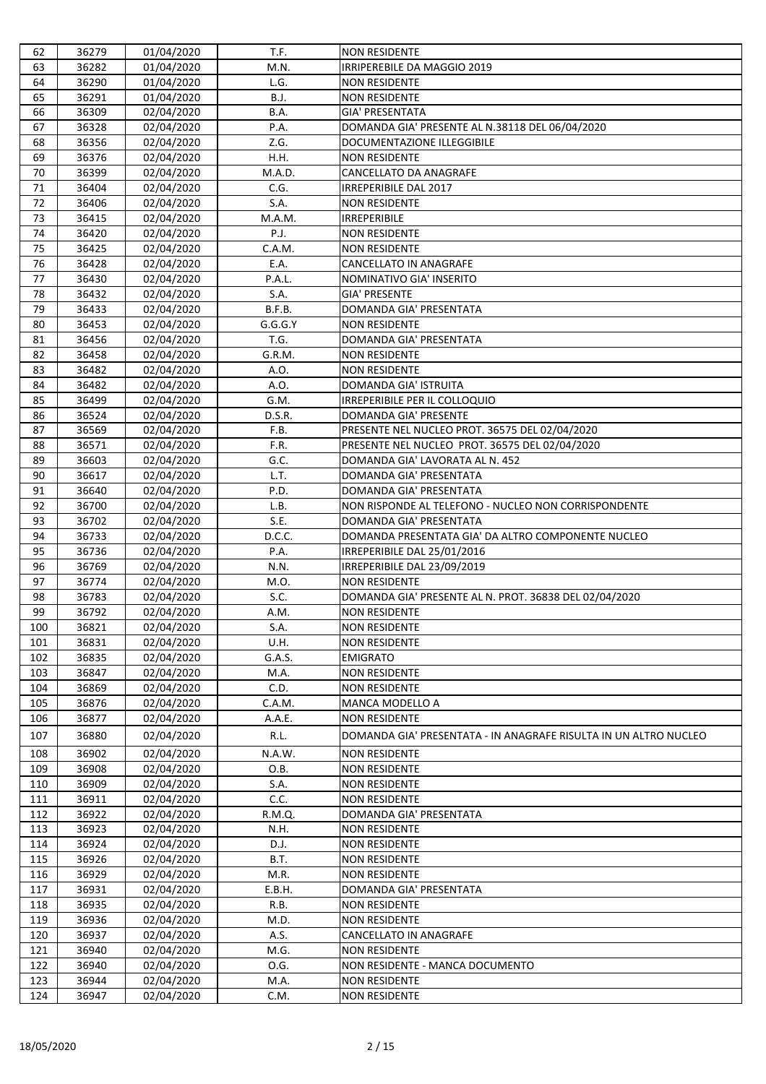| 62  | 36279 | 01/04/2020 | T.F.        | <b>NON RESIDENTE</b>                                             |
|-----|-------|------------|-------------|------------------------------------------------------------------|
| 63  | 36282 | 01/04/2020 | M.N.        | IRRIPEREBILE DA MAGGIO 2019                                      |
| 64  | 36290 | 01/04/2020 | L.G.        | <b>NON RESIDENTE</b>                                             |
| 65  | 36291 | 01/04/2020 | <b>B.J.</b> | <b>NON RESIDENTE</b>                                             |
| 66  | 36309 | 02/04/2020 | B.A.        | <b>GIA' PRESENTATA</b>                                           |
| 67  | 36328 | 02/04/2020 | P.A.        | DOMANDA GIA' PRESENTE AL N.38118 DEL 06/04/2020                  |
| 68  | 36356 | 02/04/2020 | Z.G.        | <b>DOCUMENTAZIONE ILLEGGIBILE</b>                                |
| 69  | 36376 | 02/04/2020 | H.H.        | <b>NON RESIDENTE</b>                                             |
| 70  | 36399 | 02/04/2020 | M.A.D.      | CANCELLATO DA ANAGRAFE                                           |
| 71  | 36404 | 02/04/2020 | C.G.        | IRREPERIBILE DAL 2017                                            |
| 72  | 36406 | 02/04/2020 | S.A.        | <b>NON RESIDENTE</b>                                             |
| 73  | 36415 | 02/04/2020 | M.A.M.      | <b>IRREPERIBILE</b>                                              |
| 74  | 36420 | 02/04/2020 | P.J.        | <b>NON RESIDENTE</b>                                             |
| 75  | 36425 | 02/04/2020 | C.A.M.      | <b>NON RESIDENTE</b>                                             |
| 76  | 36428 | 02/04/2020 | E.A.        | CANCELLATO IN ANAGRAFE                                           |
| 77  | 36430 | 02/04/2020 | P.A.L.      | NOMINATIVO GIA' INSERITO                                         |
| 78  | 36432 | 02/04/2020 | S.A.        | <b>GIA' PRESENTE</b>                                             |
| 79  | 36433 | 02/04/2020 | B.F.B.      | DOMANDA GIA' PRESENTATA                                          |
| 80  | 36453 | 02/04/2020 | G.G.G.Y     | <b>NON RESIDENTE</b>                                             |
| 81  | 36456 | 02/04/2020 | T.G.        | DOMANDA GIA' PRESENTATA                                          |
| 82  | 36458 | 02/04/2020 | G.R.M.      | <b>NON RESIDENTE</b>                                             |
| 83  | 36482 | 02/04/2020 | A.O.        | <b>NON RESIDENTE</b>                                             |
| 84  | 36482 | 02/04/2020 | A.O.        | DOMANDA GIA' ISTRUITA                                            |
| 85  | 36499 | 02/04/2020 | G.M.        | <b>IRREPERIBILE PER IL COLLOQUIO</b>                             |
| 86  | 36524 | 02/04/2020 | D.S.R.      | DOMANDA GIA' PRESENTE                                            |
| 87  | 36569 | 02/04/2020 | F.B.        | PRESENTE NEL NUCLEO PROT. 36575 DEL 02/04/2020                   |
| 88  | 36571 | 02/04/2020 | F.R.        | PRESENTE NEL NUCLEO PROT. 36575 DEL 02/04/2020                   |
| 89  | 36603 | 02/04/2020 | G.C.        | DOMANDA GIA' LAVORATA AL N. 452                                  |
| 90  | 36617 | 02/04/2020 | L.T.        | DOMANDA GIA' PRESENTATA                                          |
| 91  | 36640 | 02/04/2020 | P.D.        | DOMANDA GIA' PRESENTATA                                          |
| 92  | 36700 | 02/04/2020 | L.B.        | NON RISPONDE AL TELEFONO - NUCLEO NON CORRISPONDENTE             |
| 93  | 36702 | 02/04/2020 | S.E.        | DOMANDA GIA' PRESENTATA                                          |
| 94  | 36733 | 02/04/2020 | D.C.C.      | DOMANDA PRESENTATA GIA' DA ALTRO COMPONENTE NUCLEO               |
| 95  | 36736 | 02/04/2020 | P.A.        | IRREPERIBILE DAL 25/01/2016                                      |
| 96  | 36769 | 02/04/2020 | N.N.        | IRREPERIBILE DAL 23/09/2019                                      |
| 97  | 36774 | 02/04/2020 | M.O.        | <b>NON RESIDENTE</b>                                             |
| 98  | 36783 | 02/04/2020 | S.C.        | DOMANDA GIA' PRESENTE AL N. PROT. 36838 DEL 02/04/2020           |
| 99  | 36792 | 02/04/2020 | A.M.        | <b>NON RESIDENTE</b>                                             |
| 100 | 36821 | 02/04/2020 | S.A.        | <b>NON RESIDENTE</b>                                             |
| 101 | 36831 | 02/04/2020 | U.H.        | <b>NON RESIDENTE</b>                                             |
| 102 | 36835 | 02/04/2020 | G.A.S.      | <b>EMIGRATO</b>                                                  |
| 103 | 36847 | 02/04/2020 | M.A.        | <b>NON RESIDENTE</b>                                             |
| 104 | 36869 | 02/04/2020 | C.D.        | <b>NON RESIDENTE</b>                                             |
| 105 | 36876 | 02/04/2020 | C.A.M.      | MANCA MODELLO A                                                  |
| 106 | 36877 | 02/04/2020 | A.A.E.      | <b>NON RESIDENTE</b>                                             |
| 107 | 36880 | 02/04/2020 | R.L.        | DOMANDA GIA' PRESENTATA - IN ANAGRAFE RISULTA IN UN ALTRO NUCLEO |
| 108 | 36902 | 02/04/2020 | N.A.W.      | <b>NON RESIDENTE</b>                                             |
| 109 | 36908 | 02/04/2020 | O.B.        | <b>NON RESIDENTE</b>                                             |
| 110 | 36909 | 02/04/2020 | S.A.        | <b>NON RESIDENTE</b>                                             |
| 111 | 36911 | 02/04/2020 | C.C.        | <b>NON RESIDENTE</b>                                             |
| 112 | 36922 | 02/04/2020 | R.M.Q.      | DOMANDA GIA' PRESENTATA                                          |
| 113 | 36923 | 02/04/2020 | N.H.        | <b>NON RESIDENTE</b>                                             |
| 114 | 36924 | 02/04/2020 | D.J.        | <b>NON RESIDENTE</b>                                             |
| 115 | 36926 | 02/04/2020 | B.T.        | <b>NON RESIDENTE</b>                                             |
| 116 | 36929 | 02/04/2020 | M.R.        | <b>NON RESIDENTE</b>                                             |
| 117 | 36931 | 02/04/2020 | E.B.H.      | DOMANDA GIA' PRESENTATA                                          |
| 118 | 36935 | 02/04/2020 | R.B.        | <b>NON RESIDENTE</b>                                             |
| 119 | 36936 | 02/04/2020 | M.D.        | <b>NON RESIDENTE</b>                                             |
| 120 | 36937 | 02/04/2020 | A.S.        | CANCELLATO IN ANAGRAFE                                           |
| 121 | 36940 | 02/04/2020 | M.G.        | <b>NON RESIDENTE</b>                                             |
| 122 | 36940 | 02/04/2020 | O.G.        | NON RESIDENTE - MANCA DOCUMENTO                                  |
| 123 | 36944 | 02/04/2020 | M.A.        | <b>NON RESIDENTE</b>                                             |
| 124 | 36947 | 02/04/2020 | C.M.        | <b>NON RESIDENTE</b>                                             |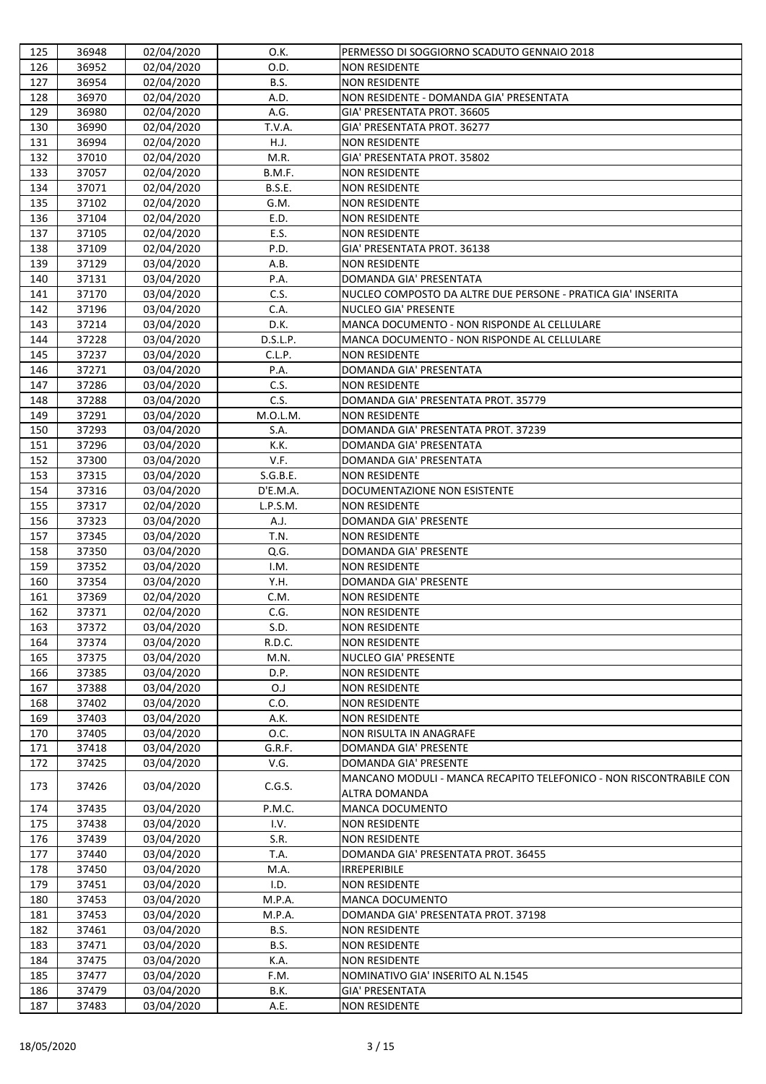| 125        | 36948          | 02/04/2020               | O.K.          | PERMESSO DI SOGGIORNO SCADUTO GENNAIO 2018                                                  |
|------------|----------------|--------------------------|---------------|---------------------------------------------------------------------------------------------|
| 126        | 36952          | 02/04/2020               | O.D.          | <b>NON RESIDENTE</b>                                                                        |
| 127        | 36954          | 02/04/2020               | B.S.          | <b>NON RESIDENTE</b>                                                                        |
| 128        | 36970          | 02/04/2020               | A.D.          | NON RESIDENTE - DOMANDA GIA' PRESENTATA                                                     |
| 129        | 36980          | 02/04/2020               | A.G.          | GIA' PRESENTATA PROT. 36605                                                                 |
| 130        | 36990          | 02/04/2020               | T.V.A.        | GIA' PRESENTATA PROT. 36277                                                                 |
| 131        | 36994          | 02/04/2020               | H.J.          | <b>NON RESIDENTE</b>                                                                        |
| 132        | 37010          | 02/04/2020               | M.R.          | GIA' PRESENTATA PROT. 35802                                                                 |
| 133        | 37057          | 02/04/2020               | B.M.F.        | <b>NON RESIDENTE</b>                                                                        |
| 134        | 37071          | 02/04/2020               | <b>B.S.E.</b> | <b>NON RESIDENTE</b>                                                                        |
| 135        | 37102          | 02/04/2020               | G.M.          | <b>NON RESIDENTE</b>                                                                        |
| 136        | 37104          | 02/04/2020               | E.D.          | <b>NON RESIDENTE</b>                                                                        |
| 137        | 37105          | 02/04/2020               | E.S.          | <b>NON RESIDENTE</b>                                                                        |
| 138        | 37109          | 02/04/2020               | P.D.          | GIA' PRESENTATA PROT. 36138                                                                 |
| 139        | 37129<br>37131 | 03/04/2020               | A.B.          | <b>NON RESIDENTE</b>                                                                        |
| 140        |                | 03/04/2020               | P.A.          | DOMANDA GIA' PRESENTATA                                                                     |
| 141        | 37170          | 03/04/2020               | C.S.<br>C.A.  | NUCLEO COMPOSTO DA ALTRE DUE PERSONE - PRATICA GIA' INSERITA<br><b>NUCLEO GIA' PRESENTE</b> |
| 142<br>143 | 37196<br>37214 | 03/04/2020               | D.K.          | MANCA DOCUMENTO - NON RISPONDE AL CELLULARE                                                 |
| 144        | 37228          | 03/04/2020<br>03/04/2020 | D.S.L.P.      | MANCA DOCUMENTO - NON RISPONDE AL CELLULARE                                                 |
| 145        | 37237          | 03/04/2020               | C.L.P.        | <b>NON RESIDENTE</b>                                                                        |
| 146        | 37271          | 03/04/2020               | P.A.          | DOMANDA GIA' PRESENTATA                                                                     |
| 147        | 37286          | 03/04/2020               | C.S.          | <b>NON RESIDENTE</b>                                                                        |
| 148        | 37288          | 03/04/2020               | C.S.          | DOMANDA GIA' PRESENTATA PROT. 35779                                                         |
| 149        | 37291          | 03/04/2020               | M.O.L.M.      | <b>NON RESIDENTE</b>                                                                        |
| 150        | 37293          | 03/04/2020               | S.A.          | DOMANDA GIA' PRESENTATA PROT. 37239                                                         |
| 151        | 37296          | 03/04/2020               | K.K.          | DOMANDA GIA' PRESENTATA                                                                     |
| 152        | 37300          | 03/04/2020               | V.F.          | DOMANDA GIA' PRESENTATA                                                                     |
| 153        | 37315          | 03/04/2020               | S.G.B.E.      | <b>NON RESIDENTE</b>                                                                        |
| 154        | 37316          | 03/04/2020               | D'E.M.A.      | DOCUMENTAZIONE NON ESISTENTE                                                                |
| 155        | 37317          | 02/04/2020               | L.P.S.M.      | <b>NON RESIDENTE</b>                                                                        |
| 156        | 37323          | 03/04/2020               | A.J.          | DOMANDA GIA' PRESENTE                                                                       |
| 157        | 37345          | 03/04/2020               | T.N.          | <b>NON RESIDENTE</b>                                                                        |
| 158        | 37350          | 03/04/2020               | Q.G.          | <b>DOMANDA GIA' PRESENTE</b>                                                                |
| 159        | 37352          | 03/04/2020               | I.M.          | <b>NON RESIDENTE</b>                                                                        |
| 160        | 37354          | 03/04/2020               | Y.H.          | DOMANDA GIA' PRESENTE                                                                       |
| 161        | 37369          | 02/04/2020               | C.M.          | <b>NON RESIDENTE</b>                                                                        |
| 162        | 37371          | 02/04/2020               | C.G.          | <b>NON RESIDENTE</b>                                                                        |
| 163        | 37372          | 03/04/2020               | S.D.          | <b>NON RESIDENTE</b>                                                                        |
| 164        | 37374          | 03/04/2020               | R.D.C.        | <b>NON RESIDENTE</b>                                                                        |
| 165        | 37375          | 03/04/2020               | M.N.          | <b>NUCLEO GIA' PRESENTE</b>                                                                 |
| 166        | 37385          | 03/04/2020               | D.P.          | <b>NON RESIDENTE</b>                                                                        |
| 167        | 37388          | 03/04/2020               | O.J           | <b>NON RESIDENTE</b>                                                                        |
| 168        | 37402          | 03/04/2020               | C.O.          | <b>NON RESIDENTE</b>                                                                        |
| 169        | 37403          | 03/04/2020               | A.K.          | <b>NON RESIDENTE</b>                                                                        |
| 170        | 37405          | 03/04/2020               | O.C.          | <b>NON RISULTA IN ANAGRAFE</b>                                                              |
| 171        | 37418          | 03/04/2020               | G.R.F.        | <b>DOMANDA GIA' PRESENTE</b>                                                                |
| 172        | 37425          | 03/04/2020               | V.G.          | DOMANDA GIA' PRESENTE                                                                       |
| 173        | 37426          | 03/04/2020               | C.G.S.        | MANCANO MODULI - MANCA RECAPITO TELEFONICO - NON RISCONTRABILE CON<br><b>ALTRA DOMANDA</b>  |
| 174        | 37435          | 03/04/2020               | P.M.C.        | <b>MANCA DOCUMENTO</b>                                                                      |
| 175        | 37438          | 03/04/2020               | I.V.          | <b>NON RESIDENTE</b>                                                                        |
| 176        | 37439          | 03/04/2020               | S.R.          | <b>NON RESIDENTE</b>                                                                        |
| 177        | 37440          | 03/04/2020               | T.A.          | DOMANDA GIA' PRESENTATA PROT. 36455                                                         |
| 178        | 37450          | 03/04/2020               | M.A.          | <b>IRREPERIBILE</b>                                                                         |
| 179        | 37451          | 03/04/2020               | I.D.          | <b>NON RESIDENTE</b>                                                                        |
| 180        | 37453          | 03/04/2020               | M.P.A.        | <b>MANCA DOCUMENTO</b>                                                                      |
| 181        | 37453          | 03/04/2020               | M.P.A.        | DOMANDA GIA' PRESENTATA PROT. 37198                                                         |
| 182        | 37461          | 03/04/2020               | B.S.          | <b>NON RESIDENTE</b>                                                                        |
| 183        | 37471          | 03/04/2020               | B.S.          | <b>NON RESIDENTE</b>                                                                        |
| 184        | 37475          | 03/04/2020               | K.A.          | <b>NON RESIDENTE</b>                                                                        |
| 185        | 37477          | 03/04/2020               | F.M.          | NOMINATIVO GIA' INSERITO AL N.1545                                                          |
| 186        | 37479          | 03/04/2020               | B.K.          | <b>GIA' PRESENTATA</b>                                                                      |
| 187        | 37483          | 03/04/2020               | A.E.          | NON RESIDENTE                                                                               |
|            |                |                          |               |                                                                                             |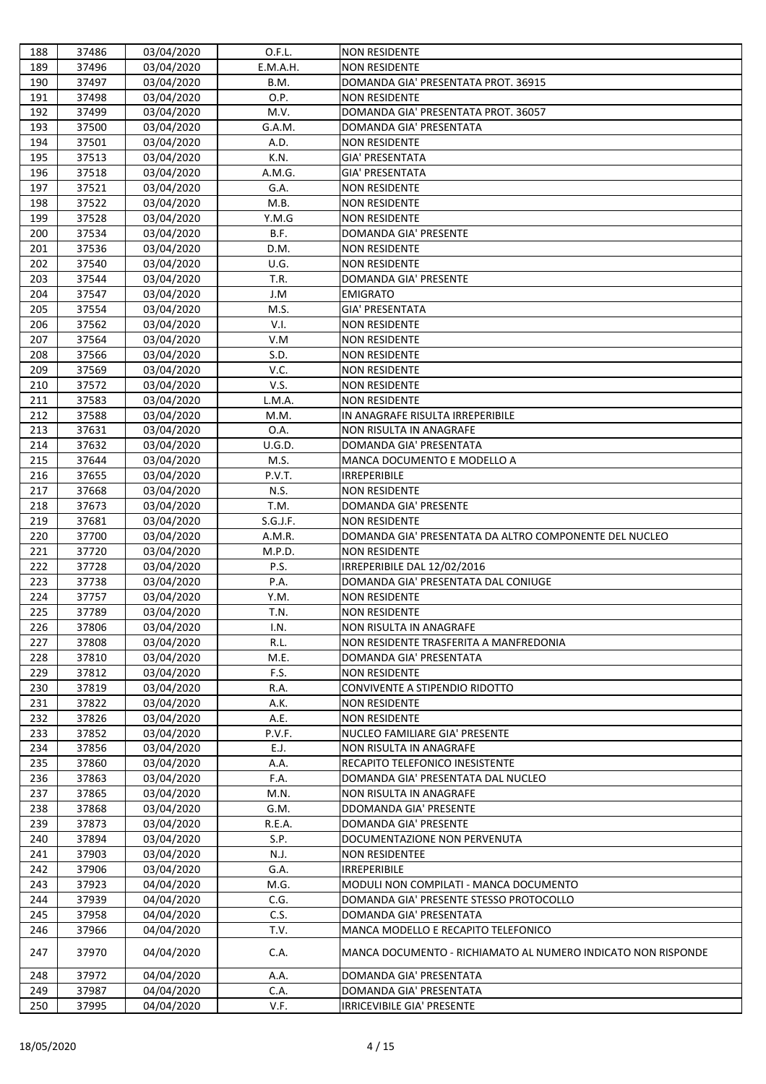| 188 | 37486 | 03/04/2020 | O.F.L.   | <b>NON RESIDENTE</b>                                         |
|-----|-------|------------|----------|--------------------------------------------------------------|
| 189 | 37496 | 03/04/2020 | E.M.A.H. | <b>NON RESIDENTE</b>                                         |
| 190 | 37497 | 03/04/2020 | B.M.     | DOMANDA GIA' PRESENTATA PROT. 36915                          |
| 191 | 37498 | 03/04/2020 | O.P.     | <b>NON RESIDENTE</b>                                         |
| 192 | 37499 | 03/04/2020 | M.V.     | DOMANDA GIA' PRESENTATA PROT. 36057                          |
| 193 | 37500 | 03/04/2020 | G.A.M.   | DOMANDA GIA' PRESENTATA                                      |
| 194 | 37501 | 03/04/2020 | A.D.     | <b>NON RESIDENTE</b>                                         |
| 195 | 37513 | 03/04/2020 | K.N.     | <b>GIA' PRESENTATA</b>                                       |
| 196 | 37518 | 03/04/2020 | A.M.G.   | <b>GIA' PRESENTATA</b>                                       |
| 197 | 37521 | 03/04/2020 | G.A.     | <b>NON RESIDENTE</b>                                         |
| 198 | 37522 | 03/04/2020 | M.B.     | <b>NON RESIDENTE</b>                                         |
| 199 | 37528 | 03/04/2020 | Y.M.G    | <b>NON RESIDENTE</b>                                         |
| 200 | 37534 | 03/04/2020 | B.F.     | <b>DOMANDA GIA' PRESENTE</b>                                 |
| 201 | 37536 | 03/04/2020 | D.M.     | <b>NON RESIDENTE</b>                                         |
| 202 | 37540 | 03/04/2020 | U.G.     | <b>NON RESIDENTE</b>                                         |
| 203 | 37544 | 03/04/2020 | T.R.     | <b>DOMANDA GIA' PRESENTE</b>                                 |
| 204 | 37547 | 03/04/2020 | J.M      | <b>EMIGRATO</b>                                              |
| 205 | 37554 | 03/04/2020 | M.S.     | <b>GIA' PRESENTATA</b>                                       |
| 206 | 37562 | 03/04/2020 | V.I.     | <b>NON RESIDENTE</b>                                         |
| 207 | 37564 | 03/04/2020 | V.M      | <b>NON RESIDENTE</b>                                         |
| 208 | 37566 | 03/04/2020 | S.D.     | <b>NON RESIDENTE</b>                                         |
| 209 | 37569 | 03/04/2020 | V.C.     | <b>NON RESIDENTE</b>                                         |
| 210 | 37572 | 03/04/2020 | V.S.     | <b>NON RESIDENTE</b>                                         |
| 211 | 37583 | 03/04/2020 | L.M.A.   | <b>NON RESIDENTE</b>                                         |
| 212 | 37588 | 03/04/2020 | M.M.     | IN ANAGRAFE RISULTA IRREPERIBILE                             |
| 213 | 37631 | 03/04/2020 | O.A.     | <b>NON RISULTA IN ANAGRAFE</b>                               |
| 214 | 37632 | 03/04/2020 | U.G.D.   | DOMANDA GIA' PRESENTATA                                      |
| 215 | 37644 | 03/04/2020 | M.S.     | MANCA DOCUMENTO E MODELLO A                                  |
| 216 | 37655 | 03/04/2020 | P.V.T.   | <b>IRREPERIBILE</b>                                          |
| 217 | 37668 | 03/04/2020 | N.S.     | <b>NON RESIDENTE</b>                                         |
| 218 | 37673 | 03/04/2020 | T.M.     | <b>DOMANDA GIA' PRESENTE</b>                                 |
| 219 | 37681 | 03/04/2020 | S.G.J.F. | <b>NON RESIDENTE</b>                                         |
| 220 | 37700 | 03/04/2020 | A.M.R.   | DOMANDA GIA' PRESENTATA DA ALTRO COMPONENTE DEL NUCLEO       |
| 221 | 37720 | 03/04/2020 | M.P.D.   | <b>NON RESIDENTE</b>                                         |
| 222 | 37728 | 03/04/2020 | P.S.     | IRREPERIBILE DAL 12/02/2016                                  |
| 223 | 37738 | 03/04/2020 | P.A.     | DOMANDA GIA' PRESENTATA DAL CONIUGE                          |
| 224 | 37757 | 03/04/2020 | Y.M.     | <b>NON RESIDENTE</b>                                         |
| 225 | 37789 | 03/04/2020 | T.N.     | <b>NON RESIDENTE</b>                                         |
| 226 | 37806 | 03/04/2020 | I.N.     | <b>NON RISULTA IN ANAGRAFE</b>                               |
| 227 | 37808 | 03/04/2020 | R.L.     | NON RESIDENTE TRASFERITA A MANFREDONIA                       |
| 228 | 37810 | 03/04/2020 | M.E.     | DOMANDA GIA' PRESENTATA                                      |
| 229 | 37812 | 03/04/2020 | F.S.     | <b>NON RESIDENTE</b>                                         |
| 230 | 37819 | 03/04/2020 | R.A.     | CONVIVENTE A STIPENDIO RIDOTTO                               |
| 231 | 37822 | 03/04/2020 | A.K.     | <b>NON RESIDENTE</b>                                         |
| 232 | 37826 | 03/04/2020 | A.E.     | <b>NON RESIDENTE</b>                                         |
| 233 | 37852 | 03/04/2020 | P.V.F.   | NUCLEO FAMILIARE GIA' PRESENTE                               |
| 234 | 37856 | 03/04/2020 | E.J.     | <b>NON RISULTA IN ANAGRAFE</b>                               |
| 235 | 37860 | 03/04/2020 | A.A.     | RECAPITO TELEFONICO INESISTENTE                              |
| 236 | 37863 | 03/04/2020 | F.A.     | DOMANDA GIA' PRESENTATA DAL NUCLEO                           |
| 237 | 37865 | 03/04/2020 | M.N.     | NON RISULTA IN ANAGRAFE                                      |
| 238 | 37868 | 03/04/2020 | G.M.     | <b>DDOMANDA GIA' PRESENTE</b>                                |
| 239 | 37873 | 03/04/2020 | R.E.A.   | <b>DOMANDA GIA' PRESENTE</b>                                 |
| 240 | 37894 | 03/04/2020 | S.P.     | DOCUMENTAZIONE NON PERVENUTA                                 |
| 241 | 37903 | 03/04/2020 | N.J.     | <b>NON RESIDENTEE</b>                                        |
| 242 | 37906 | 03/04/2020 | G.A.     | <b>IRREPERIBILE</b>                                          |
| 243 | 37923 | 04/04/2020 | M.G.     | MODULI NON COMPILATI - MANCA DOCUMENTO                       |
| 244 | 37939 | 04/04/2020 | C.G.     | DOMANDA GIA' PRESENTE STESSO PROTOCOLLO                      |
| 245 | 37958 | 04/04/2020 | C.S.     | DOMANDA GIA' PRESENTATA                                      |
| 246 | 37966 | 04/04/2020 | T.V.     | MANCA MODELLO E RECAPITO TELEFONICO                          |
| 247 | 37970 | 04/04/2020 | C.A.     | MANCA DOCUMENTO - RICHIAMATO AL NUMERO INDICATO NON RISPONDE |
| 248 | 37972 | 04/04/2020 | A.A.     | DOMANDA GIA' PRESENTATA                                      |
| 249 | 37987 | 04/04/2020 | C.A.     | DOMANDA GIA' PRESENTATA                                      |
| 250 | 37995 | 04/04/2020 | V.F.     | <b>IRRICEVIBILE GIA' PRESENTE</b>                            |
|     |       |            |          |                                                              |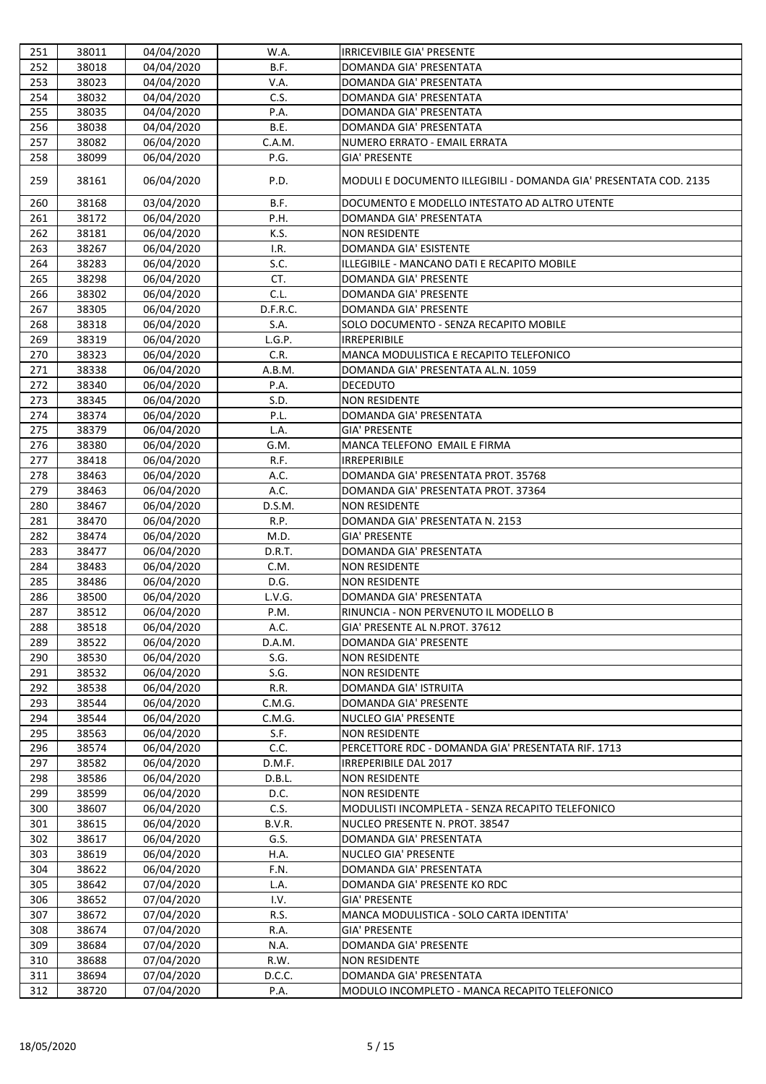| 252<br>38018<br>B.F.<br>DOMANDA GIA' PRESENTATA<br>04/04/2020<br>38023<br>04/04/2020<br>V.A.<br>DOMANDA GIA' PRESENTATA<br>253<br>38032<br>C.S.<br>254<br>04/04/2020<br>DOMANDA GIA' PRESENTATA<br>255<br>38035<br>P.A.<br>DOMANDA GIA' PRESENTATA<br>04/04/2020<br>38038<br>04/04/2020<br>B.E.<br>DOMANDA GIA' PRESENTATA<br>256<br>257<br>38082<br>06/04/2020<br>C.A.M.<br>NUMERO ERRATO - EMAIL ERRATA<br>P.G.<br>258<br>38099<br>06/04/2020<br><b>GIA' PRESENTE</b><br>06/04/2020<br>259<br>38161<br>P.D.<br>MODULI E DOCUMENTO ILLEGIBILI - DOMANDA GIA' PRESENTATA COD. 2135<br>B.F.<br>38168<br>03/04/2020<br>DOCUMENTO E MODELLO INTESTATO AD ALTRO UTENTE<br>260<br>38172<br>06/04/2020<br>P.H.<br>DOMANDA GIA' PRESENTATA<br>261<br>K.S.<br>262<br>38181<br>06/04/2020<br><b>NON RESIDENTE</b><br>38267<br>06/04/2020<br>I.R.<br>DOMANDA GIA' ESISTENTE<br>263<br>S.C.<br>38283<br>264<br>06/04/2020<br>ILLEGIBILE - MANCANO DATI E RECAPITO MOBILE<br>CT.<br>265<br>38298<br><b>DOMANDA GIA' PRESENTE</b><br>06/04/2020<br>38302<br>06/04/2020<br>C.L.<br><b>DOMANDA GIA' PRESENTE</b><br>266<br>267<br>38305<br>06/04/2020<br>D.F.R.C.<br><b>DOMANDA GIA' PRESENTE</b><br>268<br>38318<br>06/04/2020<br>S.A.<br>SOLO DOCUMENTO - SENZA RECAPITO MOBILE<br>L.G.P.<br>269<br>38319<br>06/04/2020<br><b>IRREPERIBILE</b><br>38323<br>06/04/2020<br>C.R.<br>MANCA MODULISTICA E RECAPITO TELEFONICO<br>270<br>38338<br>06/04/2020<br>A.B.M.<br>271<br>DOMANDA GIA' PRESENTATA AL.N. 1059<br>38340<br>06/04/2020<br>P.A.<br><b>DECEDUTO</b><br>272<br><b>NON RESIDENTE</b><br>273<br>38345<br>06/04/2020<br>S.D.<br>38374<br>06/04/2020<br>P.L.<br>DOMANDA GIA' PRESENTATA<br>274<br>38379<br><b>GIA' PRESENTE</b><br>275<br>06/04/2020<br>L.A.<br>38380<br>MANCA TELEFONO EMAIL E FIRMA<br>276<br>06/04/2020<br>G.M.<br>38418<br>06/04/2020<br>R.F.<br><b>IRREPERIBILE</b><br>277<br>38463<br>06/04/2020<br>A.C.<br>DOMANDA GIA' PRESENTATA PROT. 35768<br>278<br>A.C.<br>279<br>38463<br>06/04/2020<br>DOMANDA GIA' PRESENTATA PROT. 37364<br>06/04/2020<br>38467<br>D.S.M.<br>280<br><b>NON RESIDENTE</b><br>281<br>38470<br>06/04/2020<br>R.P.<br>DOMANDA GIA' PRESENTATA N. 2153<br>282<br>38474<br>06/04/2020<br>M.D.<br><b>GIA' PRESENTE</b><br>38477<br>D.R.T.<br>DOMANDA GIA' PRESENTATA<br>283<br>06/04/2020<br>284<br>38483<br>C.M.<br><b>NON RESIDENTE</b><br>06/04/2020<br>38486<br>06/04/2020<br>D.G.<br>285<br><b>NON RESIDENTE</b><br>38500<br>L.V.G.<br>DOMANDA GIA' PRESENTATA<br>286<br>06/04/2020<br>38512<br>P.M.<br>RINUNCIA - NON PERVENUTO IL MODELLO B<br>287<br>06/04/2020<br>A.C.<br>38518<br>06/04/2020<br>GIA' PRESENTE AL N.PROT. 37612<br>288<br>289<br>38522<br>06/04/2020<br>D.A.M.<br>DOMANDA GIA' PRESENTE<br>38530<br>290<br>06/04/2020<br>S.G.<br><b>NON RESIDENTE</b><br>38532<br>06/04/2020<br>S.G.<br>291<br><b>NON RESIDENTE</b><br>292<br>38538<br>06/04/2020<br>R.R.<br><b>DOMANDA GIA' ISTRUITA</b><br>38544<br>06/04/2020<br>C.M.G.<br><b>DOMANDA GIA' PRESENTE</b><br>293<br>294<br>38544<br>06/04/2020<br>C.M.G.<br><b>NUCLEO GIA' PRESENTE</b><br>38563<br>06/04/2020<br>S.F.<br><b>NON RESIDENTE</b><br>295<br>C.C.<br>38574<br>PERCETTORE RDC - DOMANDA GIA' PRESENTATA RIF. 1713<br>296<br>06/04/2020<br>297<br>38582<br>06/04/2020<br>D.M.F.<br>IRREPERIBILE DAL 2017<br>298<br>38586<br>06/04/2020<br>D.B.L.<br><b>NON RESIDENTE</b><br>38599<br>06/04/2020<br>D.C.<br>299<br><b>NON RESIDENTE</b><br>C.S.<br>MODULISTI INCOMPLETA - SENZA RECAPITO TELEFONICO<br>300<br>38607<br>06/04/2020<br>38615<br>B.V.R.<br>NUCLEO PRESENTE N. PROT. 38547<br>301<br>06/04/2020<br>38617<br>06/04/2020<br>G.S.<br>DOMANDA GIA' PRESENTATA<br>302<br>38619<br><b>NUCLEO GIA' PRESENTE</b><br>303<br>06/04/2020<br>H.A.<br>38622<br>06/04/2020<br>F.N.<br>DOMANDA GIA' PRESENTATA<br>304<br>305<br>38642<br>07/04/2020<br>L.A.<br>DOMANDA GIA' PRESENTE KO RDC<br><b>GIA' PRESENTE</b><br>306<br>38652<br>07/04/2020<br>I.V.<br>38672<br>07/04/2020<br>R.S.<br>MANCA MODULISTICA - SOLO CARTA IDENTITA'<br>307<br>308<br>38674<br>R.A.<br><b>GIA' PRESENTE</b><br>07/04/2020<br><b>DOMANDA GIA' PRESENTE</b><br>309<br>38684<br>07/04/2020<br>N.A.<br>38688<br>07/04/2020<br>R.W.<br><b>NON RESIDENTE</b><br>310<br>D.C.C.<br>38694<br>07/04/2020<br>DOMANDA GIA' PRESENTATA<br>311<br>312<br>38720<br>07/04/2020<br>P.A.<br>MODULO INCOMPLETO - MANCA RECAPITO TELEFONICO | 251 | 38011 | 04/04/2020 | W.A. | <b>IRRICEVIBILE GIA' PRESENTE</b> |
|-----------------------------------------------------------------------------------------------------------------------------------------------------------------------------------------------------------------------------------------------------------------------------------------------------------------------------------------------------------------------------------------------------------------------------------------------------------------------------------------------------------------------------------------------------------------------------------------------------------------------------------------------------------------------------------------------------------------------------------------------------------------------------------------------------------------------------------------------------------------------------------------------------------------------------------------------------------------------------------------------------------------------------------------------------------------------------------------------------------------------------------------------------------------------------------------------------------------------------------------------------------------------------------------------------------------------------------------------------------------------------------------------------------------------------------------------------------------------------------------------------------------------------------------------------------------------------------------------------------------------------------------------------------------------------------------------------------------------------------------------------------------------------------------------------------------------------------------------------------------------------------------------------------------------------------------------------------------------------------------------------------------------------------------------------------------------------------------------------------------------------------------------------------------------------------------------------------------------------------------------------------------------------------------------------------------------------------------------------------------------------------------------------------------------------------------------------------------------------------------------------------------------------------------------------------------------------------------------------------------------------------------------------------------------------------------------------------------------------------------------------------------------------------------------------------------------------------------------------------------------------------------------------------------------------------------------------------------------------------------------------------------------------------------------------------------------------------------------------------------------------------------------------------------------------------------------------------------------------------------------------------------------------------------------------------------------------------------------------------------------------------------------------------------------------------------------------------------------------------------------------------------------------------------------------------------------------------------------------------------------------------------------------------------------------------------------------------------------------------------------------------------------------------------------------------------------------------------------------------------------------------------------------------------------------------------------------------------------------------------------------------------------------------------------------------------------------------------------------------------------------------------------------------------------------------------------------------------------------------------------------------------------------------------------------------------------------------------------------------------------------------------------------------------------------|-----|-------|------------|------|-----------------------------------|
|                                                                                                                                                                                                                                                                                                                                                                                                                                                                                                                                                                                                                                                                                                                                                                                                                                                                                                                                                                                                                                                                                                                                                                                                                                                                                                                                                                                                                                                                                                                                                                                                                                                                                                                                                                                                                                                                                                                                                                                                                                                                                                                                                                                                                                                                                                                                                                                                                                                                                                                                                                                                                                                                                                                                                                                                                                                                                                                                                                                                                                                                                                                                                                                                                                                                                                                                                                                                                                                                                                                                                                                                                                                                                                                                                                                                                                                                                                                                                                                                                                                                                                                                                                                                                                                                                                                                                                                                                             |     |       |            |      |                                   |
|                                                                                                                                                                                                                                                                                                                                                                                                                                                                                                                                                                                                                                                                                                                                                                                                                                                                                                                                                                                                                                                                                                                                                                                                                                                                                                                                                                                                                                                                                                                                                                                                                                                                                                                                                                                                                                                                                                                                                                                                                                                                                                                                                                                                                                                                                                                                                                                                                                                                                                                                                                                                                                                                                                                                                                                                                                                                                                                                                                                                                                                                                                                                                                                                                                                                                                                                                                                                                                                                                                                                                                                                                                                                                                                                                                                                                                                                                                                                                                                                                                                                                                                                                                                                                                                                                                                                                                                                                             |     |       |            |      |                                   |
|                                                                                                                                                                                                                                                                                                                                                                                                                                                                                                                                                                                                                                                                                                                                                                                                                                                                                                                                                                                                                                                                                                                                                                                                                                                                                                                                                                                                                                                                                                                                                                                                                                                                                                                                                                                                                                                                                                                                                                                                                                                                                                                                                                                                                                                                                                                                                                                                                                                                                                                                                                                                                                                                                                                                                                                                                                                                                                                                                                                                                                                                                                                                                                                                                                                                                                                                                                                                                                                                                                                                                                                                                                                                                                                                                                                                                                                                                                                                                                                                                                                                                                                                                                                                                                                                                                                                                                                                                             |     |       |            |      |                                   |
|                                                                                                                                                                                                                                                                                                                                                                                                                                                                                                                                                                                                                                                                                                                                                                                                                                                                                                                                                                                                                                                                                                                                                                                                                                                                                                                                                                                                                                                                                                                                                                                                                                                                                                                                                                                                                                                                                                                                                                                                                                                                                                                                                                                                                                                                                                                                                                                                                                                                                                                                                                                                                                                                                                                                                                                                                                                                                                                                                                                                                                                                                                                                                                                                                                                                                                                                                                                                                                                                                                                                                                                                                                                                                                                                                                                                                                                                                                                                                                                                                                                                                                                                                                                                                                                                                                                                                                                                                             |     |       |            |      |                                   |
|                                                                                                                                                                                                                                                                                                                                                                                                                                                                                                                                                                                                                                                                                                                                                                                                                                                                                                                                                                                                                                                                                                                                                                                                                                                                                                                                                                                                                                                                                                                                                                                                                                                                                                                                                                                                                                                                                                                                                                                                                                                                                                                                                                                                                                                                                                                                                                                                                                                                                                                                                                                                                                                                                                                                                                                                                                                                                                                                                                                                                                                                                                                                                                                                                                                                                                                                                                                                                                                                                                                                                                                                                                                                                                                                                                                                                                                                                                                                                                                                                                                                                                                                                                                                                                                                                                                                                                                                                             |     |       |            |      |                                   |
|                                                                                                                                                                                                                                                                                                                                                                                                                                                                                                                                                                                                                                                                                                                                                                                                                                                                                                                                                                                                                                                                                                                                                                                                                                                                                                                                                                                                                                                                                                                                                                                                                                                                                                                                                                                                                                                                                                                                                                                                                                                                                                                                                                                                                                                                                                                                                                                                                                                                                                                                                                                                                                                                                                                                                                                                                                                                                                                                                                                                                                                                                                                                                                                                                                                                                                                                                                                                                                                                                                                                                                                                                                                                                                                                                                                                                                                                                                                                                                                                                                                                                                                                                                                                                                                                                                                                                                                                                             |     |       |            |      |                                   |
|                                                                                                                                                                                                                                                                                                                                                                                                                                                                                                                                                                                                                                                                                                                                                                                                                                                                                                                                                                                                                                                                                                                                                                                                                                                                                                                                                                                                                                                                                                                                                                                                                                                                                                                                                                                                                                                                                                                                                                                                                                                                                                                                                                                                                                                                                                                                                                                                                                                                                                                                                                                                                                                                                                                                                                                                                                                                                                                                                                                                                                                                                                                                                                                                                                                                                                                                                                                                                                                                                                                                                                                                                                                                                                                                                                                                                                                                                                                                                                                                                                                                                                                                                                                                                                                                                                                                                                                                                             |     |       |            |      |                                   |
|                                                                                                                                                                                                                                                                                                                                                                                                                                                                                                                                                                                                                                                                                                                                                                                                                                                                                                                                                                                                                                                                                                                                                                                                                                                                                                                                                                                                                                                                                                                                                                                                                                                                                                                                                                                                                                                                                                                                                                                                                                                                                                                                                                                                                                                                                                                                                                                                                                                                                                                                                                                                                                                                                                                                                                                                                                                                                                                                                                                                                                                                                                                                                                                                                                                                                                                                                                                                                                                                                                                                                                                                                                                                                                                                                                                                                                                                                                                                                                                                                                                                                                                                                                                                                                                                                                                                                                                                                             |     |       |            |      |                                   |
|                                                                                                                                                                                                                                                                                                                                                                                                                                                                                                                                                                                                                                                                                                                                                                                                                                                                                                                                                                                                                                                                                                                                                                                                                                                                                                                                                                                                                                                                                                                                                                                                                                                                                                                                                                                                                                                                                                                                                                                                                                                                                                                                                                                                                                                                                                                                                                                                                                                                                                                                                                                                                                                                                                                                                                                                                                                                                                                                                                                                                                                                                                                                                                                                                                                                                                                                                                                                                                                                                                                                                                                                                                                                                                                                                                                                                                                                                                                                                                                                                                                                                                                                                                                                                                                                                                                                                                                                                             |     |       |            |      |                                   |
|                                                                                                                                                                                                                                                                                                                                                                                                                                                                                                                                                                                                                                                                                                                                                                                                                                                                                                                                                                                                                                                                                                                                                                                                                                                                                                                                                                                                                                                                                                                                                                                                                                                                                                                                                                                                                                                                                                                                                                                                                                                                                                                                                                                                                                                                                                                                                                                                                                                                                                                                                                                                                                                                                                                                                                                                                                                                                                                                                                                                                                                                                                                                                                                                                                                                                                                                                                                                                                                                                                                                                                                                                                                                                                                                                                                                                                                                                                                                                                                                                                                                                                                                                                                                                                                                                                                                                                                                                             |     |       |            |      |                                   |
|                                                                                                                                                                                                                                                                                                                                                                                                                                                                                                                                                                                                                                                                                                                                                                                                                                                                                                                                                                                                                                                                                                                                                                                                                                                                                                                                                                                                                                                                                                                                                                                                                                                                                                                                                                                                                                                                                                                                                                                                                                                                                                                                                                                                                                                                                                                                                                                                                                                                                                                                                                                                                                                                                                                                                                                                                                                                                                                                                                                                                                                                                                                                                                                                                                                                                                                                                                                                                                                                                                                                                                                                                                                                                                                                                                                                                                                                                                                                                                                                                                                                                                                                                                                                                                                                                                                                                                                                                             |     |       |            |      |                                   |
|                                                                                                                                                                                                                                                                                                                                                                                                                                                                                                                                                                                                                                                                                                                                                                                                                                                                                                                                                                                                                                                                                                                                                                                                                                                                                                                                                                                                                                                                                                                                                                                                                                                                                                                                                                                                                                                                                                                                                                                                                                                                                                                                                                                                                                                                                                                                                                                                                                                                                                                                                                                                                                                                                                                                                                                                                                                                                                                                                                                                                                                                                                                                                                                                                                                                                                                                                                                                                                                                                                                                                                                                                                                                                                                                                                                                                                                                                                                                                                                                                                                                                                                                                                                                                                                                                                                                                                                                                             |     |       |            |      |                                   |
|                                                                                                                                                                                                                                                                                                                                                                                                                                                                                                                                                                                                                                                                                                                                                                                                                                                                                                                                                                                                                                                                                                                                                                                                                                                                                                                                                                                                                                                                                                                                                                                                                                                                                                                                                                                                                                                                                                                                                                                                                                                                                                                                                                                                                                                                                                                                                                                                                                                                                                                                                                                                                                                                                                                                                                                                                                                                                                                                                                                                                                                                                                                                                                                                                                                                                                                                                                                                                                                                                                                                                                                                                                                                                                                                                                                                                                                                                                                                                                                                                                                                                                                                                                                                                                                                                                                                                                                                                             |     |       |            |      |                                   |
|                                                                                                                                                                                                                                                                                                                                                                                                                                                                                                                                                                                                                                                                                                                                                                                                                                                                                                                                                                                                                                                                                                                                                                                                                                                                                                                                                                                                                                                                                                                                                                                                                                                                                                                                                                                                                                                                                                                                                                                                                                                                                                                                                                                                                                                                                                                                                                                                                                                                                                                                                                                                                                                                                                                                                                                                                                                                                                                                                                                                                                                                                                                                                                                                                                                                                                                                                                                                                                                                                                                                                                                                                                                                                                                                                                                                                                                                                                                                                                                                                                                                                                                                                                                                                                                                                                                                                                                                                             |     |       |            |      |                                   |
|                                                                                                                                                                                                                                                                                                                                                                                                                                                                                                                                                                                                                                                                                                                                                                                                                                                                                                                                                                                                                                                                                                                                                                                                                                                                                                                                                                                                                                                                                                                                                                                                                                                                                                                                                                                                                                                                                                                                                                                                                                                                                                                                                                                                                                                                                                                                                                                                                                                                                                                                                                                                                                                                                                                                                                                                                                                                                                                                                                                                                                                                                                                                                                                                                                                                                                                                                                                                                                                                                                                                                                                                                                                                                                                                                                                                                                                                                                                                                                                                                                                                                                                                                                                                                                                                                                                                                                                                                             |     |       |            |      |                                   |
|                                                                                                                                                                                                                                                                                                                                                                                                                                                                                                                                                                                                                                                                                                                                                                                                                                                                                                                                                                                                                                                                                                                                                                                                                                                                                                                                                                                                                                                                                                                                                                                                                                                                                                                                                                                                                                                                                                                                                                                                                                                                                                                                                                                                                                                                                                                                                                                                                                                                                                                                                                                                                                                                                                                                                                                                                                                                                                                                                                                                                                                                                                                                                                                                                                                                                                                                                                                                                                                                                                                                                                                                                                                                                                                                                                                                                                                                                                                                                                                                                                                                                                                                                                                                                                                                                                                                                                                                                             |     |       |            |      |                                   |
|                                                                                                                                                                                                                                                                                                                                                                                                                                                                                                                                                                                                                                                                                                                                                                                                                                                                                                                                                                                                                                                                                                                                                                                                                                                                                                                                                                                                                                                                                                                                                                                                                                                                                                                                                                                                                                                                                                                                                                                                                                                                                                                                                                                                                                                                                                                                                                                                                                                                                                                                                                                                                                                                                                                                                                                                                                                                                                                                                                                                                                                                                                                                                                                                                                                                                                                                                                                                                                                                                                                                                                                                                                                                                                                                                                                                                                                                                                                                                                                                                                                                                                                                                                                                                                                                                                                                                                                                                             |     |       |            |      |                                   |
|                                                                                                                                                                                                                                                                                                                                                                                                                                                                                                                                                                                                                                                                                                                                                                                                                                                                                                                                                                                                                                                                                                                                                                                                                                                                                                                                                                                                                                                                                                                                                                                                                                                                                                                                                                                                                                                                                                                                                                                                                                                                                                                                                                                                                                                                                                                                                                                                                                                                                                                                                                                                                                                                                                                                                                                                                                                                                                                                                                                                                                                                                                                                                                                                                                                                                                                                                                                                                                                                                                                                                                                                                                                                                                                                                                                                                                                                                                                                                                                                                                                                                                                                                                                                                                                                                                                                                                                                                             |     |       |            |      |                                   |
|                                                                                                                                                                                                                                                                                                                                                                                                                                                                                                                                                                                                                                                                                                                                                                                                                                                                                                                                                                                                                                                                                                                                                                                                                                                                                                                                                                                                                                                                                                                                                                                                                                                                                                                                                                                                                                                                                                                                                                                                                                                                                                                                                                                                                                                                                                                                                                                                                                                                                                                                                                                                                                                                                                                                                                                                                                                                                                                                                                                                                                                                                                                                                                                                                                                                                                                                                                                                                                                                                                                                                                                                                                                                                                                                                                                                                                                                                                                                                                                                                                                                                                                                                                                                                                                                                                                                                                                                                             |     |       |            |      |                                   |
|                                                                                                                                                                                                                                                                                                                                                                                                                                                                                                                                                                                                                                                                                                                                                                                                                                                                                                                                                                                                                                                                                                                                                                                                                                                                                                                                                                                                                                                                                                                                                                                                                                                                                                                                                                                                                                                                                                                                                                                                                                                                                                                                                                                                                                                                                                                                                                                                                                                                                                                                                                                                                                                                                                                                                                                                                                                                                                                                                                                                                                                                                                                                                                                                                                                                                                                                                                                                                                                                                                                                                                                                                                                                                                                                                                                                                                                                                                                                                                                                                                                                                                                                                                                                                                                                                                                                                                                                                             |     |       |            |      |                                   |
|                                                                                                                                                                                                                                                                                                                                                                                                                                                                                                                                                                                                                                                                                                                                                                                                                                                                                                                                                                                                                                                                                                                                                                                                                                                                                                                                                                                                                                                                                                                                                                                                                                                                                                                                                                                                                                                                                                                                                                                                                                                                                                                                                                                                                                                                                                                                                                                                                                                                                                                                                                                                                                                                                                                                                                                                                                                                                                                                                                                                                                                                                                                                                                                                                                                                                                                                                                                                                                                                                                                                                                                                                                                                                                                                                                                                                                                                                                                                                                                                                                                                                                                                                                                                                                                                                                                                                                                                                             |     |       |            |      |                                   |
|                                                                                                                                                                                                                                                                                                                                                                                                                                                                                                                                                                                                                                                                                                                                                                                                                                                                                                                                                                                                                                                                                                                                                                                                                                                                                                                                                                                                                                                                                                                                                                                                                                                                                                                                                                                                                                                                                                                                                                                                                                                                                                                                                                                                                                                                                                                                                                                                                                                                                                                                                                                                                                                                                                                                                                                                                                                                                                                                                                                                                                                                                                                                                                                                                                                                                                                                                                                                                                                                                                                                                                                                                                                                                                                                                                                                                                                                                                                                                                                                                                                                                                                                                                                                                                                                                                                                                                                                                             |     |       |            |      |                                   |
|                                                                                                                                                                                                                                                                                                                                                                                                                                                                                                                                                                                                                                                                                                                                                                                                                                                                                                                                                                                                                                                                                                                                                                                                                                                                                                                                                                                                                                                                                                                                                                                                                                                                                                                                                                                                                                                                                                                                                                                                                                                                                                                                                                                                                                                                                                                                                                                                                                                                                                                                                                                                                                                                                                                                                                                                                                                                                                                                                                                                                                                                                                                                                                                                                                                                                                                                                                                                                                                                                                                                                                                                                                                                                                                                                                                                                                                                                                                                                                                                                                                                                                                                                                                                                                                                                                                                                                                                                             |     |       |            |      |                                   |
|                                                                                                                                                                                                                                                                                                                                                                                                                                                                                                                                                                                                                                                                                                                                                                                                                                                                                                                                                                                                                                                                                                                                                                                                                                                                                                                                                                                                                                                                                                                                                                                                                                                                                                                                                                                                                                                                                                                                                                                                                                                                                                                                                                                                                                                                                                                                                                                                                                                                                                                                                                                                                                                                                                                                                                                                                                                                                                                                                                                                                                                                                                                                                                                                                                                                                                                                                                                                                                                                                                                                                                                                                                                                                                                                                                                                                                                                                                                                                                                                                                                                                                                                                                                                                                                                                                                                                                                                                             |     |       |            |      |                                   |
|                                                                                                                                                                                                                                                                                                                                                                                                                                                                                                                                                                                                                                                                                                                                                                                                                                                                                                                                                                                                                                                                                                                                                                                                                                                                                                                                                                                                                                                                                                                                                                                                                                                                                                                                                                                                                                                                                                                                                                                                                                                                                                                                                                                                                                                                                                                                                                                                                                                                                                                                                                                                                                                                                                                                                                                                                                                                                                                                                                                                                                                                                                                                                                                                                                                                                                                                                                                                                                                                                                                                                                                                                                                                                                                                                                                                                                                                                                                                                                                                                                                                                                                                                                                                                                                                                                                                                                                                                             |     |       |            |      |                                   |
|                                                                                                                                                                                                                                                                                                                                                                                                                                                                                                                                                                                                                                                                                                                                                                                                                                                                                                                                                                                                                                                                                                                                                                                                                                                                                                                                                                                                                                                                                                                                                                                                                                                                                                                                                                                                                                                                                                                                                                                                                                                                                                                                                                                                                                                                                                                                                                                                                                                                                                                                                                                                                                                                                                                                                                                                                                                                                                                                                                                                                                                                                                                                                                                                                                                                                                                                                                                                                                                                                                                                                                                                                                                                                                                                                                                                                                                                                                                                                                                                                                                                                                                                                                                                                                                                                                                                                                                                                             |     |       |            |      |                                   |
|                                                                                                                                                                                                                                                                                                                                                                                                                                                                                                                                                                                                                                                                                                                                                                                                                                                                                                                                                                                                                                                                                                                                                                                                                                                                                                                                                                                                                                                                                                                                                                                                                                                                                                                                                                                                                                                                                                                                                                                                                                                                                                                                                                                                                                                                                                                                                                                                                                                                                                                                                                                                                                                                                                                                                                                                                                                                                                                                                                                                                                                                                                                                                                                                                                                                                                                                                                                                                                                                                                                                                                                                                                                                                                                                                                                                                                                                                                                                                                                                                                                                                                                                                                                                                                                                                                                                                                                                                             |     |       |            |      |                                   |
|                                                                                                                                                                                                                                                                                                                                                                                                                                                                                                                                                                                                                                                                                                                                                                                                                                                                                                                                                                                                                                                                                                                                                                                                                                                                                                                                                                                                                                                                                                                                                                                                                                                                                                                                                                                                                                                                                                                                                                                                                                                                                                                                                                                                                                                                                                                                                                                                                                                                                                                                                                                                                                                                                                                                                                                                                                                                                                                                                                                                                                                                                                                                                                                                                                                                                                                                                                                                                                                                                                                                                                                                                                                                                                                                                                                                                                                                                                                                                                                                                                                                                                                                                                                                                                                                                                                                                                                                                             |     |       |            |      |                                   |
|                                                                                                                                                                                                                                                                                                                                                                                                                                                                                                                                                                                                                                                                                                                                                                                                                                                                                                                                                                                                                                                                                                                                                                                                                                                                                                                                                                                                                                                                                                                                                                                                                                                                                                                                                                                                                                                                                                                                                                                                                                                                                                                                                                                                                                                                                                                                                                                                                                                                                                                                                                                                                                                                                                                                                                                                                                                                                                                                                                                                                                                                                                                                                                                                                                                                                                                                                                                                                                                                                                                                                                                                                                                                                                                                                                                                                                                                                                                                                                                                                                                                                                                                                                                                                                                                                                                                                                                                                             |     |       |            |      |                                   |
|                                                                                                                                                                                                                                                                                                                                                                                                                                                                                                                                                                                                                                                                                                                                                                                                                                                                                                                                                                                                                                                                                                                                                                                                                                                                                                                                                                                                                                                                                                                                                                                                                                                                                                                                                                                                                                                                                                                                                                                                                                                                                                                                                                                                                                                                                                                                                                                                                                                                                                                                                                                                                                                                                                                                                                                                                                                                                                                                                                                                                                                                                                                                                                                                                                                                                                                                                                                                                                                                                                                                                                                                                                                                                                                                                                                                                                                                                                                                                                                                                                                                                                                                                                                                                                                                                                                                                                                                                             |     |       |            |      |                                   |
|                                                                                                                                                                                                                                                                                                                                                                                                                                                                                                                                                                                                                                                                                                                                                                                                                                                                                                                                                                                                                                                                                                                                                                                                                                                                                                                                                                                                                                                                                                                                                                                                                                                                                                                                                                                                                                                                                                                                                                                                                                                                                                                                                                                                                                                                                                                                                                                                                                                                                                                                                                                                                                                                                                                                                                                                                                                                                                                                                                                                                                                                                                                                                                                                                                                                                                                                                                                                                                                                                                                                                                                                                                                                                                                                                                                                                                                                                                                                                                                                                                                                                                                                                                                                                                                                                                                                                                                                                             |     |       |            |      |                                   |
|                                                                                                                                                                                                                                                                                                                                                                                                                                                                                                                                                                                                                                                                                                                                                                                                                                                                                                                                                                                                                                                                                                                                                                                                                                                                                                                                                                                                                                                                                                                                                                                                                                                                                                                                                                                                                                                                                                                                                                                                                                                                                                                                                                                                                                                                                                                                                                                                                                                                                                                                                                                                                                                                                                                                                                                                                                                                                                                                                                                                                                                                                                                                                                                                                                                                                                                                                                                                                                                                                                                                                                                                                                                                                                                                                                                                                                                                                                                                                                                                                                                                                                                                                                                                                                                                                                                                                                                                                             |     |       |            |      |                                   |
|                                                                                                                                                                                                                                                                                                                                                                                                                                                                                                                                                                                                                                                                                                                                                                                                                                                                                                                                                                                                                                                                                                                                                                                                                                                                                                                                                                                                                                                                                                                                                                                                                                                                                                                                                                                                                                                                                                                                                                                                                                                                                                                                                                                                                                                                                                                                                                                                                                                                                                                                                                                                                                                                                                                                                                                                                                                                                                                                                                                                                                                                                                                                                                                                                                                                                                                                                                                                                                                                                                                                                                                                                                                                                                                                                                                                                                                                                                                                                                                                                                                                                                                                                                                                                                                                                                                                                                                                                             |     |       |            |      |                                   |
|                                                                                                                                                                                                                                                                                                                                                                                                                                                                                                                                                                                                                                                                                                                                                                                                                                                                                                                                                                                                                                                                                                                                                                                                                                                                                                                                                                                                                                                                                                                                                                                                                                                                                                                                                                                                                                                                                                                                                                                                                                                                                                                                                                                                                                                                                                                                                                                                                                                                                                                                                                                                                                                                                                                                                                                                                                                                                                                                                                                                                                                                                                                                                                                                                                                                                                                                                                                                                                                                                                                                                                                                                                                                                                                                                                                                                                                                                                                                                                                                                                                                                                                                                                                                                                                                                                                                                                                                                             |     |       |            |      |                                   |
|                                                                                                                                                                                                                                                                                                                                                                                                                                                                                                                                                                                                                                                                                                                                                                                                                                                                                                                                                                                                                                                                                                                                                                                                                                                                                                                                                                                                                                                                                                                                                                                                                                                                                                                                                                                                                                                                                                                                                                                                                                                                                                                                                                                                                                                                                                                                                                                                                                                                                                                                                                                                                                                                                                                                                                                                                                                                                                                                                                                                                                                                                                                                                                                                                                                                                                                                                                                                                                                                                                                                                                                                                                                                                                                                                                                                                                                                                                                                                                                                                                                                                                                                                                                                                                                                                                                                                                                                                             |     |       |            |      |                                   |
|                                                                                                                                                                                                                                                                                                                                                                                                                                                                                                                                                                                                                                                                                                                                                                                                                                                                                                                                                                                                                                                                                                                                                                                                                                                                                                                                                                                                                                                                                                                                                                                                                                                                                                                                                                                                                                                                                                                                                                                                                                                                                                                                                                                                                                                                                                                                                                                                                                                                                                                                                                                                                                                                                                                                                                                                                                                                                                                                                                                                                                                                                                                                                                                                                                                                                                                                                                                                                                                                                                                                                                                                                                                                                                                                                                                                                                                                                                                                                                                                                                                                                                                                                                                                                                                                                                                                                                                                                             |     |       |            |      |                                   |
|                                                                                                                                                                                                                                                                                                                                                                                                                                                                                                                                                                                                                                                                                                                                                                                                                                                                                                                                                                                                                                                                                                                                                                                                                                                                                                                                                                                                                                                                                                                                                                                                                                                                                                                                                                                                                                                                                                                                                                                                                                                                                                                                                                                                                                                                                                                                                                                                                                                                                                                                                                                                                                                                                                                                                                                                                                                                                                                                                                                                                                                                                                                                                                                                                                                                                                                                                                                                                                                                                                                                                                                                                                                                                                                                                                                                                                                                                                                                                                                                                                                                                                                                                                                                                                                                                                                                                                                                                             |     |       |            |      |                                   |
|                                                                                                                                                                                                                                                                                                                                                                                                                                                                                                                                                                                                                                                                                                                                                                                                                                                                                                                                                                                                                                                                                                                                                                                                                                                                                                                                                                                                                                                                                                                                                                                                                                                                                                                                                                                                                                                                                                                                                                                                                                                                                                                                                                                                                                                                                                                                                                                                                                                                                                                                                                                                                                                                                                                                                                                                                                                                                                                                                                                                                                                                                                                                                                                                                                                                                                                                                                                                                                                                                                                                                                                                                                                                                                                                                                                                                                                                                                                                                                                                                                                                                                                                                                                                                                                                                                                                                                                                                             |     |       |            |      |                                   |
|                                                                                                                                                                                                                                                                                                                                                                                                                                                                                                                                                                                                                                                                                                                                                                                                                                                                                                                                                                                                                                                                                                                                                                                                                                                                                                                                                                                                                                                                                                                                                                                                                                                                                                                                                                                                                                                                                                                                                                                                                                                                                                                                                                                                                                                                                                                                                                                                                                                                                                                                                                                                                                                                                                                                                                                                                                                                                                                                                                                                                                                                                                                                                                                                                                                                                                                                                                                                                                                                                                                                                                                                                                                                                                                                                                                                                                                                                                                                                                                                                                                                                                                                                                                                                                                                                                                                                                                                                             |     |       |            |      |                                   |
|                                                                                                                                                                                                                                                                                                                                                                                                                                                                                                                                                                                                                                                                                                                                                                                                                                                                                                                                                                                                                                                                                                                                                                                                                                                                                                                                                                                                                                                                                                                                                                                                                                                                                                                                                                                                                                                                                                                                                                                                                                                                                                                                                                                                                                                                                                                                                                                                                                                                                                                                                                                                                                                                                                                                                                                                                                                                                                                                                                                                                                                                                                                                                                                                                                                                                                                                                                                                                                                                                                                                                                                                                                                                                                                                                                                                                                                                                                                                                                                                                                                                                                                                                                                                                                                                                                                                                                                                                             |     |       |            |      |                                   |
|                                                                                                                                                                                                                                                                                                                                                                                                                                                                                                                                                                                                                                                                                                                                                                                                                                                                                                                                                                                                                                                                                                                                                                                                                                                                                                                                                                                                                                                                                                                                                                                                                                                                                                                                                                                                                                                                                                                                                                                                                                                                                                                                                                                                                                                                                                                                                                                                                                                                                                                                                                                                                                                                                                                                                                                                                                                                                                                                                                                                                                                                                                                                                                                                                                                                                                                                                                                                                                                                                                                                                                                                                                                                                                                                                                                                                                                                                                                                                                                                                                                                                                                                                                                                                                                                                                                                                                                                                             |     |       |            |      |                                   |
|                                                                                                                                                                                                                                                                                                                                                                                                                                                                                                                                                                                                                                                                                                                                                                                                                                                                                                                                                                                                                                                                                                                                                                                                                                                                                                                                                                                                                                                                                                                                                                                                                                                                                                                                                                                                                                                                                                                                                                                                                                                                                                                                                                                                                                                                                                                                                                                                                                                                                                                                                                                                                                                                                                                                                                                                                                                                                                                                                                                                                                                                                                                                                                                                                                                                                                                                                                                                                                                                                                                                                                                                                                                                                                                                                                                                                                                                                                                                                                                                                                                                                                                                                                                                                                                                                                                                                                                                                             |     |       |            |      |                                   |
|                                                                                                                                                                                                                                                                                                                                                                                                                                                                                                                                                                                                                                                                                                                                                                                                                                                                                                                                                                                                                                                                                                                                                                                                                                                                                                                                                                                                                                                                                                                                                                                                                                                                                                                                                                                                                                                                                                                                                                                                                                                                                                                                                                                                                                                                                                                                                                                                                                                                                                                                                                                                                                                                                                                                                                                                                                                                                                                                                                                                                                                                                                                                                                                                                                                                                                                                                                                                                                                                                                                                                                                                                                                                                                                                                                                                                                                                                                                                                                                                                                                                                                                                                                                                                                                                                                                                                                                                                             |     |       |            |      |                                   |
|                                                                                                                                                                                                                                                                                                                                                                                                                                                                                                                                                                                                                                                                                                                                                                                                                                                                                                                                                                                                                                                                                                                                                                                                                                                                                                                                                                                                                                                                                                                                                                                                                                                                                                                                                                                                                                                                                                                                                                                                                                                                                                                                                                                                                                                                                                                                                                                                                                                                                                                                                                                                                                                                                                                                                                                                                                                                                                                                                                                                                                                                                                                                                                                                                                                                                                                                                                                                                                                                                                                                                                                                                                                                                                                                                                                                                                                                                                                                                                                                                                                                                                                                                                                                                                                                                                                                                                                                                             |     |       |            |      |                                   |
|                                                                                                                                                                                                                                                                                                                                                                                                                                                                                                                                                                                                                                                                                                                                                                                                                                                                                                                                                                                                                                                                                                                                                                                                                                                                                                                                                                                                                                                                                                                                                                                                                                                                                                                                                                                                                                                                                                                                                                                                                                                                                                                                                                                                                                                                                                                                                                                                                                                                                                                                                                                                                                                                                                                                                                                                                                                                                                                                                                                                                                                                                                                                                                                                                                                                                                                                                                                                                                                                                                                                                                                                                                                                                                                                                                                                                                                                                                                                                                                                                                                                                                                                                                                                                                                                                                                                                                                                                             |     |       |            |      |                                   |
|                                                                                                                                                                                                                                                                                                                                                                                                                                                                                                                                                                                                                                                                                                                                                                                                                                                                                                                                                                                                                                                                                                                                                                                                                                                                                                                                                                                                                                                                                                                                                                                                                                                                                                                                                                                                                                                                                                                                                                                                                                                                                                                                                                                                                                                                                                                                                                                                                                                                                                                                                                                                                                                                                                                                                                                                                                                                                                                                                                                                                                                                                                                                                                                                                                                                                                                                                                                                                                                                                                                                                                                                                                                                                                                                                                                                                                                                                                                                                                                                                                                                                                                                                                                                                                                                                                                                                                                                                             |     |       |            |      |                                   |
|                                                                                                                                                                                                                                                                                                                                                                                                                                                                                                                                                                                                                                                                                                                                                                                                                                                                                                                                                                                                                                                                                                                                                                                                                                                                                                                                                                                                                                                                                                                                                                                                                                                                                                                                                                                                                                                                                                                                                                                                                                                                                                                                                                                                                                                                                                                                                                                                                                                                                                                                                                                                                                                                                                                                                                                                                                                                                                                                                                                                                                                                                                                                                                                                                                                                                                                                                                                                                                                                                                                                                                                                                                                                                                                                                                                                                                                                                                                                                                                                                                                                                                                                                                                                                                                                                                                                                                                                                             |     |       |            |      |                                   |
|                                                                                                                                                                                                                                                                                                                                                                                                                                                                                                                                                                                                                                                                                                                                                                                                                                                                                                                                                                                                                                                                                                                                                                                                                                                                                                                                                                                                                                                                                                                                                                                                                                                                                                                                                                                                                                                                                                                                                                                                                                                                                                                                                                                                                                                                                                                                                                                                                                                                                                                                                                                                                                                                                                                                                                                                                                                                                                                                                                                                                                                                                                                                                                                                                                                                                                                                                                                                                                                                                                                                                                                                                                                                                                                                                                                                                                                                                                                                                                                                                                                                                                                                                                                                                                                                                                                                                                                                                             |     |       |            |      |                                   |
|                                                                                                                                                                                                                                                                                                                                                                                                                                                                                                                                                                                                                                                                                                                                                                                                                                                                                                                                                                                                                                                                                                                                                                                                                                                                                                                                                                                                                                                                                                                                                                                                                                                                                                                                                                                                                                                                                                                                                                                                                                                                                                                                                                                                                                                                                                                                                                                                                                                                                                                                                                                                                                                                                                                                                                                                                                                                                                                                                                                                                                                                                                                                                                                                                                                                                                                                                                                                                                                                                                                                                                                                                                                                                                                                                                                                                                                                                                                                                                                                                                                                                                                                                                                                                                                                                                                                                                                                                             |     |       |            |      |                                   |
|                                                                                                                                                                                                                                                                                                                                                                                                                                                                                                                                                                                                                                                                                                                                                                                                                                                                                                                                                                                                                                                                                                                                                                                                                                                                                                                                                                                                                                                                                                                                                                                                                                                                                                                                                                                                                                                                                                                                                                                                                                                                                                                                                                                                                                                                                                                                                                                                                                                                                                                                                                                                                                                                                                                                                                                                                                                                                                                                                                                                                                                                                                                                                                                                                                                                                                                                                                                                                                                                                                                                                                                                                                                                                                                                                                                                                                                                                                                                                                                                                                                                                                                                                                                                                                                                                                                                                                                                                             |     |       |            |      |                                   |
|                                                                                                                                                                                                                                                                                                                                                                                                                                                                                                                                                                                                                                                                                                                                                                                                                                                                                                                                                                                                                                                                                                                                                                                                                                                                                                                                                                                                                                                                                                                                                                                                                                                                                                                                                                                                                                                                                                                                                                                                                                                                                                                                                                                                                                                                                                                                                                                                                                                                                                                                                                                                                                                                                                                                                                                                                                                                                                                                                                                                                                                                                                                                                                                                                                                                                                                                                                                                                                                                                                                                                                                                                                                                                                                                                                                                                                                                                                                                                                                                                                                                                                                                                                                                                                                                                                                                                                                                                             |     |       |            |      |                                   |
|                                                                                                                                                                                                                                                                                                                                                                                                                                                                                                                                                                                                                                                                                                                                                                                                                                                                                                                                                                                                                                                                                                                                                                                                                                                                                                                                                                                                                                                                                                                                                                                                                                                                                                                                                                                                                                                                                                                                                                                                                                                                                                                                                                                                                                                                                                                                                                                                                                                                                                                                                                                                                                                                                                                                                                                                                                                                                                                                                                                                                                                                                                                                                                                                                                                                                                                                                                                                                                                                                                                                                                                                                                                                                                                                                                                                                                                                                                                                                                                                                                                                                                                                                                                                                                                                                                                                                                                                                             |     |       |            |      |                                   |
|                                                                                                                                                                                                                                                                                                                                                                                                                                                                                                                                                                                                                                                                                                                                                                                                                                                                                                                                                                                                                                                                                                                                                                                                                                                                                                                                                                                                                                                                                                                                                                                                                                                                                                                                                                                                                                                                                                                                                                                                                                                                                                                                                                                                                                                                                                                                                                                                                                                                                                                                                                                                                                                                                                                                                                                                                                                                                                                                                                                                                                                                                                                                                                                                                                                                                                                                                                                                                                                                                                                                                                                                                                                                                                                                                                                                                                                                                                                                                                                                                                                                                                                                                                                                                                                                                                                                                                                                                             |     |       |            |      |                                   |
|                                                                                                                                                                                                                                                                                                                                                                                                                                                                                                                                                                                                                                                                                                                                                                                                                                                                                                                                                                                                                                                                                                                                                                                                                                                                                                                                                                                                                                                                                                                                                                                                                                                                                                                                                                                                                                                                                                                                                                                                                                                                                                                                                                                                                                                                                                                                                                                                                                                                                                                                                                                                                                                                                                                                                                                                                                                                                                                                                                                                                                                                                                                                                                                                                                                                                                                                                                                                                                                                                                                                                                                                                                                                                                                                                                                                                                                                                                                                                                                                                                                                                                                                                                                                                                                                                                                                                                                                                             |     |       |            |      |                                   |
|                                                                                                                                                                                                                                                                                                                                                                                                                                                                                                                                                                                                                                                                                                                                                                                                                                                                                                                                                                                                                                                                                                                                                                                                                                                                                                                                                                                                                                                                                                                                                                                                                                                                                                                                                                                                                                                                                                                                                                                                                                                                                                                                                                                                                                                                                                                                                                                                                                                                                                                                                                                                                                                                                                                                                                                                                                                                                                                                                                                                                                                                                                                                                                                                                                                                                                                                                                                                                                                                                                                                                                                                                                                                                                                                                                                                                                                                                                                                                                                                                                                                                                                                                                                                                                                                                                                                                                                                                             |     |       |            |      |                                   |
|                                                                                                                                                                                                                                                                                                                                                                                                                                                                                                                                                                                                                                                                                                                                                                                                                                                                                                                                                                                                                                                                                                                                                                                                                                                                                                                                                                                                                                                                                                                                                                                                                                                                                                                                                                                                                                                                                                                                                                                                                                                                                                                                                                                                                                                                                                                                                                                                                                                                                                                                                                                                                                                                                                                                                                                                                                                                                                                                                                                                                                                                                                                                                                                                                                                                                                                                                                                                                                                                                                                                                                                                                                                                                                                                                                                                                                                                                                                                                                                                                                                                                                                                                                                                                                                                                                                                                                                                                             |     |       |            |      |                                   |
|                                                                                                                                                                                                                                                                                                                                                                                                                                                                                                                                                                                                                                                                                                                                                                                                                                                                                                                                                                                                                                                                                                                                                                                                                                                                                                                                                                                                                                                                                                                                                                                                                                                                                                                                                                                                                                                                                                                                                                                                                                                                                                                                                                                                                                                                                                                                                                                                                                                                                                                                                                                                                                                                                                                                                                                                                                                                                                                                                                                                                                                                                                                                                                                                                                                                                                                                                                                                                                                                                                                                                                                                                                                                                                                                                                                                                                                                                                                                                                                                                                                                                                                                                                                                                                                                                                                                                                                                                             |     |       |            |      |                                   |
|                                                                                                                                                                                                                                                                                                                                                                                                                                                                                                                                                                                                                                                                                                                                                                                                                                                                                                                                                                                                                                                                                                                                                                                                                                                                                                                                                                                                                                                                                                                                                                                                                                                                                                                                                                                                                                                                                                                                                                                                                                                                                                                                                                                                                                                                                                                                                                                                                                                                                                                                                                                                                                                                                                                                                                                                                                                                                                                                                                                                                                                                                                                                                                                                                                                                                                                                                                                                                                                                                                                                                                                                                                                                                                                                                                                                                                                                                                                                                                                                                                                                                                                                                                                                                                                                                                                                                                                                                             |     |       |            |      |                                   |
|                                                                                                                                                                                                                                                                                                                                                                                                                                                                                                                                                                                                                                                                                                                                                                                                                                                                                                                                                                                                                                                                                                                                                                                                                                                                                                                                                                                                                                                                                                                                                                                                                                                                                                                                                                                                                                                                                                                                                                                                                                                                                                                                                                                                                                                                                                                                                                                                                                                                                                                                                                                                                                                                                                                                                                                                                                                                                                                                                                                                                                                                                                                                                                                                                                                                                                                                                                                                                                                                                                                                                                                                                                                                                                                                                                                                                                                                                                                                                                                                                                                                                                                                                                                                                                                                                                                                                                                                                             |     |       |            |      |                                   |
|                                                                                                                                                                                                                                                                                                                                                                                                                                                                                                                                                                                                                                                                                                                                                                                                                                                                                                                                                                                                                                                                                                                                                                                                                                                                                                                                                                                                                                                                                                                                                                                                                                                                                                                                                                                                                                                                                                                                                                                                                                                                                                                                                                                                                                                                                                                                                                                                                                                                                                                                                                                                                                                                                                                                                                                                                                                                                                                                                                                                                                                                                                                                                                                                                                                                                                                                                                                                                                                                                                                                                                                                                                                                                                                                                                                                                                                                                                                                                                                                                                                                                                                                                                                                                                                                                                                                                                                                                             |     |       |            |      |                                   |
|                                                                                                                                                                                                                                                                                                                                                                                                                                                                                                                                                                                                                                                                                                                                                                                                                                                                                                                                                                                                                                                                                                                                                                                                                                                                                                                                                                                                                                                                                                                                                                                                                                                                                                                                                                                                                                                                                                                                                                                                                                                                                                                                                                                                                                                                                                                                                                                                                                                                                                                                                                                                                                                                                                                                                                                                                                                                                                                                                                                                                                                                                                                                                                                                                                                                                                                                                                                                                                                                                                                                                                                                                                                                                                                                                                                                                                                                                                                                                                                                                                                                                                                                                                                                                                                                                                                                                                                                                             |     |       |            |      |                                   |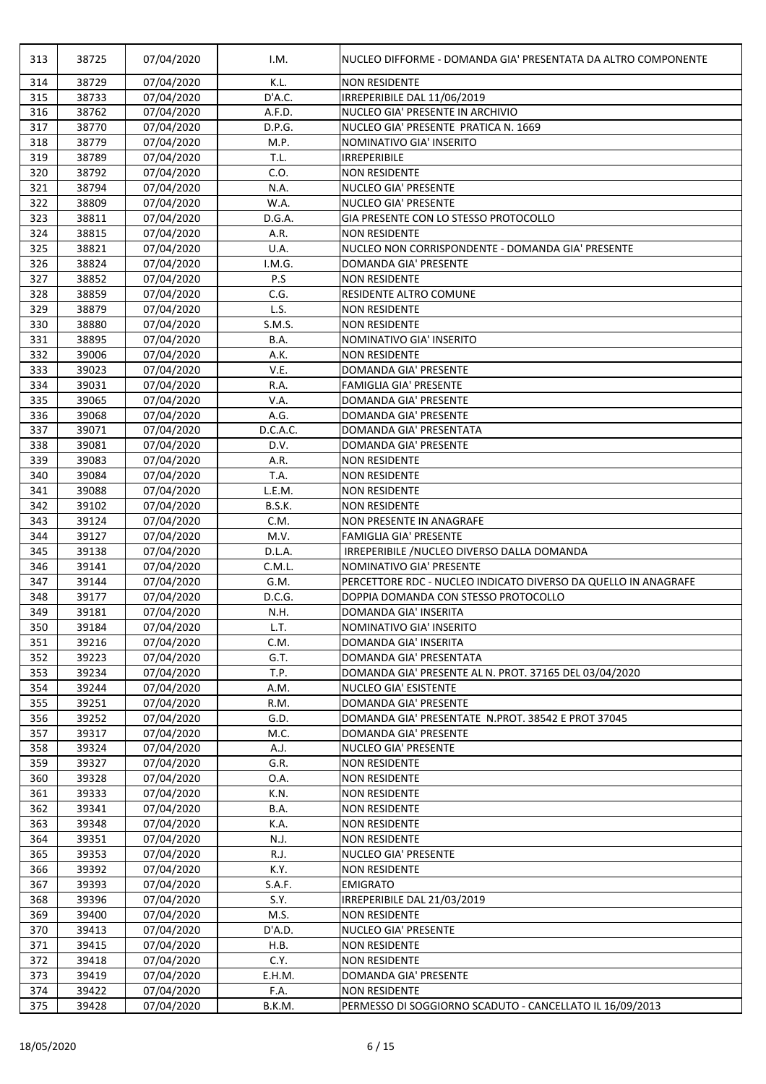| 313 | 38725 | 07/04/2020 | I.M.     | NUCLEO DIFFORME - DOMANDA GIA' PRESENTATA DA ALTRO COMPONENTE  |
|-----|-------|------------|----------|----------------------------------------------------------------|
| 314 | 38729 | 07/04/2020 | K.L.     | <b>NON RESIDENTE</b>                                           |
| 315 | 38733 | 07/04/2020 | D'A.C.   | IRREPERIBILE DAL 11/06/2019                                    |
| 316 | 38762 | 07/04/2020 | A.F.D.   | NUCLEO GIA' PRESENTE IN ARCHIVIO                               |
| 317 | 38770 | 07/04/2020 | D.P.G.   | NUCLEO GIA' PRESENTE PRATICA N. 1669                           |
| 318 | 38779 | 07/04/2020 | M.P.     | NOMINATIVO GIA' INSERITO                                       |
| 319 | 38789 | 07/04/2020 | T.L.     | <b>IRREPERIBILE</b>                                            |
| 320 | 38792 | 07/04/2020 | C.O.     | <b>NON RESIDENTE</b>                                           |
| 321 | 38794 | 07/04/2020 | N.A.     | <b>NUCLEO GIA' PRESENTE</b>                                    |
| 322 | 38809 | 07/04/2020 | W.A.     | <b>NUCLEO GIA' PRESENTE</b>                                    |
| 323 | 38811 | 07/04/2020 | D.G.A.   | GIA PRESENTE CON LO STESSO PROTOCOLLO                          |
| 324 | 38815 | 07/04/2020 | A.R.     | <b>NON RESIDENTE</b>                                           |
| 325 | 38821 | 07/04/2020 | U.A.     | NUCLEO NON CORRISPONDENTE - DOMANDA GIA' PRESENTE              |
| 326 | 38824 | 07/04/2020 | I.M.G.   | DOMANDA GIA' PRESENTE                                          |
| 327 | 38852 | 07/04/2020 | P.S      | <b>NON RESIDENTE</b>                                           |
| 328 | 38859 | 07/04/2020 | C.G.     | <b>RESIDENTE ALTRO COMUNE</b>                                  |
| 329 | 38879 | 07/04/2020 | L.S.     | <b>NON RESIDENTE</b>                                           |
| 330 | 38880 | 07/04/2020 | S.M.S.   | <b>NON RESIDENTE</b>                                           |
| 331 | 38895 | 07/04/2020 | B.A.     | NOMINATIVO GIA' INSERITO                                       |
| 332 | 39006 | 07/04/2020 | A.K.     | <b>NON RESIDENTE</b>                                           |
| 333 | 39023 | 07/04/2020 | V.E.     | <b>DOMANDA GIA' PRESENTE</b>                                   |
| 334 | 39031 | 07/04/2020 | R.A.     | <b>FAMIGLIA GIA' PRESENTE</b>                                  |
| 335 | 39065 | 07/04/2020 | V.A.     | <b>DOMANDA GIA' PRESENTE</b>                                   |
| 336 | 39068 | 07/04/2020 | A.G.     | <b>DOMANDA GIA' PRESENTE</b>                                   |
| 337 | 39071 | 07/04/2020 | D.C.A.C. | DOMANDA GIA' PRESENTATA                                        |
| 338 | 39081 | 07/04/2020 | D.V.     | <b>DOMANDA GIA' PRESENTE</b>                                   |
| 339 | 39083 | 07/04/2020 | A.R.     | <b>NON RESIDENTE</b>                                           |
| 340 | 39084 | 07/04/2020 | T.A.     | <b>NON RESIDENTE</b>                                           |
| 341 | 39088 | 07/04/2020 | L.E.M.   | <b>NON RESIDENTE</b>                                           |
| 342 | 39102 | 07/04/2020 | B.S.K.   | <b>NON RESIDENTE</b>                                           |
| 343 | 39124 | 07/04/2020 | C.M.     | <b>NON PRESENTE IN ANAGRAFE</b>                                |
| 344 | 39127 | 07/04/2020 | M.V.     | <b>FAMIGLIA GIA' PRESENTE</b>                                  |
| 345 | 39138 | 07/04/2020 | D.L.A.   | IRREPERIBILE /NUCLEO DIVERSO DALLA DOMANDA                     |
| 346 | 39141 | 07/04/2020 | C.M.L.   | NOMINATIVO GIA' PRESENTE                                       |
| 347 | 39144 | 07/04/2020 | G.M.     | PERCETTORE RDC - NUCLEO INDICATO DIVERSO DA QUELLO IN ANAGRAFE |
| 348 | 39177 | 07/04/2020 | D.C.G.   | DOPPIA DOMANDA CON STESSO PROTOCOLLO                           |
| 349 | 39181 | 07/04/2020 | N.H.     | <b>DOMANDA GIA' INSERITA</b>                                   |
| 350 | 39184 | 07/04/2020 | L.T.     | NOMINATIVO GIA' INSERITO                                       |
| 351 | 39216 | 07/04/2020 | C.M.     | <b>DOMANDA GIA' INSERITA</b>                                   |
| 352 | 39223 | 07/04/2020 | G.T.     | DOMANDA GIA' PRESENTATA                                        |
| 353 | 39234 | 07/04/2020 | T.P.     | DOMANDA GIA' PRESENTE AL N. PROT. 37165 DEL 03/04/2020         |
| 354 | 39244 | 07/04/2020 | A.M.     | <b>NUCLEO GIA' ESISTENTE</b>                                   |
| 355 | 39251 | 07/04/2020 | R.M.     | <b>DOMANDA GIA' PRESENTE</b>                                   |
| 356 | 39252 | 07/04/2020 | G.D.     | DOMANDA GIA' PRESENTATE N.PROT. 38542 E PROT 37045             |
| 357 | 39317 | 07/04/2020 | M.C.     | DOMANDA GIA' PRESENTE                                          |
| 358 | 39324 | 07/04/2020 | A.J.     | <b>NUCLEO GIA' PRESENTE</b>                                    |
| 359 | 39327 | 07/04/2020 | G.R.     | <b>NON RESIDENTE</b>                                           |
| 360 | 39328 | 07/04/2020 | 0.A.     | <b>NON RESIDENTE</b>                                           |
| 361 | 39333 | 07/04/2020 | K.N.     | <b>NON RESIDENTE</b>                                           |
| 362 | 39341 | 07/04/2020 | B.A.     | <b>NON RESIDENTE</b>                                           |
| 363 | 39348 | 07/04/2020 | K.A.     | <b>NON RESIDENTE</b>                                           |
| 364 | 39351 | 07/04/2020 | N.J.     | <b>NON RESIDENTE</b>                                           |
| 365 | 39353 | 07/04/2020 | R.J.     | <b>NUCLEO GIA' PRESENTE</b>                                    |
| 366 | 39392 | 07/04/2020 | K.Y.     | <b>NON RESIDENTE</b>                                           |
| 367 | 39393 | 07/04/2020 | S.A.F.   | <b>EMIGRATO</b>                                                |
| 368 | 39396 | 07/04/2020 | S.Y.     | IRREPERIBILE DAL 21/03/2019                                    |
| 369 | 39400 | 07/04/2020 | M.S.     | <b>NON RESIDENTE</b>                                           |
| 370 | 39413 | 07/04/2020 | D'A.D.   | <b>NUCLEO GIA' PRESENTE</b>                                    |
| 371 | 39415 | 07/04/2020 | H.B.     | <b>NON RESIDENTE</b>                                           |
| 372 | 39418 | 07/04/2020 | C.Y.     | <b>NON RESIDENTE</b>                                           |
| 373 | 39419 | 07/04/2020 | E.H.M.   | DOMANDA GIA' PRESENTE                                          |
| 374 | 39422 | 07/04/2020 | F.A.     | <b>NON RESIDENTE</b>                                           |
| 375 | 39428 | 07/04/2020 | B.K.M.   | PERMESSO DI SOGGIORNO SCADUTO - CANCELLATO IL 16/09/2013       |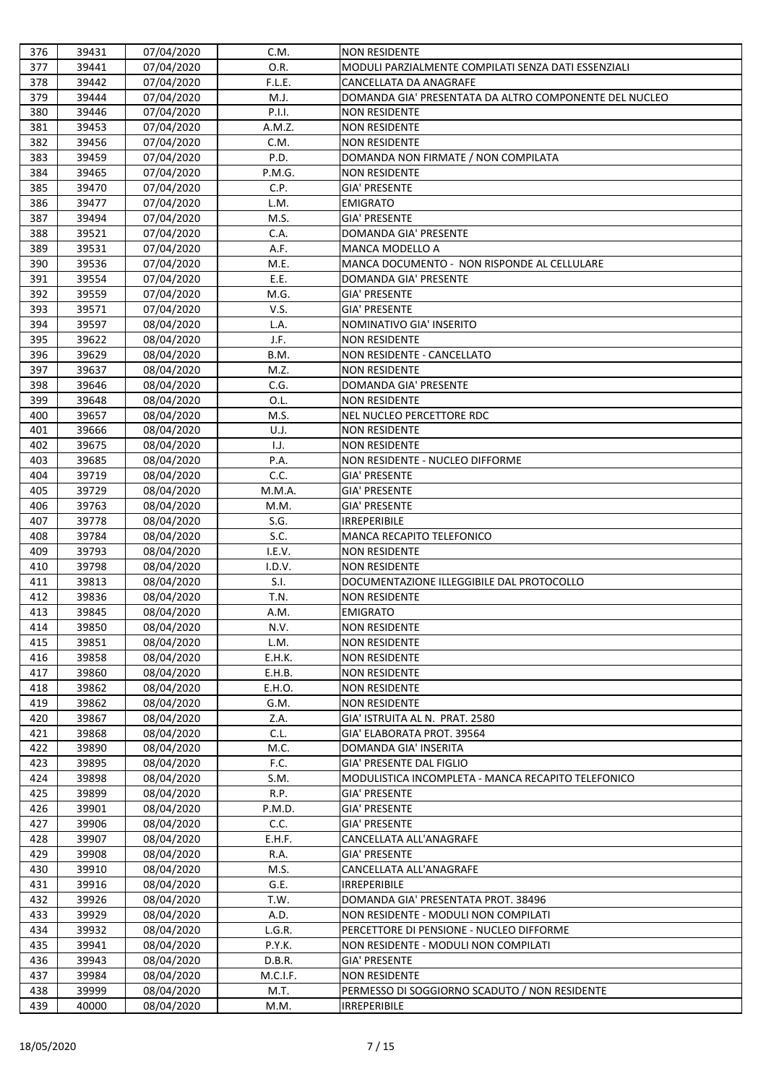| 376 | 39431 | 07/04/2020 | C.M.     | <b>NON RESIDENTE</b>                                   |
|-----|-------|------------|----------|--------------------------------------------------------|
| 377 | 39441 | 07/04/2020 | O.R.     | MODULI PARZIALMENTE COMPILATI SENZA DATI ESSENZIALI    |
| 378 | 39442 | 07/04/2020 | F.L.E.   | <b>CANCELLATA DA ANAGRAFE</b>                          |
| 379 | 39444 | 07/04/2020 | M.J.     | DOMANDA GIA' PRESENTATA DA ALTRO COMPONENTE DEL NUCLEO |
| 380 | 39446 | 07/04/2020 | P.I.I.   | <b>NON RESIDENTE</b>                                   |
| 381 | 39453 | 07/04/2020 | A.M.Z.   | <b>NON RESIDENTE</b>                                   |
| 382 | 39456 | 07/04/2020 | C.M.     | <b>NON RESIDENTE</b>                                   |
| 383 | 39459 | 07/04/2020 | P.D.     | DOMANDA NON FIRMATE / NON COMPILATA                    |
| 384 | 39465 | 07/04/2020 | P.M.G.   | <b>NON RESIDENTE</b>                                   |
| 385 | 39470 | 07/04/2020 | C.P.     | <b>GIA' PRESENTE</b>                                   |
| 386 | 39477 | 07/04/2020 | L.M.     | <b>EMIGRATO</b>                                        |
| 387 | 39494 | 07/04/2020 | M.S.     | <b>GIA' PRESENTE</b>                                   |
| 388 | 39521 | 07/04/2020 | C.A.     | <b>DOMANDA GIA' PRESENTE</b>                           |
| 389 | 39531 | 07/04/2020 | A.F.     | <b>MANCA MODELLO A</b>                                 |
| 390 | 39536 | 07/04/2020 | M.E.     | MANCA DOCUMENTO - NON RISPONDE AL CELLULARE            |
| 391 | 39554 | 07/04/2020 | E.E.     | <b>DOMANDA GIA' PRESENTE</b>                           |
| 392 | 39559 | 07/04/2020 | M.G.     | <b>GIA' PRESENTE</b>                                   |
| 393 | 39571 | 07/04/2020 | V.S.     | <b>GIA' PRESENTE</b>                                   |
| 394 | 39597 | 08/04/2020 | L.A.     | NOMINATIVO GIA' INSERITO                               |
| 395 | 39622 | 08/04/2020 | J.F.     | <b>NON RESIDENTE</b>                                   |
| 396 | 39629 | 08/04/2020 | B.M.     | <b>NON RESIDENTE - CANCELLATO</b>                      |
| 397 | 39637 | 08/04/2020 | M.Z.     | <b>NON RESIDENTE</b>                                   |
| 398 | 39646 | 08/04/2020 | C.G.     | <b>DOMANDA GIA' PRESENTE</b>                           |
| 399 | 39648 | 08/04/2020 | O.L.     | <b>NON RESIDENTE</b>                                   |
| 400 | 39657 | 08/04/2020 | M.S.     | <b>NEL NUCLEO PERCETTORE RDC</b>                       |
| 401 | 39666 | 08/04/2020 | U.J.     | <b>NON RESIDENTE</b>                                   |
| 402 | 39675 | 08/04/2020 | 1.J.     | <b>NON RESIDENTE</b>                                   |
| 403 | 39685 | 08/04/2020 | P.A.     | NON RESIDENTE - NUCLEO DIFFORME                        |
| 404 | 39719 | 08/04/2020 | C.C.     | <b>GIA' PRESENTE</b>                                   |
| 405 | 39729 | 08/04/2020 | M.M.A.   | <b>GIA' PRESENTE</b>                                   |
| 406 | 39763 | 08/04/2020 | M.M.     | <b>GIA' PRESENTE</b>                                   |
| 407 | 39778 | 08/04/2020 | S.G.     | <b>IRREPERIBILE</b>                                    |
| 408 | 39784 | 08/04/2020 | S.C.     | <b>MANCA RECAPITO TELEFONICO</b>                       |
| 409 | 39793 | 08/04/2020 | I.E.V.   | <b>NON RESIDENTE</b>                                   |
| 410 | 39798 | 08/04/2020 | I.D.V.   | <b>NON RESIDENTE</b>                                   |
| 411 | 39813 | 08/04/2020 | S.I.     | DOCUMENTAZIONE ILLEGGIBILE DAL PROTOCOLLO              |
| 412 | 39836 | 08/04/2020 | T.N.     | <b>NON RESIDENTE</b>                                   |
| 413 | 39845 | 08/04/2020 | A.M.     | <b>EMIGRATO</b>                                        |
| 414 | 39850 | 08/04/2020 | N.V.     | <b>NON RESIDENTE</b>                                   |
| 415 | 39851 | 08/04/2020 | L.M.     | <b>NON RESIDENTE</b>                                   |
| 416 | 39858 | 08/04/2020 | E.H.K.   | <b>NON RESIDENTE</b>                                   |
| 417 | 39860 | 08/04/2020 | E.H.B.   | <b>NON RESIDENTE</b>                                   |
| 418 | 39862 | 08/04/2020 | E.H.O.   | <b>NON RESIDENTE</b>                                   |
| 419 | 39862 | 08/04/2020 | G.M.     | <b>NON RESIDENTE</b>                                   |
| 420 | 39867 | 08/04/2020 | Z.A.     | GIA' ISTRUITA AL N. PRAT. 2580                         |
| 421 | 39868 | 08/04/2020 | C.L.     | GIA' ELABORATA PROT. 39564                             |
| 422 | 39890 | 08/04/2020 | M.C.     | <b>DOMANDA GIA' INSERITA</b>                           |
| 423 | 39895 | 08/04/2020 | F.C.     | GIA' PRESENTE DAL FIGLIO                               |
| 424 | 39898 | 08/04/2020 | S.M.     | MODULISTICA INCOMPLETA - MANCA RECAPITO TELEFONICO     |
| 425 | 39899 | 08/04/2020 | R.P.     | <b>GIA' PRESENTE</b>                                   |
| 426 | 39901 | 08/04/2020 | P.M.D.   | <b>GIA' PRESENTE</b>                                   |
| 427 | 39906 | 08/04/2020 | C.C.     | <b>GIA' PRESENTE</b>                                   |
| 428 | 39907 | 08/04/2020 | E.H.F.   | CANCELLATA ALL'ANAGRAFE                                |
| 429 | 39908 | 08/04/2020 | R.A.     | <b>GIA' PRESENTE</b>                                   |
| 430 | 39910 | 08/04/2020 | M.S.     | CANCELLATA ALL'ANAGRAFE                                |
| 431 | 39916 | 08/04/2020 | G.E.     | <b>IRREPERIBILE</b>                                    |
| 432 | 39926 | 08/04/2020 | T.W.     | DOMANDA GIA' PRESENTATA PROT. 38496                    |
| 433 | 39929 | 08/04/2020 | A.D.     | NON RESIDENTE - MODULI NON COMPILATI                   |
| 434 | 39932 | 08/04/2020 | L.G.R.   | PERCETTORE DI PENSIONE - NUCLEO DIFFORME               |
| 435 | 39941 | 08/04/2020 | P.Y.K.   | NON RESIDENTE - MODULI NON COMPILATI                   |
| 436 | 39943 | 08/04/2020 | D.B.R.   | <b>GIA' PRESENTE</b>                                   |
| 437 | 39984 | 08/04/2020 | M.C.I.F. | <b>NON RESIDENTE</b>                                   |
| 438 | 39999 | 08/04/2020 | M.T.     | PERMESSO DI SOGGIORNO SCADUTO / NON RESIDENTE          |
| 439 | 40000 | 08/04/2020 | M.M.     | <b>IRREPERIBILE</b>                                    |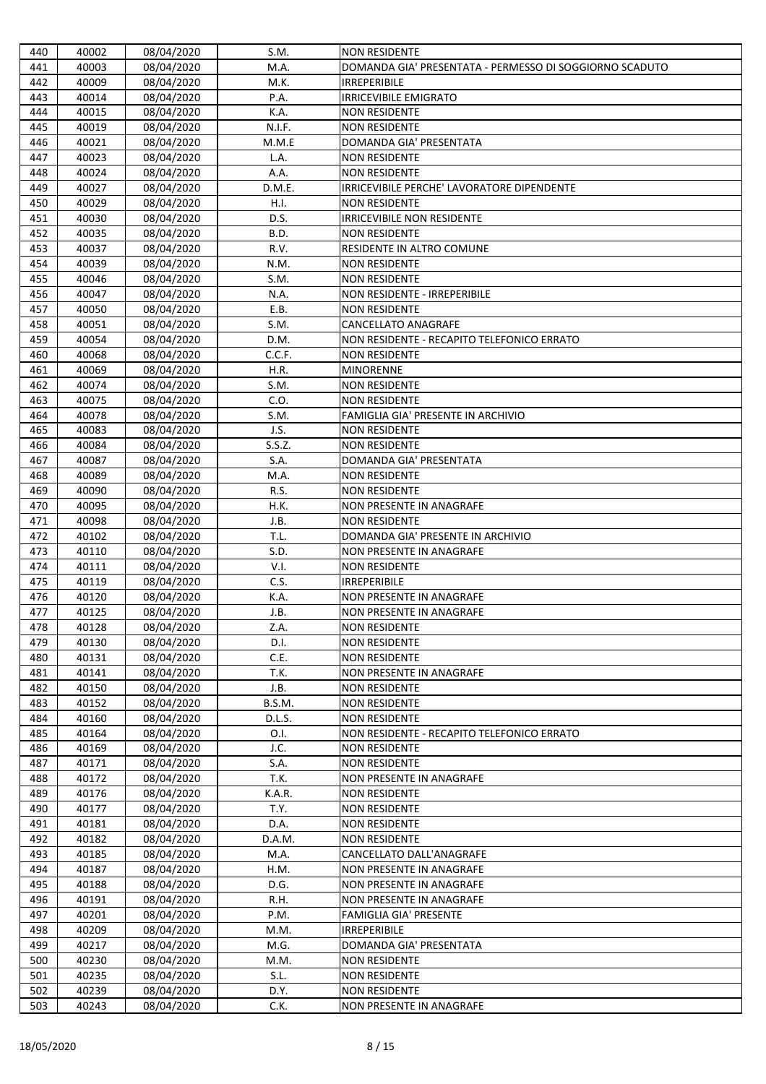| 440        | 40002          | 08/04/2020               | S.M.         | <b>NON RESIDENTE</b>                                               |
|------------|----------------|--------------------------|--------------|--------------------------------------------------------------------|
| 441        | 40003          | 08/04/2020               | M.A.         | DOMANDA GIA' PRESENTATA - PERMESSO DI SOGGIORNO SCADUTO            |
| 442        | 40009          | 08/04/2020               | M.K.         | <b>IRREPERIBILE</b>                                                |
| 443        | 40014          | 08/04/2020               | P.A.         | <b>IRRICEVIBILE EMIGRATO</b>                                       |
| 444        | 40015          | 08/04/2020               | K.A.         | <b>NON RESIDENTE</b>                                               |
| 445        | 40019          | 08/04/2020               | N.I.F.       | <b>NON RESIDENTE</b>                                               |
| 446        | 40021          | 08/04/2020               | M.M.E        | DOMANDA GIA' PRESENTATA                                            |
| 447        | 40023          | 08/04/2020               | L.A.         | <b>NON RESIDENTE</b>                                               |
| 448        | 40024          | 08/04/2020               | A.A.         | <b>NON RESIDENTE</b>                                               |
| 449        | 40027          | 08/04/2020               | D.M.E.       | IRRICEVIBILE PERCHE' LAVORATORE DIPENDENTE                         |
| 450        | 40029          | 08/04/2020               | H.I.         | <b>NON RESIDENTE</b>                                               |
| 451        | 40030          | 08/04/2020               | D.S.         | <b>IRRICEVIBILE NON RESIDENTE</b>                                  |
| 452        | 40035          | 08/04/2020               | B.D.         | <b>NON RESIDENTE</b>                                               |
| 453        | 40037          | 08/04/2020               | R.V.         | <b>RESIDENTE IN ALTRO COMUNE</b>                                   |
| 454        | 40039          | 08/04/2020               | N.M.         | <b>NON RESIDENTE</b>                                               |
| 455        | 40046          | 08/04/2020               | S.M.         | <b>NON RESIDENTE</b>                                               |
| 456        | 40047          | 08/04/2020               | N.A.         | <b>NON RESIDENTE - IRREPERIBILE</b>                                |
| 457        | 40050          | 08/04/2020               | E.B.         | <b>NON RESIDENTE</b>                                               |
| 458        | 40051          | 08/04/2020               | S.M.         | <b>CANCELLATO ANAGRAFE</b>                                         |
| 459        | 40054          | 08/04/2020               | D.M.         | NON RESIDENTE - RECAPITO TELEFONICO ERRATO                         |
| 460        | 40068          | 08/04/2020               | C.C.F.       | <b>NON RESIDENTE</b>                                               |
| 461        | 40069          | 08/04/2020               | H.R.         | <b>MINORENNE</b>                                                   |
| 462        | 40074          | 08/04/2020               | S.M.         | <b>NON RESIDENTE</b>                                               |
| 463        | 40075          | 08/04/2020               | C.O.         | <b>NON RESIDENTE</b>                                               |
| 464        | 40078          | 08/04/2020               | S.M.         | FAMIGLIA GIA' PRESENTE IN ARCHIVIO                                 |
| 465        | 40083          | 08/04/2020               | J.S.         | <b>NON RESIDENTE</b>                                               |
| 466        | 40084          | 08/04/2020               | S.S.Z.       | <b>NON RESIDENTE</b>                                               |
| 467        | 40087          | 08/04/2020               | S.A.         | DOMANDA GIA' PRESENTATA                                            |
| 468        | 40089          | 08/04/2020               | M.A.         | <b>NON RESIDENTE</b>                                               |
| 469        | 40090          | 08/04/2020               | R.S.         | <b>NON RESIDENTE</b>                                               |
| 470        | 40095          | 08/04/2020               | H.K.         | <b>NON PRESENTE IN ANAGRAFE</b>                                    |
| 471        | 40098          | 08/04/2020               | J.B.         | <b>NON RESIDENTE</b>                                               |
| 472        | 40102          | 08/04/2020               | T.L.         | DOMANDA GIA' PRESENTE IN ARCHIVIO                                  |
| 473        | 40110          | 08/04/2020               | S.D.         | <b>NON PRESENTE IN ANAGRAFE</b>                                    |
| 474        | 40111          | 08/04/2020               | V.I.         | <b>NON RESIDENTE</b>                                               |
| 475        | 40119          | 08/04/2020               | C.S.         | <b>IRREPERIBILE</b>                                                |
| 476        | 40120          | 08/04/2020               | K.A.         | <b>NON PRESENTE IN ANAGRAFE</b>                                    |
| 477        | 40125          | 08/04/2020               | J.B.         | <b>NON PRESENTE IN ANAGRAFE</b>                                    |
| 478        | 40128          | 08/04/2020               | Z.A.         | <b>NON RESIDENTE</b>                                               |
| 479        | 40130          | 08/04/2020               | D.I.         | <b>NON RESIDENTE</b>                                               |
| 480        | 40131          | 08/04/2020               | C.E.         | <b>NON RESIDENTE</b>                                               |
| 481        | 40141          | 08/04/2020               | T.K.         | <b>NON PRESENTE IN ANAGRAFE</b>                                    |
| 482        | 40150          | 08/04/2020               | J.B.         | <b>NON RESIDENTE</b>                                               |
| 483        | 40152          | 08/04/2020               | B.S.M.       | <b>NON RESIDENTE</b>                                               |
| 484        | 40160<br>40164 | 08/04/2020               | D.L.S.       | <b>NON RESIDENTE</b><br>NON RESIDENTE - RECAPITO TELEFONICO ERRATO |
| 485<br>486 | 40169          | 08/04/2020               | O.I.<br>J.C. | <b>NON RESIDENTE</b>                                               |
| 487        | 40171          | 08/04/2020<br>08/04/2020 | S.A.         | <b>NON RESIDENTE</b>                                               |
| 488        | 40172          | 08/04/2020               | T.K.         | <b>NON PRESENTE IN ANAGRAFE</b>                                    |
| 489        | 40176          | 08/04/2020               | K.A.R.       | <b>NON RESIDENTE</b>                                               |
| 490        | 40177          | 08/04/2020               | T.Y.         | <b>NON RESIDENTE</b>                                               |
| 491        | 40181          | 08/04/2020               | D.A.         | <b>NON RESIDENTE</b>                                               |
| 492        | 40182          | 08/04/2020               | D.A.M.       | <b>NON RESIDENTE</b>                                               |
| 493        | 40185          | 08/04/2020               | M.A.         | CANCELLATO DALL'ANAGRAFE                                           |
| 494        | 40187          | 08/04/2020               | H.M.         | <b>NON PRESENTE IN ANAGRAFE</b>                                    |
| 495        | 40188          | 08/04/2020               | D.G.         | <b>NON PRESENTE IN ANAGRAFE</b>                                    |
| 496        | 40191          | 08/04/2020               | R.H.         | <b>NON PRESENTE IN ANAGRAFE</b>                                    |
| 497        | 40201          | 08/04/2020               | P.M.         | <b>FAMIGLIA GIA' PRESENTE</b>                                      |
| 498        | 40209          | 08/04/2020               | M.M.         | <b>IRREPERIBILE</b>                                                |
| 499        | 40217          | 08/04/2020               | M.G.         | DOMANDA GIA' PRESENTATA                                            |
| 500        | 40230          | 08/04/2020               | M.M.         | <b>NON RESIDENTE</b>                                               |
| 501        | 40235          | 08/04/2020               | S.L.         | <b>NON RESIDENTE</b>                                               |
| 502        | 40239          | 08/04/2020               | D.Y.         | <b>NON RESIDENTE</b>                                               |
| 503        | 40243          | 08/04/2020               | C.K.         | NON PRESENTE IN ANAGRAFE                                           |
|            |                |                          |              |                                                                    |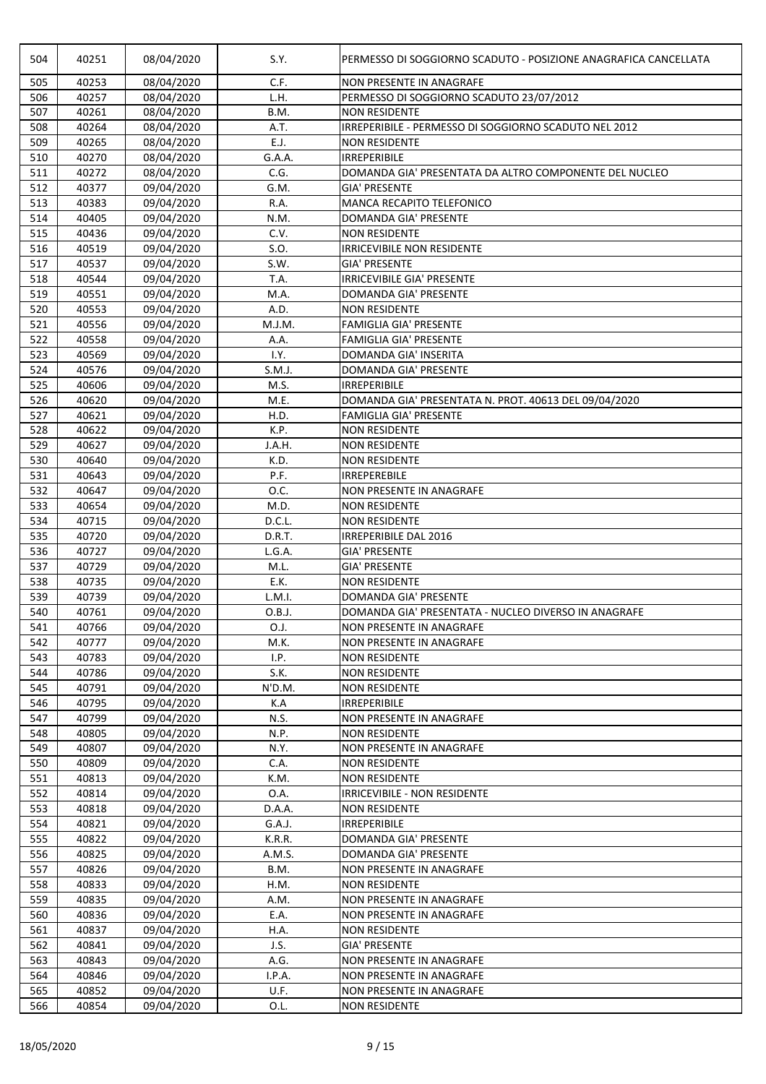| 504 | 40251 | 08/04/2020 | S.Y.   | PERMESSO DI SOGGIORNO SCADUTO - POSIZIONE ANAGRAFICA CANCELLATA |
|-----|-------|------------|--------|-----------------------------------------------------------------|
|     |       |            |        |                                                                 |
| 505 | 40253 | 08/04/2020 | C.F.   | <b>NON PRESENTE IN ANAGRAFE</b>                                 |
| 506 | 40257 | 08/04/2020 | L.H.   | PERMESSO DI SOGGIORNO SCADUTO 23/07/2012                        |
| 507 | 40261 | 08/04/2020 | B.M.   | <b>NON RESIDENTE</b>                                            |
| 508 | 40264 | 08/04/2020 | A.T.   | IRREPERIBILE - PERMESSO DI SOGGIORNO SCADUTO NEL 2012           |
| 509 | 40265 | 08/04/2020 | E.J.   | <b>NON RESIDENTE</b>                                            |
| 510 | 40270 | 08/04/2020 | G.A.A. | <b>IRREPERIBILE</b>                                             |
| 511 | 40272 | 08/04/2020 | C.G.   | DOMANDA GIA' PRESENTATA DA ALTRO COMPONENTE DEL NUCLEO          |
| 512 | 40377 | 09/04/2020 | G.M.   | <b>GIA' PRESENTE</b>                                            |
| 513 | 40383 | 09/04/2020 | R.A.   | <b>MANCA RECAPITO TELEFONICO</b>                                |
| 514 | 40405 | 09/04/2020 | N.M.   | <b>DOMANDA GIA' PRESENTE</b>                                    |
| 515 | 40436 | 09/04/2020 | C.V.   | <b>NON RESIDENTE</b>                                            |
| 516 | 40519 | 09/04/2020 | S.O.   | <b>IRRICEVIBILE NON RESIDENTE</b>                               |
| 517 | 40537 | 09/04/2020 | S.W.   | <b>GIA' PRESENTE</b>                                            |
| 518 | 40544 | 09/04/2020 | T.A.   | <b>IRRICEVIBILE GIA' PRESENTE</b>                               |
| 519 | 40551 | 09/04/2020 | M.A.   | <b>DOMANDA GIA' PRESENTE</b>                                    |
| 520 | 40553 | 09/04/2020 | A.D.   | <b>NON RESIDENTE</b>                                            |
| 521 | 40556 | 09/04/2020 | M.J.M. | <b>FAMIGLIA GIA' PRESENTE</b>                                   |
| 522 | 40558 | 09/04/2020 | A.A.   | <b>FAMIGLIA GIA' PRESENTE</b>                                   |
| 523 | 40569 | 09/04/2020 | I.Y.   | <b>DOMANDA GIA' INSERITA</b>                                    |
| 524 | 40576 | 09/04/2020 | S.M.J. | <b>DOMANDA GIA' PRESENTE</b>                                    |
| 525 | 40606 | 09/04/2020 | M.S.   | <b>IRREPERIBILE</b>                                             |
| 526 | 40620 | 09/04/2020 | M.E.   | DOMANDA GIA' PRESENTATA N. PROT. 40613 DEL 09/04/2020           |
| 527 | 40621 | 09/04/2020 | H.D.   | <b>FAMIGLIA GIA' PRESENTE</b>                                   |
| 528 | 40622 | 09/04/2020 | K.P.   | <b>NON RESIDENTE</b>                                            |
| 529 | 40627 | 09/04/2020 | J.A.H. | <b>NON RESIDENTE</b>                                            |
| 530 | 40640 | 09/04/2020 | K.D.   | <b>NON RESIDENTE</b>                                            |
| 531 | 40643 | 09/04/2020 | P.F.   | <b>IRREPEREBILE</b>                                             |
| 532 | 40647 | 09/04/2020 | O.C.   | <b>NON PRESENTE IN ANAGRAFE</b>                                 |
| 533 | 40654 | 09/04/2020 | M.D.   | <b>NON RESIDENTE</b>                                            |
| 534 | 40715 | 09/04/2020 | D.C.L. | <b>NON RESIDENTE</b>                                            |
| 535 | 40720 | 09/04/2020 | D.R.T. | <b>IRREPERIBILE DAL 2016</b>                                    |
| 536 | 40727 | 09/04/2020 | L.G.A. | <b>GIA' PRESENTE</b>                                            |
| 537 | 40729 | 09/04/2020 | M.L.   | <b>GIA' PRESENTE</b>                                            |
| 538 | 40735 | 09/04/2020 | E.K.   | <b>NON RESIDENTE</b>                                            |
| 539 | 40739 | 09/04/2020 | L.M.I. | <b>DOMANDA GIA' PRESENTE</b>                                    |
| 540 | 40761 | 09/04/2020 | O.B.J. | DOMANDA GIA' PRESENTATA - NUCLEO DIVERSO IN ANAGRAFE            |
| 541 | 40766 | 09/04/2020 | O.J.   | <b>NON PRESENTE IN ANAGRAFE</b>                                 |
| 542 | 40777 | 09/04/2020 | M.K.   | <b>NON PRESENTE IN ANAGRAFE</b>                                 |
| 543 | 40783 | 09/04/2020 | I.P.   | <b>NON RESIDENTE</b>                                            |
| 544 | 40786 | 09/04/2020 | S.K.   | <b>NON RESIDENTE</b>                                            |
| 545 | 40791 | 09/04/2020 | N'D.M. | <b>NON RESIDENTE</b>                                            |
| 546 | 40795 | 09/04/2020 | K.A    | <b>IRREPERIBILE</b>                                             |
| 547 | 40799 | 09/04/2020 | N.S.   | <b>NON PRESENTE IN ANAGRAFE</b>                                 |
| 548 | 40805 | 09/04/2020 | N.P.   | <b>NON RESIDENTE</b>                                            |
| 549 | 40807 | 09/04/2020 | N.Y.   | <b>NON PRESENTE IN ANAGRAFE</b>                                 |
| 550 | 40809 | 09/04/2020 | C.A.   | <b>NON RESIDENTE</b>                                            |
| 551 | 40813 | 09/04/2020 | K.M.   | <b>NON RESIDENTE</b>                                            |
| 552 | 40814 | 09/04/2020 | O.A.   | <b>IRRICEVIBILE - NON RESIDENTE</b>                             |
| 553 | 40818 | 09/04/2020 | D.A.A. | <b>NON RESIDENTE</b>                                            |
| 554 | 40821 | 09/04/2020 | G.A.J. | <b>IRREPERIBILE</b>                                             |
| 555 | 40822 | 09/04/2020 | K.R.R. | <b>DOMANDA GIA' PRESENTE</b>                                    |
| 556 | 40825 | 09/04/2020 | A.M.S. | <b>DOMANDA GIA' PRESENTE</b>                                    |
| 557 | 40826 | 09/04/2020 | B.M.   | <b>NON PRESENTE IN ANAGRAFE</b>                                 |
| 558 | 40833 | 09/04/2020 | H.M.   | <b>NON RESIDENTE</b>                                            |
| 559 | 40835 | 09/04/2020 | A.M.   | <b>NON PRESENTE IN ANAGRAFE</b>                                 |
| 560 | 40836 | 09/04/2020 | E.A.   | <b>NON PRESENTE IN ANAGRAFE</b>                                 |
| 561 | 40837 | 09/04/2020 | H.A.   | <b>NON RESIDENTE</b>                                            |
| 562 | 40841 | 09/04/2020 | J.S.   | <b>GIA' PRESENTE</b>                                            |
| 563 | 40843 | 09/04/2020 | A.G.   | <b>NON PRESENTE IN ANAGRAFE</b>                                 |
| 564 | 40846 | 09/04/2020 | I.P.A. | <b>NON PRESENTE IN ANAGRAFE</b>                                 |
| 565 | 40852 | 09/04/2020 | U.F.   | <b>NON PRESENTE IN ANAGRAFE</b>                                 |
| 566 | 40854 | 09/04/2020 | O.L.   | <b>NON RESIDENTE</b>                                            |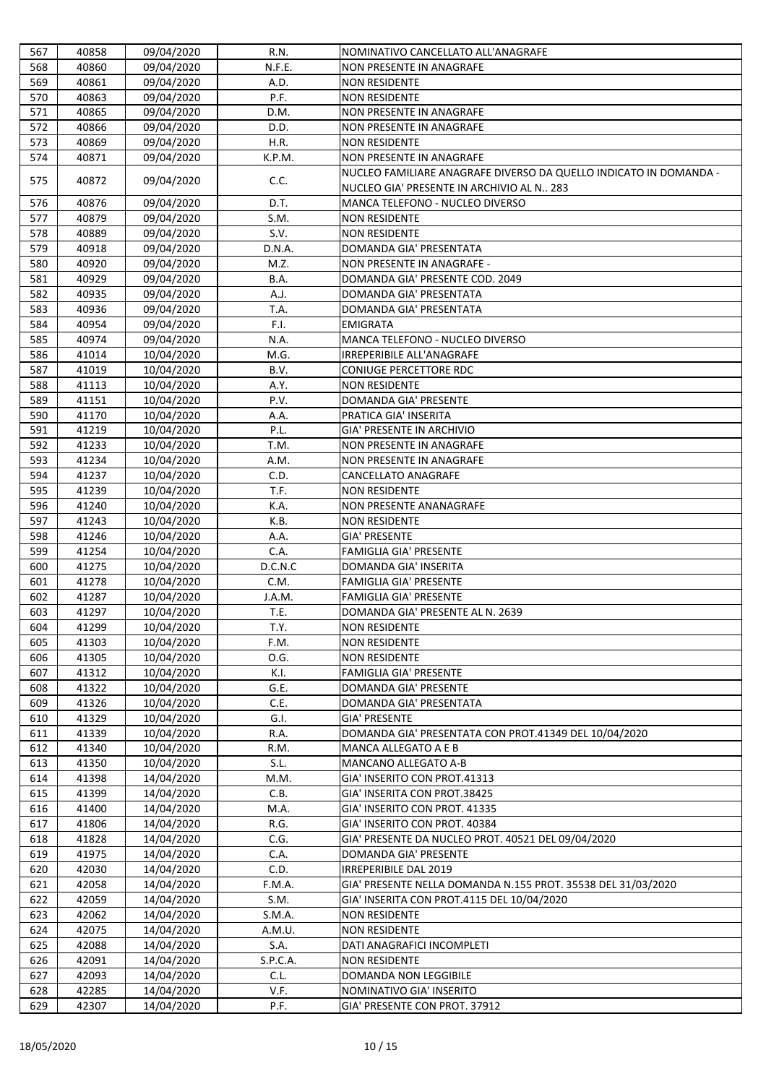| 568<br>40860<br>09/04/2020<br>N.F.E.<br>NON PRESENTE IN ANAGRAFE<br>569<br>40861<br>09/04/2020<br>A.D.<br><b>NON RESIDENTE</b><br>40863<br>P.F.<br><b>NON RESIDENTE</b><br>570<br>09/04/2020<br>571<br>40865<br>09/04/2020<br>D.M.<br>NON PRESENTE IN ANAGRAFE<br>40866<br>09/04/2020<br>D.D.<br>NON PRESENTE IN ANAGRAFE<br>572<br>573<br>40869<br>09/04/2020<br>H.R.<br><b>NON RESIDENTE</b><br>40871<br>09/04/2020<br>K.P.M.<br>574<br>NON PRESENTE IN ANAGRAFE<br>NUCLEO FAMILIARE ANAGRAFE DIVERSO DA QUELLO INDICATO IN DOMANDA -<br>575<br>40872<br>09/04/2020<br>C.C.<br>NUCLEO GIA' PRESENTE IN ARCHIVIO AL N 283<br>40876<br>09/04/2020<br>D.T.<br>576<br>MANCA TELEFONO - NUCLEO DIVERSO<br>09/04/2020<br>S.M.<br>40879<br><b>NON RESIDENTE</b><br>577<br>578<br>40889<br>09/04/2020<br>S.V.<br><b>NON RESIDENTE</b><br>09/04/2020<br>D.N.A.<br>DOMANDA GIA' PRESENTATA<br>579<br>40918<br>40920<br>M.Z.<br>NON PRESENTE IN ANAGRAFE -<br>580<br>09/04/2020<br>581<br>40929<br>09/04/2020<br>B.A.<br>DOMANDA GIA' PRESENTE COD. 2049<br>40935<br>09/04/2020<br>A.J.<br>DOMANDA GIA' PRESENTATA<br>582<br>T.A.<br>583<br>40936<br>09/04/2020<br>DOMANDA GIA' PRESENTATA<br>40954<br>09/04/2020<br>F.I.<br>584<br><b>EMIGRATA</b><br>40974<br>09/04/2020<br>N.A.<br>MANCA TELEFONO - NUCLEO DIVERSO<br>585<br>41014<br>M.G.<br><b>IRREPERIBILE ALL'ANAGRAFE</b><br>586<br>10/04/2020<br>587<br>41019<br>10/04/2020<br>B.V.<br><b>CONIUGE PERCETTORE RDC</b><br>41113<br>10/04/2020<br>A.Y.<br><b>NON RESIDENTE</b><br>588<br>589<br>41151<br>10/04/2020<br>P.V.<br>DOMANDA GIA' PRESENTE<br>10/04/2020<br>PRATICA GIA' INSERITA<br>590<br>41170<br>A.A.<br>P.L.<br><b>GIA' PRESENTE IN ARCHIVIO</b><br>591<br>41219<br>10/04/2020<br>41233<br>592<br>10/04/2020<br>T.M.<br>NON PRESENTE IN ANAGRAFE<br>41234<br>10/04/2020<br>A.M.<br>593<br>NON PRESENTE IN ANAGRAFE<br>594<br>41237<br>10/04/2020<br>C.D.<br><b>CANCELLATO ANAGRAFE</b><br>41239<br>10/04/2020<br>T.F.<br>595<br><b>NON RESIDENTE</b><br>41240<br>10/04/2020<br>K.A.<br><b>NON PRESENTE ANANAGRAFE</b><br>596<br>597<br>10/04/2020<br>41243<br>K.B.<br><b>NON RESIDENTE</b><br>41246<br>10/04/2020<br><b>GIA' PRESENTE</b><br>598<br>A.A.<br>C.A.<br>41254<br>10/04/2020<br><b>FAMIGLIA GIA' PRESENTE</b><br>599<br>600<br>41275<br>10/04/2020<br>D.C.N.C<br><b>DOMANDA GIA' INSERITA</b><br>41278<br>10/04/2020<br><b>FAMIGLIA GIA' PRESENTE</b><br>601<br>C.M.<br>41287<br>10/04/2020<br>J.A.M.<br>FAMIGLIA GIA' PRESENTE<br>602<br>41297<br>T.E.<br>DOMANDA GIA' PRESENTE AL N. 2639<br>603<br>10/04/2020<br>41299<br>10/04/2020<br>T.Y.<br>604<br><b>NON RESIDENTE</b><br>41303<br>605<br>10/04/2020<br>F.M.<br><b>NON RESIDENTE</b><br>41305<br>10/04/2020<br>O.G.<br><b>NON RESIDENTE</b><br>606<br>41312<br>10/04/2020<br>K.I.<br><b>FAMIGLIA GIA' PRESENTE</b><br>607<br>41322<br>10/04/2020<br>G.E.<br>DOMANDA GIA' PRESENTE<br>608<br>C.E.<br>41326<br>10/04/2020<br>DOMANDA GIA' PRESENTATA<br>609<br>41329<br>10/04/2020<br>G.I.<br>610<br><b>GIA' PRESENTE</b><br>DOMANDA GIA' PRESENTATA CON PROT.41349 DEL 10/04/2020<br>41339<br>10/04/2020<br>R.A.<br>611<br>41340<br>10/04/2020<br>612<br>R.M.<br>MANCA ALLEGATO A E B<br>S.L.<br>41350<br>10/04/2020<br><b>MANCANO ALLEGATO A-B</b><br>613<br>41398<br>GIA' INSERITO CON PROT.41313<br>614<br>14/04/2020<br>M.M.<br>14/04/2020<br>C.B.<br>GIA' INSERITA CON PROT.38425<br>615<br>41399<br>GIA' INSERITO CON PROT. 41335<br>616<br>41400<br>14/04/2020<br>M.A.<br>41806<br>R.G.<br>GIA' INSERITO CON PROT. 40384<br>617<br>14/04/2020<br>41828<br>14/04/2020<br>C.G.<br>GIA' PRESENTE DA NUCLEO PROT. 40521 DEL 09/04/2020<br>618<br>C.A.<br>619<br>41975<br>14/04/2020<br>DOMANDA GIA' PRESENTE<br>C.D.<br><b>IRREPERIBILE DAL 2019</b><br>620<br>42030<br>14/04/2020<br>GIA' PRESENTE NELLA DOMANDA N.155 PROT. 35538 DEL 31/03/2020<br>14/04/2020<br>F.M.A.<br>621<br>42058<br>622<br>42059<br>14/04/2020<br>S.M.<br>GIA' INSERITA CON PROT.4115 DEL 10/04/2020<br>42062<br>14/04/2020<br>S.M.A.<br><b>NON RESIDENTE</b><br>623<br>42075<br>14/04/2020<br>A.M.U.<br><b>NON RESIDENTE</b><br>624<br>625<br>42088<br>14/04/2020<br>S.A.<br>DATI ANAGRAFICI INCOMPLETI<br>42091<br>14/04/2020<br>S.P.C.A.<br><b>NON RESIDENTE</b><br>626<br>C.L.<br><b>DOMANDA NON LEGGIBILE</b><br>627<br>42093<br>14/04/2020<br>42285<br>V.F.<br>NOMINATIVO GIA' INSERITO<br>628<br>14/04/2020<br>629<br>42307<br>14/04/2020<br>P.F.<br>GIA' PRESENTE CON PROT. 37912 | 567 | 40858 | 09/04/2020 | R.N. | NOMINATIVO CANCELLATO ALL'ANAGRAFE |
|------------------------------------------------------------------------------------------------------------------------------------------------------------------------------------------------------------------------------------------------------------------------------------------------------------------------------------------------------------------------------------------------------------------------------------------------------------------------------------------------------------------------------------------------------------------------------------------------------------------------------------------------------------------------------------------------------------------------------------------------------------------------------------------------------------------------------------------------------------------------------------------------------------------------------------------------------------------------------------------------------------------------------------------------------------------------------------------------------------------------------------------------------------------------------------------------------------------------------------------------------------------------------------------------------------------------------------------------------------------------------------------------------------------------------------------------------------------------------------------------------------------------------------------------------------------------------------------------------------------------------------------------------------------------------------------------------------------------------------------------------------------------------------------------------------------------------------------------------------------------------------------------------------------------------------------------------------------------------------------------------------------------------------------------------------------------------------------------------------------------------------------------------------------------------------------------------------------------------------------------------------------------------------------------------------------------------------------------------------------------------------------------------------------------------------------------------------------------------------------------------------------------------------------------------------------------------------------------------------------------------------------------------------------------------------------------------------------------------------------------------------------------------------------------------------------------------------------------------------------------------------------------------------------------------------------------------------------------------------------------------------------------------------------------------------------------------------------------------------------------------------------------------------------------------------------------------------------------------------------------------------------------------------------------------------------------------------------------------------------------------------------------------------------------------------------------------------------------------------------------------------------------------------------------------------------------------------------------------------------------------------------------------------------------------------------------------------------------------------------------------------------------------------------------------------------------------------------------------------------------------------------------------------------------------------------------------------------------------------------------------------------------------------------------------------------------------------------------------------------------------------------------------------------------------------------------------------------------------------------------------------------------------------------------------------------------------------------------------------------------------------------------------------------------------------------------------------------------------------------------------|-----|-------|------------|------|------------------------------------|
|                                                                                                                                                                                                                                                                                                                                                                                                                                                                                                                                                                                                                                                                                                                                                                                                                                                                                                                                                                                                                                                                                                                                                                                                                                                                                                                                                                                                                                                                                                                                                                                                                                                                                                                                                                                                                                                                                                                                                                                                                                                                                                                                                                                                                                                                                                                                                                                                                                                                                                                                                                                                                                                                                                                                                                                                                                                                                                                                                                                                                                                                                                                                                                                                                                                                                                                                                                                                                                                                                                                                                                                                                                                                                                                                                                                                                                                                                                                                                                                                                                                                                                                                                                                                                                                                                                                                                                                                                                                                                                      |     |       |            |      |                                    |
|                                                                                                                                                                                                                                                                                                                                                                                                                                                                                                                                                                                                                                                                                                                                                                                                                                                                                                                                                                                                                                                                                                                                                                                                                                                                                                                                                                                                                                                                                                                                                                                                                                                                                                                                                                                                                                                                                                                                                                                                                                                                                                                                                                                                                                                                                                                                                                                                                                                                                                                                                                                                                                                                                                                                                                                                                                                                                                                                                                                                                                                                                                                                                                                                                                                                                                                                                                                                                                                                                                                                                                                                                                                                                                                                                                                                                                                                                                                                                                                                                                                                                                                                                                                                                                                                                                                                                                                                                                                                                                      |     |       |            |      |                                    |
|                                                                                                                                                                                                                                                                                                                                                                                                                                                                                                                                                                                                                                                                                                                                                                                                                                                                                                                                                                                                                                                                                                                                                                                                                                                                                                                                                                                                                                                                                                                                                                                                                                                                                                                                                                                                                                                                                                                                                                                                                                                                                                                                                                                                                                                                                                                                                                                                                                                                                                                                                                                                                                                                                                                                                                                                                                                                                                                                                                                                                                                                                                                                                                                                                                                                                                                                                                                                                                                                                                                                                                                                                                                                                                                                                                                                                                                                                                                                                                                                                                                                                                                                                                                                                                                                                                                                                                                                                                                                                                      |     |       |            |      |                                    |
|                                                                                                                                                                                                                                                                                                                                                                                                                                                                                                                                                                                                                                                                                                                                                                                                                                                                                                                                                                                                                                                                                                                                                                                                                                                                                                                                                                                                                                                                                                                                                                                                                                                                                                                                                                                                                                                                                                                                                                                                                                                                                                                                                                                                                                                                                                                                                                                                                                                                                                                                                                                                                                                                                                                                                                                                                                                                                                                                                                                                                                                                                                                                                                                                                                                                                                                                                                                                                                                                                                                                                                                                                                                                                                                                                                                                                                                                                                                                                                                                                                                                                                                                                                                                                                                                                                                                                                                                                                                                                                      |     |       |            |      |                                    |
|                                                                                                                                                                                                                                                                                                                                                                                                                                                                                                                                                                                                                                                                                                                                                                                                                                                                                                                                                                                                                                                                                                                                                                                                                                                                                                                                                                                                                                                                                                                                                                                                                                                                                                                                                                                                                                                                                                                                                                                                                                                                                                                                                                                                                                                                                                                                                                                                                                                                                                                                                                                                                                                                                                                                                                                                                                                                                                                                                                                                                                                                                                                                                                                                                                                                                                                                                                                                                                                                                                                                                                                                                                                                                                                                                                                                                                                                                                                                                                                                                                                                                                                                                                                                                                                                                                                                                                                                                                                                                                      |     |       |            |      |                                    |
|                                                                                                                                                                                                                                                                                                                                                                                                                                                                                                                                                                                                                                                                                                                                                                                                                                                                                                                                                                                                                                                                                                                                                                                                                                                                                                                                                                                                                                                                                                                                                                                                                                                                                                                                                                                                                                                                                                                                                                                                                                                                                                                                                                                                                                                                                                                                                                                                                                                                                                                                                                                                                                                                                                                                                                                                                                                                                                                                                                                                                                                                                                                                                                                                                                                                                                                                                                                                                                                                                                                                                                                                                                                                                                                                                                                                                                                                                                                                                                                                                                                                                                                                                                                                                                                                                                                                                                                                                                                                                                      |     |       |            |      |                                    |
|                                                                                                                                                                                                                                                                                                                                                                                                                                                                                                                                                                                                                                                                                                                                                                                                                                                                                                                                                                                                                                                                                                                                                                                                                                                                                                                                                                                                                                                                                                                                                                                                                                                                                                                                                                                                                                                                                                                                                                                                                                                                                                                                                                                                                                                                                                                                                                                                                                                                                                                                                                                                                                                                                                                                                                                                                                                                                                                                                                                                                                                                                                                                                                                                                                                                                                                                                                                                                                                                                                                                                                                                                                                                                                                                                                                                                                                                                                                                                                                                                                                                                                                                                                                                                                                                                                                                                                                                                                                                                                      |     |       |            |      |                                    |
|                                                                                                                                                                                                                                                                                                                                                                                                                                                                                                                                                                                                                                                                                                                                                                                                                                                                                                                                                                                                                                                                                                                                                                                                                                                                                                                                                                                                                                                                                                                                                                                                                                                                                                                                                                                                                                                                                                                                                                                                                                                                                                                                                                                                                                                                                                                                                                                                                                                                                                                                                                                                                                                                                                                                                                                                                                                                                                                                                                                                                                                                                                                                                                                                                                                                                                                                                                                                                                                                                                                                                                                                                                                                                                                                                                                                                                                                                                                                                                                                                                                                                                                                                                                                                                                                                                                                                                                                                                                                                                      |     |       |            |      |                                    |
|                                                                                                                                                                                                                                                                                                                                                                                                                                                                                                                                                                                                                                                                                                                                                                                                                                                                                                                                                                                                                                                                                                                                                                                                                                                                                                                                                                                                                                                                                                                                                                                                                                                                                                                                                                                                                                                                                                                                                                                                                                                                                                                                                                                                                                                                                                                                                                                                                                                                                                                                                                                                                                                                                                                                                                                                                                                                                                                                                                                                                                                                                                                                                                                                                                                                                                                                                                                                                                                                                                                                                                                                                                                                                                                                                                                                                                                                                                                                                                                                                                                                                                                                                                                                                                                                                                                                                                                                                                                                                                      |     |       |            |      |                                    |
|                                                                                                                                                                                                                                                                                                                                                                                                                                                                                                                                                                                                                                                                                                                                                                                                                                                                                                                                                                                                                                                                                                                                                                                                                                                                                                                                                                                                                                                                                                                                                                                                                                                                                                                                                                                                                                                                                                                                                                                                                                                                                                                                                                                                                                                                                                                                                                                                                                                                                                                                                                                                                                                                                                                                                                                                                                                                                                                                                                                                                                                                                                                                                                                                                                                                                                                                                                                                                                                                                                                                                                                                                                                                                                                                                                                                                                                                                                                                                                                                                                                                                                                                                                                                                                                                                                                                                                                                                                                                                                      |     |       |            |      |                                    |
|                                                                                                                                                                                                                                                                                                                                                                                                                                                                                                                                                                                                                                                                                                                                                                                                                                                                                                                                                                                                                                                                                                                                                                                                                                                                                                                                                                                                                                                                                                                                                                                                                                                                                                                                                                                                                                                                                                                                                                                                                                                                                                                                                                                                                                                                                                                                                                                                                                                                                                                                                                                                                                                                                                                                                                                                                                                                                                                                                                                                                                                                                                                                                                                                                                                                                                                                                                                                                                                                                                                                                                                                                                                                                                                                                                                                                                                                                                                                                                                                                                                                                                                                                                                                                                                                                                                                                                                                                                                                                                      |     |       |            |      |                                    |
|                                                                                                                                                                                                                                                                                                                                                                                                                                                                                                                                                                                                                                                                                                                                                                                                                                                                                                                                                                                                                                                                                                                                                                                                                                                                                                                                                                                                                                                                                                                                                                                                                                                                                                                                                                                                                                                                                                                                                                                                                                                                                                                                                                                                                                                                                                                                                                                                                                                                                                                                                                                                                                                                                                                                                                                                                                                                                                                                                                                                                                                                                                                                                                                                                                                                                                                                                                                                                                                                                                                                                                                                                                                                                                                                                                                                                                                                                                                                                                                                                                                                                                                                                                                                                                                                                                                                                                                                                                                                                                      |     |       |            |      |                                    |
|                                                                                                                                                                                                                                                                                                                                                                                                                                                                                                                                                                                                                                                                                                                                                                                                                                                                                                                                                                                                                                                                                                                                                                                                                                                                                                                                                                                                                                                                                                                                                                                                                                                                                                                                                                                                                                                                                                                                                                                                                                                                                                                                                                                                                                                                                                                                                                                                                                                                                                                                                                                                                                                                                                                                                                                                                                                                                                                                                                                                                                                                                                                                                                                                                                                                                                                                                                                                                                                                                                                                                                                                                                                                                                                                                                                                                                                                                                                                                                                                                                                                                                                                                                                                                                                                                                                                                                                                                                                                                                      |     |       |            |      |                                    |
|                                                                                                                                                                                                                                                                                                                                                                                                                                                                                                                                                                                                                                                                                                                                                                                                                                                                                                                                                                                                                                                                                                                                                                                                                                                                                                                                                                                                                                                                                                                                                                                                                                                                                                                                                                                                                                                                                                                                                                                                                                                                                                                                                                                                                                                                                                                                                                                                                                                                                                                                                                                                                                                                                                                                                                                                                                                                                                                                                                                                                                                                                                                                                                                                                                                                                                                                                                                                                                                                                                                                                                                                                                                                                                                                                                                                                                                                                                                                                                                                                                                                                                                                                                                                                                                                                                                                                                                                                                                                                                      |     |       |            |      |                                    |
|                                                                                                                                                                                                                                                                                                                                                                                                                                                                                                                                                                                                                                                                                                                                                                                                                                                                                                                                                                                                                                                                                                                                                                                                                                                                                                                                                                                                                                                                                                                                                                                                                                                                                                                                                                                                                                                                                                                                                                                                                                                                                                                                                                                                                                                                                                                                                                                                                                                                                                                                                                                                                                                                                                                                                                                                                                                                                                                                                                                                                                                                                                                                                                                                                                                                                                                                                                                                                                                                                                                                                                                                                                                                                                                                                                                                                                                                                                                                                                                                                                                                                                                                                                                                                                                                                                                                                                                                                                                                                                      |     |       |            |      |                                    |
|                                                                                                                                                                                                                                                                                                                                                                                                                                                                                                                                                                                                                                                                                                                                                                                                                                                                                                                                                                                                                                                                                                                                                                                                                                                                                                                                                                                                                                                                                                                                                                                                                                                                                                                                                                                                                                                                                                                                                                                                                                                                                                                                                                                                                                                                                                                                                                                                                                                                                                                                                                                                                                                                                                                                                                                                                                                                                                                                                                                                                                                                                                                                                                                                                                                                                                                                                                                                                                                                                                                                                                                                                                                                                                                                                                                                                                                                                                                                                                                                                                                                                                                                                                                                                                                                                                                                                                                                                                                                                                      |     |       |            |      |                                    |
|                                                                                                                                                                                                                                                                                                                                                                                                                                                                                                                                                                                                                                                                                                                                                                                                                                                                                                                                                                                                                                                                                                                                                                                                                                                                                                                                                                                                                                                                                                                                                                                                                                                                                                                                                                                                                                                                                                                                                                                                                                                                                                                                                                                                                                                                                                                                                                                                                                                                                                                                                                                                                                                                                                                                                                                                                                                                                                                                                                                                                                                                                                                                                                                                                                                                                                                                                                                                                                                                                                                                                                                                                                                                                                                                                                                                                                                                                                                                                                                                                                                                                                                                                                                                                                                                                                                                                                                                                                                                                                      |     |       |            |      |                                    |
|                                                                                                                                                                                                                                                                                                                                                                                                                                                                                                                                                                                                                                                                                                                                                                                                                                                                                                                                                                                                                                                                                                                                                                                                                                                                                                                                                                                                                                                                                                                                                                                                                                                                                                                                                                                                                                                                                                                                                                                                                                                                                                                                                                                                                                                                                                                                                                                                                                                                                                                                                                                                                                                                                                                                                                                                                                                                                                                                                                                                                                                                                                                                                                                                                                                                                                                                                                                                                                                                                                                                                                                                                                                                                                                                                                                                                                                                                                                                                                                                                                                                                                                                                                                                                                                                                                                                                                                                                                                                                                      |     |       |            |      |                                    |
|                                                                                                                                                                                                                                                                                                                                                                                                                                                                                                                                                                                                                                                                                                                                                                                                                                                                                                                                                                                                                                                                                                                                                                                                                                                                                                                                                                                                                                                                                                                                                                                                                                                                                                                                                                                                                                                                                                                                                                                                                                                                                                                                                                                                                                                                                                                                                                                                                                                                                                                                                                                                                                                                                                                                                                                                                                                                                                                                                                                                                                                                                                                                                                                                                                                                                                                                                                                                                                                                                                                                                                                                                                                                                                                                                                                                                                                                                                                                                                                                                                                                                                                                                                                                                                                                                                                                                                                                                                                                                                      |     |       |            |      |                                    |
|                                                                                                                                                                                                                                                                                                                                                                                                                                                                                                                                                                                                                                                                                                                                                                                                                                                                                                                                                                                                                                                                                                                                                                                                                                                                                                                                                                                                                                                                                                                                                                                                                                                                                                                                                                                                                                                                                                                                                                                                                                                                                                                                                                                                                                                                                                                                                                                                                                                                                                                                                                                                                                                                                                                                                                                                                                                                                                                                                                                                                                                                                                                                                                                                                                                                                                                                                                                                                                                                                                                                                                                                                                                                                                                                                                                                                                                                                                                                                                                                                                                                                                                                                                                                                                                                                                                                                                                                                                                                                                      |     |       |            |      |                                    |
|                                                                                                                                                                                                                                                                                                                                                                                                                                                                                                                                                                                                                                                                                                                                                                                                                                                                                                                                                                                                                                                                                                                                                                                                                                                                                                                                                                                                                                                                                                                                                                                                                                                                                                                                                                                                                                                                                                                                                                                                                                                                                                                                                                                                                                                                                                                                                                                                                                                                                                                                                                                                                                                                                                                                                                                                                                                                                                                                                                                                                                                                                                                                                                                                                                                                                                                                                                                                                                                                                                                                                                                                                                                                                                                                                                                                                                                                                                                                                                                                                                                                                                                                                                                                                                                                                                                                                                                                                                                                                                      |     |       |            |      |                                    |
|                                                                                                                                                                                                                                                                                                                                                                                                                                                                                                                                                                                                                                                                                                                                                                                                                                                                                                                                                                                                                                                                                                                                                                                                                                                                                                                                                                                                                                                                                                                                                                                                                                                                                                                                                                                                                                                                                                                                                                                                                                                                                                                                                                                                                                                                                                                                                                                                                                                                                                                                                                                                                                                                                                                                                                                                                                                                                                                                                                                                                                                                                                                                                                                                                                                                                                                                                                                                                                                                                                                                                                                                                                                                                                                                                                                                                                                                                                                                                                                                                                                                                                                                                                                                                                                                                                                                                                                                                                                                                                      |     |       |            |      |                                    |
|                                                                                                                                                                                                                                                                                                                                                                                                                                                                                                                                                                                                                                                                                                                                                                                                                                                                                                                                                                                                                                                                                                                                                                                                                                                                                                                                                                                                                                                                                                                                                                                                                                                                                                                                                                                                                                                                                                                                                                                                                                                                                                                                                                                                                                                                                                                                                                                                                                                                                                                                                                                                                                                                                                                                                                                                                                                                                                                                                                                                                                                                                                                                                                                                                                                                                                                                                                                                                                                                                                                                                                                                                                                                                                                                                                                                                                                                                                                                                                                                                                                                                                                                                                                                                                                                                                                                                                                                                                                                                                      |     |       |            |      |                                    |
|                                                                                                                                                                                                                                                                                                                                                                                                                                                                                                                                                                                                                                                                                                                                                                                                                                                                                                                                                                                                                                                                                                                                                                                                                                                                                                                                                                                                                                                                                                                                                                                                                                                                                                                                                                                                                                                                                                                                                                                                                                                                                                                                                                                                                                                                                                                                                                                                                                                                                                                                                                                                                                                                                                                                                                                                                                                                                                                                                                                                                                                                                                                                                                                                                                                                                                                                                                                                                                                                                                                                                                                                                                                                                                                                                                                                                                                                                                                                                                                                                                                                                                                                                                                                                                                                                                                                                                                                                                                                                                      |     |       |            |      |                                    |
|                                                                                                                                                                                                                                                                                                                                                                                                                                                                                                                                                                                                                                                                                                                                                                                                                                                                                                                                                                                                                                                                                                                                                                                                                                                                                                                                                                                                                                                                                                                                                                                                                                                                                                                                                                                                                                                                                                                                                                                                                                                                                                                                                                                                                                                                                                                                                                                                                                                                                                                                                                                                                                                                                                                                                                                                                                                                                                                                                                                                                                                                                                                                                                                                                                                                                                                                                                                                                                                                                                                                                                                                                                                                                                                                                                                                                                                                                                                                                                                                                                                                                                                                                                                                                                                                                                                                                                                                                                                                                                      |     |       |            |      |                                    |
|                                                                                                                                                                                                                                                                                                                                                                                                                                                                                                                                                                                                                                                                                                                                                                                                                                                                                                                                                                                                                                                                                                                                                                                                                                                                                                                                                                                                                                                                                                                                                                                                                                                                                                                                                                                                                                                                                                                                                                                                                                                                                                                                                                                                                                                                                                                                                                                                                                                                                                                                                                                                                                                                                                                                                                                                                                                                                                                                                                                                                                                                                                                                                                                                                                                                                                                                                                                                                                                                                                                                                                                                                                                                                                                                                                                                                                                                                                                                                                                                                                                                                                                                                                                                                                                                                                                                                                                                                                                                                                      |     |       |            |      |                                    |
|                                                                                                                                                                                                                                                                                                                                                                                                                                                                                                                                                                                                                                                                                                                                                                                                                                                                                                                                                                                                                                                                                                                                                                                                                                                                                                                                                                                                                                                                                                                                                                                                                                                                                                                                                                                                                                                                                                                                                                                                                                                                                                                                                                                                                                                                                                                                                                                                                                                                                                                                                                                                                                                                                                                                                                                                                                                                                                                                                                                                                                                                                                                                                                                                                                                                                                                                                                                                                                                                                                                                                                                                                                                                                                                                                                                                                                                                                                                                                                                                                                                                                                                                                                                                                                                                                                                                                                                                                                                                                                      |     |       |            |      |                                    |
|                                                                                                                                                                                                                                                                                                                                                                                                                                                                                                                                                                                                                                                                                                                                                                                                                                                                                                                                                                                                                                                                                                                                                                                                                                                                                                                                                                                                                                                                                                                                                                                                                                                                                                                                                                                                                                                                                                                                                                                                                                                                                                                                                                                                                                                                                                                                                                                                                                                                                                                                                                                                                                                                                                                                                                                                                                                                                                                                                                                                                                                                                                                                                                                                                                                                                                                                                                                                                                                                                                                                                                                                                                                                                                                                                                                                                                                                                                                                                                                                                                                                                                                                                                                                                                                                                                                                                                                                                                                                                                      |     |       |            |      |                                    |
|                                                                                                                                                                                                                                                                                                                                                                                                                                                                                                                                                                                                                                                                                                                                                                                                                                                                                                                                                                                                                                                                                                                                                                                                                                                                                                                                                                                                                                                                                                                                                                                                                                                                                                                                                                                                                                                                                                                                                                                                                                                                                                                                                                                                                                                                                                                                                                                                                                                                                                                                                                                                                                                                                                                                                                                                                                                                                                                                                                                                                                                                                                                                                                                                                                                                                                                                                                                                                                                                                                                                                                                                                                                                                                                                                                                                                                                                                                                                                                                                                                                                                                                                                                                                                                                                                                                                                                                                                                                                                                      |     |       |            |      |                                    |
|                                                                                                                                                                                                                                                                                                                                                                                                                                                                                                                                                                                                                                                                                                                                                                                                                                                                                                                                                                                                                                                                                                                                                                                                                                                                                                                                                                                                                                                                                                                                                                                                                                                                                                                                                                                                                                                                                                                                                                                                                                                                                                                                                                                                                                                                                                                                                                                                                                                                                                                                                                                                                                                                                                                                                                                                                                                                                                                                                                                                                                                                                                                                                                                                                                                                                                                                                                                                                                                                                                                                                                                                                                                                                                                                                                                                                                                                                                                                                                                                                                                                                                                                                                                                                                                                                                                                                                                                                                                                                                      |     |       |            |      |                                    |
|                                                                                                                                                                                                                                                                                                                                                                                                                                                                                                                                                                                                                                                                                                                                                                                                                                                                                                                                                                                                                                                                                                                                                                                                                                                                                                                                                                                                                                                                                                                                                                                                                                                                                                                                                                                                                                                                                                                                                                                                                                                                                                                                                                                                                                                                                                                                                                                                                                                                                                                                                                                                                                                                                                                                                                                                                                                                                                                                                                                                                                                                                                                                                                                                                                                                                                                                                                                                                                                                                                                                                                                                                                                                                                                                                                                                                                                                                                                                                                                                                                                                                                                                                                                                                                                                                                                                                                                                                                                                                                      |     |       |            |      |                                    |
|                                                                                                                                                                                                                                                                                                                                                                                                                                                                                                                                                                                                                                                                                                                                                                                                                                                                                                                                                                                                                                                                                                                                                                                                                                                                                                                                                                                                                                                                                                                                                                                                                                                                                                                                                                                                                                                                                                                                                                                                                                                                                                                                                                                                                                                                                                                                                                                                                                                                                                                                                                                                                                                                                                                                                                                                                                                                                                                                                                                                                                                                                                                                                                                                                                                                                                                                                                                                                                                                                                                                                                                                                                                                                                                                                                                                                                                                                                                                                                                                                                                                                                                                                                                                                                                                                                                                                                                                                                                                                                      |     |       |            |      |                                    |
|                                                                                                                                                                                                                                                                                                                                                                                                                                                                                                                                                                                                                                                                                                                                                                                                                                                                                                                                                                                                                                                                                                                                                                                                                                                                                                                                                                                                                                                                                                                                                                                                                                                                                                                                                                                                                                                                                                                                                                                                                                                                                                                                                                                                                                                                                                                                                                                                                                                                                                                                                                                                                                                                                                                                                                                                                                                                                                                                                                                                                                                                                                                                                                                                                                                                                                                                                                                                                                                                                                                                                                                                                                                                                                                                                                                                                                                                                                                                                                                                                                                                                                                                                                                                                                                                                                                                                                                                                                                                                                      |     |       |            |      |                                    |
|                                                                                                                                                                                                                                                                                                                                                                                                                                                                                                                                                                                                                                                                                                                                                                                                                                                                                                                                                                                                                                                                                                                                                                                                                                                                                                                                                                                                                                                                                                                                                                                                                                                                                                                                                                                                                                                                                                                                                                                                                                                                                                                                                                                                                                                                                                                                                                                                                                                                                                                                                                                                                                                                                                                                                                                                                                                                                                                                                                                                                                                                                                                                                                                                                                                                                                                                                                                                                                                                                                                                                                                                                                                                                                                                                                                                                                                                                                                                                                                                                                                                                                                                                                                                                                                                                                                                                                                                                                                                                                      |     |       |            |      |                                    |
|                                                                                                                                                                                                                                                                                                                                                                                                                                                                                                                                                                                                                                                                                                                                                                                                                                                                                                                                                                                                                                                                                                                                                                                                                                                                                                                                                                                                                                                                                                                                                                                                                                                                                                                                                                                                                                                                                                                                                                                                                                                                                                                                                                                                                                                                                                                                                                                                                                                                                                                                                                                                                                                                                                                                                                                                                                                                                                                                                                                                                                                                                                                                                                                                                                                                                                                                                                                                                                                                                                                                                                                                                                                                                                                                                                                                                                                                                                                                                                                                                                                                                                                                                                                                                                                                                                                                                                                                                                                                                                      |     |       |            |      |                                    |
|                                                                                                                                                                                                                                                                                                                                                                                                                                                                                                                                                                                                                                                                                                                                                                                                                                                                                                                                                                                                                                                                                                                                                                                                                                                                                                                                                                                                                                                                                                                                                                                                                                                                                                                                                                                                                                                                                                                                                                                                                                                                                                                                                                                                                                                                                                                                                                                                                                                                                                                                                                                                                                                                                                                                                                                                                                                                                                                                                                                                                                                                                                                                                                                                                                                                                                                                                                                                                                                                                                                                                                                                                                                                                                                                                                                                                                                                                                                                                                                                                                                                                                                                                                                                                                                                                                                                                                                                                                                                                                      |     |       |            |      |                                    |
|                                                                                                                                                                                                                                                                                                                                                                                                                                                                                                                                                                                                                                                                                                                                                                                                                                                                                                                                                                                                                                                                                                                                                                                                                                                                                                                                                                                                                                                                                                                                                                                                                                                                                                                                                                                                                                                                                                                                                                                                                                                                                                                                                                                                                                                                                                                                                                                                                                                                                                                                                                                                                                                                                                                                                                                                                                                                                                                                                                                                                                                                                                                                                                                                                                                                                                                                                                                                                                                                                                                                                                                                                                                                                                                                                                                                                                                                                                                                                                                                                                                                                                                                                                                                                                                                                                                                                                                                                                                                                                      |     |       |            |      |                                    |
|                                                                                                                                                                                                                                                                                                                                                                                                                                                                                                                                                                                                                                                                                                                                                                                                                                                                                                                                                                                                                                                                                                                                                                                                                                                                                                                                                                                                                                                                                                                                                                                                                                                                                                                                                                                                                                                                                                                                                                                                                                                                                                                                                                                                                                                                                                                                                                                                                                                                                                                                                                                                                                                                                                                                                                                                                                                                                                                                                                                                                                                                                                                                                                                                                                                                                                                                                                                                                                                                                                                                                                                                                                                                                                                                                                                                                                                                                                                                                                                                                                                                                                                                                                                                                                                                                                                                                                                                                                                                                                      |     |       |            |      |                                    |
|                                                                                                                                                                                                                                                                                                                                                                                                                                                                                                                                                                                                                                                                                                                                                                                                                                                                                                                                                                                                                                                                                                                                                                                                                                                                                                                                                                                                                                                                                                                                                                                                                                                                                                                                                                                                                                                                                                                                                                                                                                                                                                                                                                                                                                                                                                                                                                                                                                                                                                                                                                                                                                                                                                                                                                                                                                                                                                                                                                                                                                                                                                                                                                                                                                                                                                                                                                                                                                                                                                                                                                                                                                                                                                                                                                                                                                                                                                                                                                                                                                                                                                                                                                                                                                                                                                                                                                                                                                                                                                      |     |       |            |      |                                    |
|                                                                                                                                                                                                                                                                                                                                                                                                                                                                                                                                                                                                                                                                                                                                                                                                                                                                                                                                                                                                                                                                                                                                                                                                                                                                                                                                                                                                                                                                                                                                                                                                                                                                                                                                                                                                                                                                                                                                                                                                                                                                                                                                                                                                                                                                                                                                                                                                                                                                                                                                                                                                                                                                                                                                                                                                                                                                                                                                                                                                                                                                                                                                                                                                                                                                                                                                                                                                                                                                                                                                                                                                                                                                                                                                                                                                                                                                                                                                                                                                                                                                                                                                                                                                                                                                                                                                                                                                                                                                                                      |     |       |            |      |                                    |
|                                                                                                                                                                                                                                                                                                                                                                                                                                                                                                                                                                                                                                                                                                                                                                                                                                                                                                                                                                                                                                                                                                                                                                                                                                                                                                                                                                                                                                                                                                                                                                                                                                                                                                                                                                                                                                                                                                                                                                                                                                                                                                                                                                                                                                                                                                                                                                                                                                                                                                                                                                                                                                                                                                                                                                                                                                                                                                                                                                                                                                                                                                                                                                                                                                                                                                                                                                                                                                                                                                                                                                                                                                                                                                                                                                                                                                                                                                                                                                                                                                                                                                                                                                                                                                                                                                                                                                                                                                                                                                      |     |       |            |      |                                    |
|                                                                                                                                                                                                                                                                                                                                                                                                                                                                                                                                                                                                                                                                                                                                                                                                                                                                                                                                                                                                                                                                                                                                                                                                                                                                                                                                                                                                                                                                                                                                                                                                                                                                                                                                                                                                                                                                                                                                                                                                                                                                                                                                                                                                                                                                                                                                                                                                                                                                                                                                                                                                                                                                                                                                                                                                                                                                                                                                                                                                                                                                                                                                                                                                                                                                                                                                                                                                                                                                                                                                                                                                                                                                                                                                                                                                                                                                                                                                                                                                                                                                                                                                                                                                                                                                                                                                                                                                                                                                                                      |     |       |            |      |                                    |
|                                                                                                                                                                                                                                                                                                                                                                                                                                                                                                                                                                                                                                                                                                                                                                                                                                                                                                                                                                                                                                                                                                                                                                                                                                                                                                                                                                                                                                                                                                                                                                                                                                                                                                                                                                                                                                                                                                                                                                                                                                                                                                                                                                                                                                                                                                                                                                                                                                                                                                                                                                                                                                                                                                                                                                                                                                                                                                                                                                                                                                                                                                                                                                                                                                                                                                                                                                                                                                                                                                                                                                                                                                                                                                                                                                                                                                                                                                                                                                                                                                                                                                                                                                                                                                                                                                                                                                                                                                                                                                      |     |       |            |      |                                    |
|                                                                                                                                                                                                                                                                                                                                                                                                                                                                                                                                                                                                                                                                                                                                                                                                                                                                                                                                                                                                                                                                                                                                                                                                                                                                                                                                                                                                                                                                                                                                                                                                                                                                                                                                                                                                                                                                                                                                                                                                                                                                                                                                                                                                                                                                                                                                                                                                                                                                                                                                                                                                                                                                                                                                                                                                                                                                                                                                                                                                                                                                                                                                                                                                                                                                                                                                                                                                                                                                                                                                                                                                                                                                                                                                                                                                                                                                                                                                                                                                                                                                                                                                                                                                                                                                                                                                                                                                                                                                                                      |     |       |            |      |                                    |
|                                                                                                                                                                                                                                                                                                                                                                                                                                                                                                                                                                                                                                                                                                                                                                                                                                                                                                                                                                                                                                                                                                                                                                                                                                                                                                                                                                                                                                                                                                                                                                                                                                                                                                                                                                                                                                                                                                                                                                                                                                                                                                                                                                                                                                                                                                                                                                                                                                                                                                                                                                                                                                                                                                                                                                                                                                                                                                                                                                                                                                                                                                                                                                                                                                                                                                                                                                                                                                                                                                                                                                                                                                                                                                                                                                                                                                                                                                                                                                                                                                                                                                                                                                                                                                                                                                                                                                                                                                                                                                      |     |       |            |      |                                    |
|                                                                                                                                                                                                                                                                                                                                                                                                                                                                                                                                                                                                                                                                                                                                                                                                                                                                                                                                                                                                                                                                                                                                                                                                                                                                                                                                                                                                                                                                                                                                                                                                                                                                                                                                                                                                                                                                                                                                                                                                                                                                                                                                                                                                                                                                                                                                                                                                                                                                                                                                                                                                                                                                                                                                                                                                                                                                                                                                                                                                                                                                                                                                                                                                                                                                                                                                                                                                                                                                                                                                                                                                                                                                                                                                                                                                                                                                                                                                                                                                                                                                                                                                                                                                                                                                                                                                                                                                                                                                                                      |     |       |            |      |                                    |
|                                                                                                                                                                                                                                                                                                                                                                                                                                                                                                                                                                                                                                                                                                                                                                                                                                                                                                                                                                                                                                                                                                                                                                                                                                                                                                                                                                                                                                                                                                                                                                                                                                                                                                                                                                                                                                                                                                                                                                                                                                                                                                                                                                                                                                                                                                                                                                                                                                                                                                                                                                                                                                                                                                                                                                                                                                                                                                                                                                                                                                                                                                                                                                                                                                                                                                                                                                                                                                                                                                                                                                                                                                                                                                                                                                                                                                                                                                                                                                                                                                                                                                                                                                                                                                                                                                                                                                                                                                                                                                      |     |       |            |      |                                    |
|                                                                                                                                                                                                                                                                                                                                                                                                                                                                                                                                                                                                                                                                                                                                                                                                                                                                                                                                                                                                                                                                                                                                                                                                                                                                                                                                                                                                                                                                                                                                                                                                                                                                                                                                                                                                                                                                                                                                                                                                                                                                                                                                                                                                                                                                                                                                                                                                                                                                                                                                                                                                                                                                                                                                                                                                                                                                                                                                                                                                                                                                                                                                                                                                                                                                                                                                                                                                                                                                                                                                                                                                                                                                                                                                                                                                                                                                                                                                                                                                                                                                                                                                                                                                                                                                                                                                                                                                                                                                                                      |     |       |            |      |                                    |
|                                                                                                                                                                                                                                                                                                                                                                                                                                                                                                                                                                                                                                                                                                                                                                                                                                                                                                                                                                                                                                                                                                                                                                                                                                                                                                                                                                                                                                                                                                                                                                                                                                                                                                                                                                                                                                                                                                                                                                                                                                                                                                                                                                                                                                                                                                                                                                                                                                                                                                                                                                                                                                                                                                                                                                                                                                                                                                                                                                                                                                                                                                                                                                                                                                                                                                                                                                                                                                                                                                                                                                                                                                                                                                                                                                                                                                                                                                                                                                                                                                                                                                                                                                                                                                                                                                                                                                                                                                                                                                      |     |       |            |      |                                    |
|                                                                                                                                                                                                                                                                                                                                                                                                                                                                                                                                                                                                                                                                                                                                                                                                                                                                                                                                                                                                                                                                                                                                                                                                                                                                                                                                                                                                                                                                                                                                                                                                                                                                                                                                                                                                                                                                                                                                                                                                                                                                                                                                                                                                                                                                                                                                                                                                                                                                                                                                                                                                                                                                                                                                                                                                                                                                                                                                                                                                                                                                                                                                                                                                                                                                                                                                                                                                                                                                                                                                                                                                                                                                                                                                                                                                                                                                                                                                                                                                                                                                                                                                                                                                                                                                                                                                                                                                                                                                                                      |     |       |            |      |                                    |
|                                                                                                                                                                                                                                                                                                                                                                                                                                                                                                                                                                                                                                                                                                                                                                                                                                                                                                                                                                                                                                                                                                                                                                                                                                                                                                                                                                                                                                                                                                                                                                                                                                                                                                                                                                                                                                                                                                                                                                                                                                                                                                                                                                                                                                                                                                                                                                                                                                                                                                                                                                                                                                                                                                                                                                                                                                                                                                                                                                                                                                                                                                                                                                                                                                                                                                                                                                                                                                                                                                                                                                                                                                                                                                                                                                                                                                                                                                                                                                                                                                                                                                                                                                                                                                                                                                                                                                                                                                                                                                      |     |       |            |      |                                    |
|                                                                                                                                                                                                                                                                                                                                                                                                                                                                                                                                                                                                                                                                                                                                                                                                                                                                                                                                                                                                                                                                                                                                                                                                                                                                                                                                                                                                                                                                                                                                                                                                                                                                                                                                                                                                                                                                                                                                                                                                                                                                                                                                                                                                                                                                                                                                                                                                                                                                                                                                                                                                                                                                                                                                                                                                                                                                                                                                                                                                                                                                                                                                                                                                                                                                                                                                                                                                                                                                                                                                                                                                                                                                                                                                                                                                                                                                                                                                                                                                                                                                                                                                                                                                                                                                                                                                                                                                                                                                                                      |     |       |            |      |                                    |
|                                                                                                                                                                                                                                                                                                                                                                                                                                                                                                                                                                                                                                                                                                                                                                                                                                                                                                                                                                                                                                                                                                                                                                                                                                                                                                                                                                                                                                                                                                                                                                                                                                                                                                                                                                                                                                                                                                                                                                                                                                                                                                                                                                                                                                                                                                                                                                                                                                                                                                                                                                                                                                                                                                                                                                                                                                                                                                                                                                                                                                                                                                                                                                                                                                                                                                                                                                                                                                                                                                                                                                                                                                                                                                                                                                                                                                                                                                                                                                                                                                                                                                                                                                                                                                                                                                                                                                                                                                                                                                      |     |       |            |      |                                    |
|                                                                                                                                                                                                                                                                                                                                                                                                                                                                                                                                                                                                                                                                                                                                                                                                                                                                                                                                                                                                                                                                                                                                                                                                                                                                                                                                                                                                                                                                                                                                                                                                                                                                                                                                                                                                                                                                                                                                                                                                                                                                                                                                                                                                                                                                                                                                                                                                                                                                                                                                                                                                                                                                                                                                                                                                                                                                                                                                                                                                                                                                                                                                                                                                                                                                                                                                                                                                                                                                                                                                                                                                                                                                                                                                                                                                                                                                                                                                                                                                                                                                                                                                                                                                                                                                                                                                                                                                                                                                                                      |     |       |            |      |                                    |
|                                                                                                                                                                                                                                                                                                                                                                                                                                                                                                                                                                                                                                                                                                                                                                                                                                                                                                                                                                                                                                                                                                                                                                                                                                                                                                                                                                                                                                                                                                                                                                                                                                                                                                                                                                                                                                                                                                                                                                                                                                                                                                                                                                                                                                                                                                                                                                                                                                                                                                                                                                                                                                                                                                                                                                                                                                                                                                                                                                                                                                                                                                                                                                                                                                                                                                                                                                                                                                                                                                                                                                                                                                                                                                                                                                                                                                                                                                                                                                                                                                                                                                                                                                                                                                                                                                                                                                                                                                                                                                      |     |       |            |      |                                    |
|                                                                                                                                                                                                                                                                                                                                                                                                                                                                                                                                                                                                                                                                                                                                                                                                                                                                                                                                                                                                                                                                                                                                                                                                                                                                                                                                                                                                                                                                                                                                                                                                                                                                                                                                                                                                                                                                                                                                                                                                                                                                                                                                                                                                                                                                                                                                                                                                                                                                                                                                                                                                                                                                                                                                                                                                                                                                                                                                                                                                                                                                                                                                                                                                                                                                                                                                                                                                                                                                                                                                                                                                                                                                                                                                                                                                                                                                                                                                                                                                                                                                                                                                                                                                                                                                                                                                                                                                                                                                                                      |     |       |            |      |                                    |
|                                                                                                                                                                                                                                                                                                                                                                                                                                                                                                                                                                                                                                                                                                                                                                                                                                                                                                                                                                                                                                                                                                                                                                                                                                                                                                                                                                                                                                                                                                                                                                                                                                                                                                                                                                                                                                                                                                                                                                                                                                                                                                                                                                                                                                                                                                                                                                                                                                                                                                                                                                                                                                                                                                                                                                                                                                                                                                                                                                                                                                                                                                                                                                                                                                                                                                                                                                                                                                                                                                                                                                                                                                                                                                                                                                                                                                                                                                                                                                                                                                                                                                                                                                                                                                                                                                                                                                                                                                                                                                      |     |       |            |      |                                    |
|                                                                                                                                                                                                                                                                                                                                                                                                                                                                                                                                                                                                                                                                                                                                                                                                                                                                                                                                                                                                                                                                                                                                                                                                                                                                                                                                                                                                                                                                                                                                                                                                                                                                                                                                                                                                                                                                                                                                                                                                                                                                                                                                                                                                                                                                                                                                                                                                                                                                                                                                                                                                                                                                                                                                                                                                                                                                                                                                                                                                                                                                                                                                                                                                                                                                                                                                                                                                                                                                                                                                                                                                                                                                                                                                                                                                                                                                                                                                                                                                                                                                                                                                                                                                                                                                                                                                                                                                                                                                                                      |     |       |            |      |                                    |
|                                                                                                                                                                                                                                                                                                                                                                                                                                                                                                                                                                                                                                                                                                                                                                                                                                                                                                                                                                                                                                                                                                                                                                                                                                                                                                                                                                                                                                                                                                                                                                                                                                                                                                                                                                                                                                                                                                                                                                                                                                                                                                                                                                                                                                                                                                                                                                                                                                                                                                                                                                                                                                                                                                                                                                                                                                                                                                                                                                                                                                                                                                                                                                                                                                                                                                                                                                                                                                                                                                                                                                                                                                                                                                                                                                                                                                                                                                                                                                                                                                                                                                                                                                                                                                                                                                                                                                                                                                                                                                      |     |       |            |      |                                    |
|                                                                                                                                                                                                                                                                                                                                                                                                                                                                                                                                                                                                                                                                                                                                                                                                                                                                                                                                                                                                                                                                                                                                                                                                                                                                                                                                                                                                                                                                                                                                                                                                                                                                                                                                                                                                                                                                                                                                                                                                                                                                                                                                                                                                                                                                                                                                                                                                                                                                                                                                                                                                                                                                                                                                                                                                                                                                                                                                                                                                                                                                                                                                                                                                                                                                                                                                                                                                                                                                                                                                                                                                                                                                                                                                                                                                                                                                                                                                                                                                                                                                                                                                                                                                                                                                                                                                                                                                                                                                                                      |     |       |            |      |                                    |
|                                                                                                                                                                                                                                                                                                                                                                                                                                                                                                                                                                                                                                                                                                                                                                                                                                                                                                                                                                                                                                                                                                                                                                                                                                                                                                                                                                                                                                                                                                                                                                                                                                                                                                                                                                                                                                                                                                                                                                                                                                                                                                                                                                                                                                                                                                                                                                                                                                                                                                                                                                                                                                                                                                                                                                                                                                                                                                                                                                                                                                                                                                                                                                                                                                                                                                                                                                                                                                                                                                                                                                                                                                                                                                                                                                                                                                                                                                                                                                                                                                                                                                                                                                                                                                                                                                                                                                                                                                                                                                      |     |       |            |      |                                    |
|                                                                                                                                                                                                                                                                                                                                                                                                                                                                                                                                                                                                                                                                                                                                                                                                                                                                                                                                                                                                                                                                                                                                                                                                                                                                                                                                                                                                                                                                                                                                                                                                                                                                                                                                                                                                                                                                                                                                                                                                                                                                                                                                                                                                                                                                                                                                                                                                                                                                                                                                                                                                                                                                                                                                                                                                                                                                                                                                                                                                                                                                                                                                                                                                                                                                                                                                                                                                                                                                                                                                                                                                                                                                                                                                                                                                                                                                                                                                                                                                                                                                                                                                                                                                                                                                                                                                                                                                                                                                                                      |     |       |            |      |                                    |
|                                                                                                                                                                                                                                                                                                                                                                                                                                                                                                                                                                                                                                                                                                                                                                                                                                                                                                                                                                                                                                                                                                                                                                                                                                                                                                                                                                                                                                                                                                                                                                                                                                                                                                                                                                                                                                                                                                                                                                                                                                                                                                                                                                                                                                                                                                                                                                                                                                                                                                                                                                                                                                                                                                                                                                                                                                                                                                                                                                                                                                                                                                                                                                                                                                                                                                                                                                                                                                                                                                                                                                                                                                                                                                                                                                                                                                                                                                                                                                                                                                                                                                                                                                                                                                                                                                                                                                                                                                                                                                      |     |       |            |      |                                    |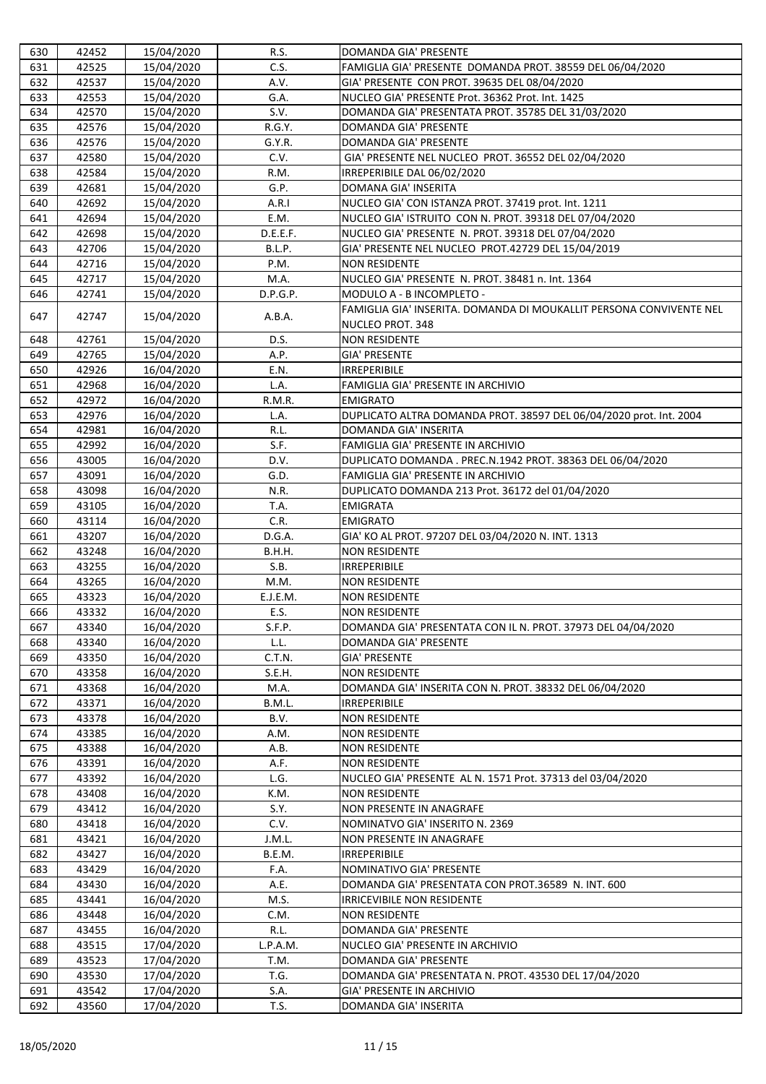| 630        | 42452          | 15/04/2020               | R.S.                | DOMANDA GIA' PRESENTE                                                              |
|------------|----------------|--------------------------|---------------------|------------------------------------------------------------------------------------|
| 631        | 42525          | 15/04/2020               | C.S.                | FAMIGLIA GIA' PRESENTE DOMANDA PROT. 38559 DEL 06/04/2020                          |
| 632        | 42537          | 15/04/2020               | A.V.                | GIA' PRESENTE CON PROT. 39635 DEL 08/04/2020                                       |
| 633        | 42553          | 15/04/2020               | G.A.                | NUCLEO GIA' PRESENTE Prot. 36362 Prot. Int. 1425                                   |
| 634        | 42570          | 15/04/2020               | S.V.                | DOMANDA GIA' PRESENTATA PROT. 35785 DEL 31/03/2020                                 |
| 635        | 42576          | 15/04/2020               | R.G.Y.              | <b>DOMANDA GIA' PRESENTE</b>                                                       |
| 636        | 42576          | 15/04/2020               | G.Y.R.              | DOMANDA GIA' PRESENTE                                                              |
| 637        | 42580          | 15/04/2020               | C.V.                | GIA' PRESENTE NEL NUCLEO PROT. 36552 DEL 02/04/2020                                |
| 638        | 42584          | 15/04/2020               | R.M.                | IRREPERIBILE DAL 06/02/2020                                                        |
| 639        | 42681          | 15/04/2020               | G.P.                | DOMANA GIA' INSERITA                                                               |
| 640        | 42692          | 15/04/2020               | A.R.I               | NUCLEO GIA' CON ISTANZA PROT. 37419 prot. Int. 1211                                |
| 641        | 42694          | 15/04/2020               | E.M.                | NUCLEO GIA' ISTRUITO CON N. PROT. 39318 DEL 07/04/2020                             |
| 642        | 42698          | 15/04/2020               | D.E.E.F.            | NUCLEO GIA' PRESENTE N. PROT. 39318 DEL 07/04/2020                                 |
| 643        | 42706          | 15/04/2020               | B.L.P.              | GIA' PRESENTE NEL NUCLEO PROT.42729 DEL 15/04/2019                                 |
| 644        | 42716          | 15/04/2020               | P.M.                | <b>NON RESIDENTE</b>                                                               |
| 645        | 42717          | 15/04/2020               | M.A.                | NUCLEO GIA' PRESENTE N. PROT. 38481 n. Int. 1364                                   |
| 646        | 42741          | 15/04/2020               | D.P.G.P.            | MODULO A - B INCOMPLETO -                                                          |
|            |                |                          |                     | FAMIGLIA GIA' INSERITA. DOMANDA DI MOUKALLIT PERSONA CONVIVENTE NEL                |
| 647        | 42747          | 15/04/2020               | A.B.A.              | <b>NUCLEO PROT. 348</b>                                                            |
| 648        | 42761          | 15/04/2020               | D.S.                | <b>NON RESIDENTE</b>                                                               |
| 649        | 42765          | 15/04/2020               | A.P.                | <b>GIA' PRESENTE</b>                                                               |
| 650        | 42926          | 16/04/2020               | E.N.                | <b>IRREPERIBILE</b>                                                                |
| 651        | 42968          | 16/04/2020               | L.A.                | FAMIGLIA GIA' PRESENTE IN ARCHIVIO                                                 |
| 652        | 42972          | 16/04/2020               | R.M.R.              | <b>EMIGRATO</b>                                                                    |
| 653        | 42976          | 16/04/2020               | L.A.                | DUPLICATO ALTRA DOMANDA PROT. 38597 DEL 06/04/2020 prot. Int. 2004                 |
| 654        | 42981          | 16/04/2020               | R.L.                | DOMANDA GIA' INSERITA                                                              |
| 655        | 42992          | 16/04/2020               | S.F.                | FAMIGLIA GIA' PRESENTE IN ARCHIVIO                                                 |
| 656        | 43005          | 16/04/2020               | D.V.                | DUPLICATO DOMANDA . PREC.N.1942 PROT. 38363 DEL 06/04/2020                         |
| 657        | 43091          | 16/04/2020               | G.D.                | FAMIGLIA GIA' PRESENTE IN ARCHIVIO                                                 |
| 658        | 43098          | 16/04/2020               | N.R.                | DUPLICATO DOMANDA 213 Prot. 36172 del 01/04/2020                                   |
| 659        | 43105          | 16/04/2020               | T.A.                | <b>EMIGRATA</b>                                                                    |
| 660        | 43114          | 16/04/2020               | C.R.                | <b>EMIGRATO</b>                                                                    |
| 661        | 43207          | 16/04/2020               | D.G.A.              | GIA' KO AL PROT. 97207 DEL 03/04/2020 N. INT. 1313                                 |
| 662        | 43248          | 16/04/2020               | B.H.H.              | <b>NON RESIDENTE</b>                                                               |
| 663        | 43255          | 16/04/2020               | S.B.                | <b>IRREPERIBILE</b>                                                                |
| 664        | 43265          | 16/04/2020               | M.M.                | <b>NON RESIDENTE</b>                                                               |
| 665        | 43323          | 16/04/2020               | E.J.E.M.            | <b>NON RESIDENTE</b>                                                               |
| 666        | 43332          | 16/04/2020               | E.S.                | <b>NON RESIDENTE</b>                                                               |
| 667        | 43340          | 16/04/2020               | S.F.P.              | DOMANDA GIA' PRESENTATA CON IL N. PROT. 37973 DEL 04/04/2020                       |
| 668        | 43340          | 16/04/2020               | L.L.                | DOMANDA GIA' PRESENTE                                                              |
| 669        | 43350          | 16/04/2020               | C.T.N.              | <b>GIA' PRESENTE</b>                                                               |
| 670        | 43358          | 16/04/2020               | S.E.H.              | <b>NON RESIDENTE</b>                                                               |
| 671        | 43368          | 16/04/2020               | M.A.                | DOMANDA GIA' INSERITA CON N. PROT. 38332 DEL 06/04/2020                            |
| 672        | 43371          | 16/04/2020               | B.M.L.              | <b>IRREPERIBILE</b>                                                                |
| 673        | 43378          | 16/04/2020               | B.V.                | <b>NON RESIDENTE</b>                                                               |
| 674        | 43385          | 16/04/2020               | A.M.                | <b>NON RESIDENTE</b>                                                               |
| 675        | 43388          | 16/04/2020               | A.B.                | <b>NON RESIDENTE</b>                                                               |
| 676        | 43391          | 16/04/2020               | A.F.                | <b>NON RESIDENTE</b>                                                               |
| 677        | 43392          | 16/04/2020               | L.G.                | NUCLEO GIA' PRESENTE AL N. 1571 Prot. 37313 del 03/04/2020                         |
| 678        | 43408          | 16/04/2020               | K.M.                | <b>NON RESIDENTE</b>                                                               |
| 679        | 43412          | 16/04/2020               | S.Y.                | <b>NON PRESENTE IN ANAGRAFE</b>                                                    |
| 680        | 43418          | 16/04/2020               | C.V.                | NOMINATVO GIA' INSERITO N. 2369                                                    |
| 681        | 43421          | 16/04/2020               | J.M.L.              | <b>NON PRESENTE IN ANAGRAFE</b>                                                    |
| 682        | 43427          | 16/04/2020               | B.E.M.              | <b>IRREPERIBILE</b>                                                                |
| 683        | 43429          | 16/04/2020               | F.A.                | NOMINATIVO GIA' PRESENTE                                                           |
| 684        | 43430          | 16/04/2020               | A.E.                | DOMANDA GIA' PRESENTATA CON PROT.36589 N. INT. 600                                 |
| 685        | 43441          | 16/04/2020               | M.S.                | <b>IRRICEVIBILE NON RESIDENTE</b>                                                  |
| 686        | 43448          | 16/04/2020               | C.M.                | <b>NON RESIDENTE</b><br><b>DOMANDA GIA' PRESENTE</b>                               |
| 687        | 43455          | 16/04/2020               | R.L.                |                                                                                    |
| 688        | 43515          | 17/04/2020               | L.P.A.M.            | NUCLEO GIA' PRESENTE IN ARCHIVIO                                                   |
| 689<br>690 | 43523          | 17/04/2020               | T.M.<br>T.G.        | DOMANDA GIA' PRESENTE                                                              |
| 691        | 43530<br>43542 | 17/04/2020               |                     | DOMANDA GIA' PRESENTATA N. PROT. 43530 DEL 17/04/2020<br>GIA' PRESENTE IN ARCHIVIO |
| 692        | 43560          | 17/04/2020<br>17/04/2020 | S.A.<br><b>T.S.</b> | <b>DOMANDA GIA' INSERITA</b>                                                       |
|            |                |                          |                     |                                                                                    |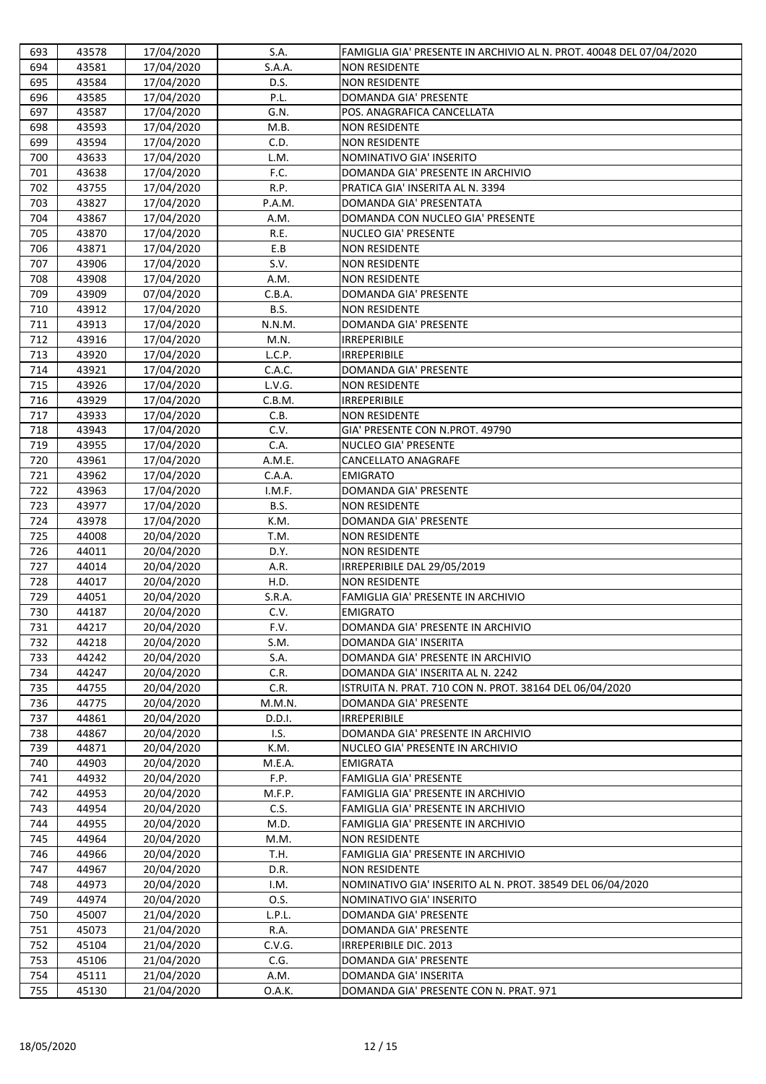| 693 | 43578 | 17/04/2020 | S.A.   | FAMIGLIA GIA' PRESENTE IN ARCHIVIO AL N. PROT. 40048 DEL 07/04/2020 |
|-----|-------|------------|--------|---------------------------------------------------------------------|
| 694 | 43581 | 17/04/2020 | S.A.A. | <b>NON RESIDENTE</b>                                                |
| 695 | 43584 | 17/04/2020 | D.S.   | <b>NON RESIDENTE</b>                                                |
| 696 | 43585 | 17/04/2020 | P.L.   | DOMANDA GIA' PRESENTE                                               |
| 697 | 43587 | 17/04/2020 | G.N.   | POS. ANAGRAFICA CANCELLATA                                          |
| 698 | 43593 | 17/04/2020 | M.B.   | <b>NON RESIDENTE</b>                                                |
| 699 | 43594 | 17/04/2020 | C.D.   | <b>NON RESIDENTE</b>                                                |
| 700 | 43633 | 17/04/2020 | L.M.   | NOMINATIVO GIA' INSERITO                                            |
| 701 | 43638 | 17/04/2020 | F.C.   | DOMANDA GIA' PRESENTE IN ARCHIVIO                                   |
| 702 | 43755 | 17/04/2020 | R.P.   | PRATICA GIA' INSERITA AL N. 3394                                    |
| 703 | 43827 | 17/04/2020 | P.A.M. | DOMANDA GIA' PRESENTATA                                             |
| 704 | 43867 | 17/04/2020 | A.M.   | DOMANDA CON NUCLEO GIA' PRESENTE                                    |
| 705 | 43870 | 17/04/2020 | R.E.   | <b>NUCLEO GIA' PRESENTE</b>                                         |
| 706 | 43871 | 17/04/2020 | E.B    | <b>NON RESIDENTE</b>                                                |
| 707 | 43906 | 17/04/2020 | S.V.   | <b>NON RESIDENTE</b>                                                |
| 708 | 43908 | 17/04/2020 | A.M.   | <b>NON RESIDENTE</b>                                                |
| 709 | 43909 | 07/04/2020 | C.B.A. | <b>DOMANDA GIA' PRESENTE</b>                                        |
| 710 | 43912 | 17/04/2020 | B.S.   | <b>NON RESIDENTE</b>                                                |
| 711 | 43913 | 17/04/2020 | N.N.M. | <b>DOMANDA GIA' PRESENTE</b>                                        |
| 712 | 43916 | 17/04/2020 | M.N.   | <b>IRREPERIBILE</b>                                                 |
| 713 | 43920 | 17/04/2020 | L.C.P. | <b>IRREPERIBILE</b>                                                 |
| 714 | 43921 | 17/04/2020 | C.A.C. | DOMANDA GIA' PRESENTE                                               |
| 715 | 43926 | 17/04/2020 | L.V.G. | <b>NON RESIDENTE</b>                                                |
| 716 | 43929 | 17/04/2020 | C.B.M. | <b>IRREPERIBILE</b>                                                 |
| 717 | 43933 | 17/04/2020 | C.B.   | <b>NON RESIDENTE</b>                                                |
| 718 | 43943 | 17/04/2020 | C.V.   | GIA' PRESENTE CON N.PROT. 49790                                     |
| 719 | 43955 | 17/04/2020 | C.A.   | <b>NUCLEO GIA' PRESENTE</b>                                         |
| 720 | 43961 | 17/04/2020 | A.M.E. | <b>CANCELLATO ANAGRAFE</b>                                          |
| 721 | 43962 | 17/04/2020 | C.A.A. | <b>EMIGRATO</b>                                                     |
| 722 | 43963 | 17/04/2020 | I.M.F. | <b>DOMANDA GIA' PRESENTE</b>                                        |
| 723 | 43977 | 17/04/2020 | B.S.   | <b>NON RESIDENTE</b>                                                |
| 724 | 43978 | 17/04/2020 | K.M.   | DOMANDA GIA' PRESENTE                                               |
| 725 | 44008 | 20/04/2020 | T.M.   | <b>NON RESIDENTE</b>                                                |
| 726 | 44011 | 20/04/2020 | D.Y.   | <b>NON RESIDENTE</b>                                                |
| 727 | 44014 | 20/04/2020 | A.R.   | IRREPERIBILE DAL 29/05/2019                                         |
| 728 | 44017 | 20/04/2020 | H.D.   | <b>NON RESIDENTE</b>                                                |
| 729 | 44051 | 20/04/2020 | S.R.A. | FAMIGLIA GIA' PRESENTE IN ARCHIVIO                                  |
| 730 | 44187 | 20/04/2020 | C.V.   | <b>EMIGRATO</b>                                                     |
| 731 | 44217 | 20/04/2020 | F.V.   | DOMANDA GIA' PRESENTE IN ARCHIVIO                                   |
| 732 | 44218 | 20/04/2020 | S.M.   | <b>DOMANDA GIA' INSERITA</b>                                        |
| 733 | 44242 | 20/04/2020 | S.A.   | DOMANDA GIA' PRESENTE IN ARCHIVIO                                   |
| 734 | 44247 | 20/04/2020 | C.R.   | DOMANDA GIA' INSERITA AL N. 2242                                    |
| 735 | 44755 | 20/04/2020 | C.R.   | ISTRUITA N. PRAT. 710 CON N. PROT. 38164 DEL 06/04/2020             |
| 736 | 44775 | 20/04/2020 | M.M.N. | DOMANDA GIA' PRESENTE                                               |
| 737 | 44861 | 20/04/2020 | D.D.I. | <b>IRREPERIBILE</b>                                                 |
| 738 | 44867 | 20/04/2020 | I.S.   | DOMANDA GIA' PRESENTE IN ARCHIVIO                                   |
| 739 | 44871 | 20/04/2020 | K.M.   | NUCLEO GIA' PRESENTE IN ARCHIVIO                                    |
| 740 | 44903 | 20/04/2020 | M.E.A. | <b>EMIGRATA</b>                                                     |
| 741 | 44932 | 20/04/2020 | F.P.   | <b>FAMIGLIA GIA' PRESENTE</b>                                       |
| 742 | 44953 | 20/04/2020 | M.F.P. | FAMIGLIA GIA' PRESENTE IN ARCHIVIO                                  |
| 743 | 44954 | 20/04/2020 | C.S.   | FAMIGLIA GIA' PRESENTE IN ARCHIVIO                                  |
| 744 | 44955 | 20/04/2020 | M.D.   | FAMIGLIA GIA' PRESENTE IN ARCHIVIO                                  |
| 745 | 44964 | 20/04/2020 | M.M.   | <b>NON RESIDENTE</b>                                                |
| 746 | 44966 | 20/04/2020 | T.H.   | FAMIGLIA GIA' PRESENTE IN ARCHIVIO                                  |
| 747 | 44967 | 20/04/2020 | D.R.   | <b>NON RESIDENTE</b>                                                |
| 748 | 44973 | 20/04/2020 | I.M.   | NOMINATIVO GIA' INSERITO AL N. PROT. 38549 DEL 06/04/2020           |
| 749 | 44974 | 20/04/2020 | 0.S.   | NOMINATIVO GIA' INSERITO                                            |
| 750 | 45007 | 21/04/2020 | L.P.L. | DOMANDA GIA' PRESENTE                                               |
| 751 | 45073 | 21/04/2020 | R.A.   | <b>DOMANDA GIA' PRESENTE</b>                                        |
| 752 | 45104 | 21/04/2020 | C.V.G. | IRREPERIBILE DIC. 2013                                              |
| 753 | 45106 | 21/04/2020 | C.G.   | <b>DOMANDA GIA' PRESENTE</b>                                        |
| 754 | 45111 | 21/04/2020 | A.M.   | <b>DOMANDA GIA' INSERITA</b>                                        |
| 755 | 45130 | 21/04/2020 | 0.A.K. | DOMANDA GIA' PRESENTE CON N. PRAT. 971                              |
|     |       |            |        |                                                                     |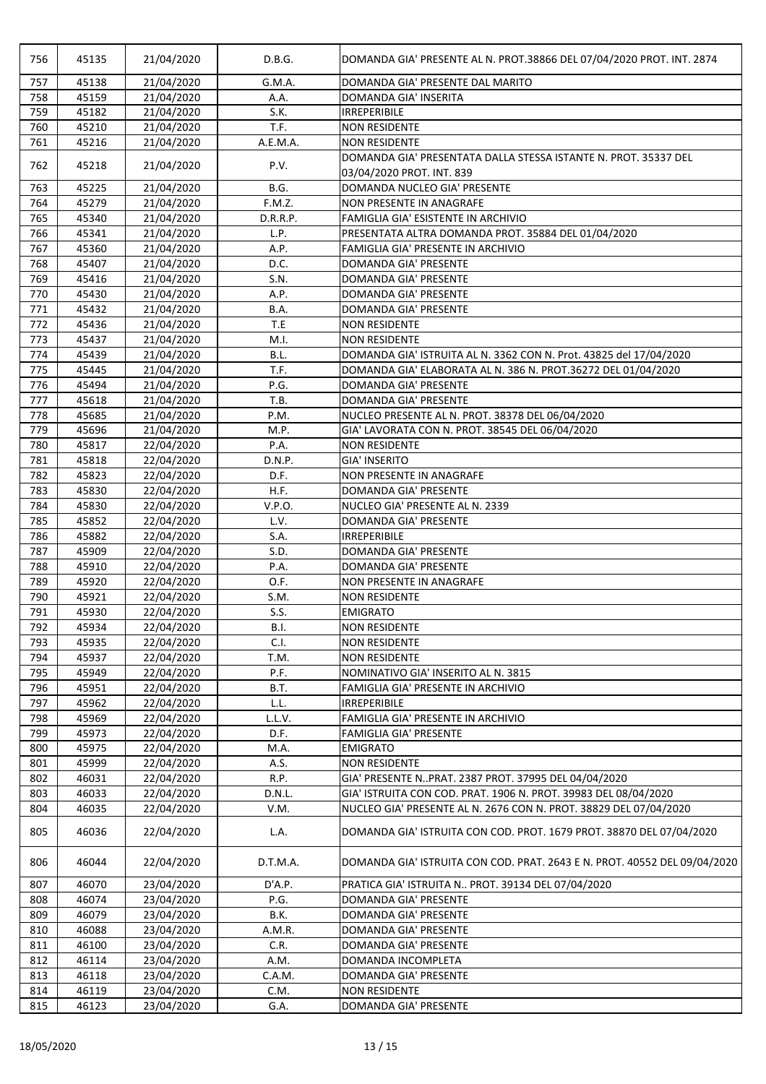| 756 | 45135 | 21/04/2020 | D.B.G.      | DOMANDA GIA' PRESENTE AL N. PROT.38866 DEL 07/04/2020 PROT. INT. 2874                        |
|-----|-------|------------|-------------|----------------------------------------------------------------------------------------------|
| 757 | 45138 | 21/04/2020 | G.M.A.      | DOMANDA GIA' PRESENTE DAL MARITO                                                             |
| 758 | 45159 | 21/04/2020 | A.A.        | <b>DOMANDA GIA' INSERITA</b>                                                                 |
| 759 | 45182 | 21/04/2020 | S.K.        | <b>IRREPERIBILE</b>                                                                          |
| 760 | 45210 | 21/04/2020 | T.F.        | <b>NON RESIDENTE</b>                                                                         |
| 761 | 45216 | 21/04/2020 | A.E.M.A.    | <b>NON RESIDENTE</b>                                                                         |
| 762 | 45218 | 21/04/2020 | P.V.        | DOMANDA GIA' PRESENTATA DALLA STESSA ISTANTE N. PROT. 35337 DEL<br>03/04/2020 PROT. INT. 839 |
| 763 | 45225 | 21/04/2020 | B.G.        | DOMANDA NUCLEO GIA' PRESENTE                                                                 |
| 764 | 45279 | 21/04/2020 | F.M.Z.      | <b>NON PRESENTE IN ANAGRAFE</b>                                                              |
| 765 | 45340 | 21/04/2020 | D.R.R.P.    | FAMIGLIA GIA' ESISTENTE IN ARCHIVIO                                                          |
| 766 | 45341 | 21/04/2020 | L.P.        | PRESENTATA ALTRA DOMANDA PROT. 35884 DEL 01/04/2020                                          |
| 767 | 45360 | 21/04/2020 | A.P.        | FAMIGLIA GIA' PRESENTE IN ARCHIVIO                                                           |
| 768 | 45407 | 21/04/2020 | D.C.        | DOMANDA GIA' PRESENTE                                                                        |
| 769 | 45416 | 21/04/2020 | S.N.        | <b>DOMANDA GIA' PRESENTE</b>                                                                 |
| 770 | 45430 | 21/04/2020 | A.P.        | DOMANDA GIA' PRESENTE                                                                        |
| 771 | 45432 | 21/04/2020 | B.A.        | <b>DOMANDA GIA' PRESENTE</b>                                                                 |
| 772 | 45436 | 21/04/2020 | T.E         | <b>NON RESIDENTE</b>                                                                         |
| 773 | 45437 | 21/04/2020 | M.I.        | <b>NON RESIDENTE</b>                                                                         |
| 774 | 45439 | 21/04/2020 | B.L.        | DOMANDA GIA' ISTRUITA AL N. 3362 CON N. Prot. 43825 del 17/04/2020                           |
| 775 | 45445 | 21/04/2020 | T.F.        | DOMANDA GIA' ELABORATA AL N. 386 N. PROT.36272 DEL 01/04/2020                                |
| 776 | 45494 | 21/04/2020 | P.G.        | <b>DOMANDA GIA' PRESENTE</b>                                                                 |
| 777 | 45618 | 21/04/2020 | T.B.        | <b>DOMANDA GIA' PRESENTE</b>                                                                 |
| 778 | 45685 | 21/04/2020 | P.M.        | NUCLEO PRESENTE AL N. PROT. 38378 DEL 06/04/2020                                             |
| 779 | 45696 | 21/04/2020 | M.P.        | GIA' LAVORATA CON N. PROT. 38545 DEL 06/04/2020                                              |
| 780 | 45817 | 22/04/2020 | P.A.        | <b>NON RESIDENTE</b>                                                                         |
| 781 | 45818 | 22/04/2020 | D.N.P.      | <b>GIA' INSERITO</b>                                                                         |
| 782 | 45823 | 22/04/2020 | D.F.        | <b>NON PRESENTE IN ANAGRAFE</b>                                                              |
| 783 | 45830 | 22/04/2020 | H.F.        | DOMANDA GIA' PRESENTE                                                                        |
| 784 | 45830 | 22/04/2020 | V.P.O.      | NUCLEO GIA' PRESENTE AL N. 2339                                                              |
| 785 | 45852 | 22/04/2020 | L.V.        | DOMANDA GIA' PRESENTE                                                                        |
| 786 | 45882 | 22/04/2020 | S.A.        | <b>IRREPERIBILE</b>                                                                          |
| 787 | 45909 | 22/04/2020 | S.D.        | <b>DOMANDA GIA' PRESENTE</b>                                                                 |
| 788 | 45910 | 22/04/2020 | P.A.        | <b>DOMANDA GIA' PRESENTE</b>                                                                 |
| 789 | 45920 | 22/04/2020 | O.F.        | <b>NON PRESENTE IN ANAGRAFE</b>                                                              |
| 790 | 45921 | 22/04/2020 | S.M.        | <b>NON RESIDENTE</b>                                                                         |
| 791 | 45930 | 22/04/2020 | S.S.        | <b>EMIGRATO</b>                                                                              |
| 792 | 45934 | 22/04/2020 | <b>B.I.</b> | <b>NON RESIDENTE</b>                                                                         |
| 793 | 45935 | 22/04/2020 | C.I.        | <b>NON RESIDENTE</b>                                                                         |
| 794 | 45937 | 22/04/2020 | T.M.        | <b>NON RESIDENTE</b>                                                                         |
| 795 | 45949 | 22/04/2020 | P.F.        | NOMINATIVO GIA' INSERITO AL N. 3815                                                          |
| 796 | 45951 | 22/04/2020 | B.T.        | FAMIGLIA GIA' PRESENTE IN ARCHIVIO                                                           |
| 797 | 45962 | 22/04/2020 | L.L.        | <b>IRREPERIBILE</b>                                                                          |
| 798 | 45969 | 22/04/2020 | L.L.V.      | FAMIGLIA GIA' PRESENTE IN ARCHIVIO                                                           |
| 799 | 45973 | 22/04/2020 | D.F.        | <b>FAMIGLIA GIA' PRESENTE</b>                                                                |
| 800 | 45975 | 22/04/2020 | M.A.        | <b>EMIGRATO</b>                                                                              |
| 801 | 45999 | 22/04/2020 | A.S.        | <b>NON RESIDENTE</b>                                                                         |
| 802 | 46031 | 22/04/2020 | R.P.        | GIA' PRESENTE NPRAT. 2387 PROT. 37995 DEL 04/04/2020                                         |
| 803 | 46033 | 22/04/2020 | D.N.L.      | GIA' ISTRUITA CON COD. PRAT. 1906 N. PROT. 39983 DEL 08/04/2020                              |
| 804 | 46035 | 22/04/2020 | V.M.        | NUCLEO GIA' PRESENTE AL N. 2676 CON N. PROT. 38829 DEL 07/04/2020                            |
| 805 | 46036 | 22/04/2020 | L.A.        | DOMANDA GIA' ISTRUITA CON COD. PROT. 1679 PROT. 38870 DEL 07/04/2020                         |
| 806 | 46044 | 22/04/2020 | D.T.M.A.    | DOMANDA GIA' ISTRUITA CON COD. PRAT. 2643 E N. PROT. 40552 DEL 09/04/2020                    |
| 807 | 46070 | 23/04/2020 | D'A.P.      | PRATICA GIA' ISTRUITA N PROT. 39134 DEL 07/04/2020                                           |
| 808 | 46074 | 23/04/2020 | P.G.        | <b>DOMANDA GIA' PRESENTE</b>                                                                 |
| 809 | 46079 | 23/04/2020 | B.K.        | <b>DOMANDA GIA' PRESENTE</b>                                                                 |
| 810 | 46088 | 23/04/2020 | A.M.R.      | <b>DOMANDA GIA' PRESENTE</b>                                                                 |
| 811 | 46100 | 23/04/2020 | C.R.        | DOMANDA GIA' PRESENTE                                                                        |
| 812 | 46114 | 23/04/2020 | A.M.        | <b>DOMANDA INCOMPLETA</b>                                                                    |
| 813 | 46118 | 23/04/2020 | C.A.M.      | DOMANDA GIA' PRESENTE                                                                        |
| 814 | 46119 | 23/04/2020 | C.M.        | <b>NON RESIDENTE</b>                                                                         |
| 815 | 46123 | 23/04/2020 | G.A.        | DOMANDA GIA' PRESENTE                                                                        |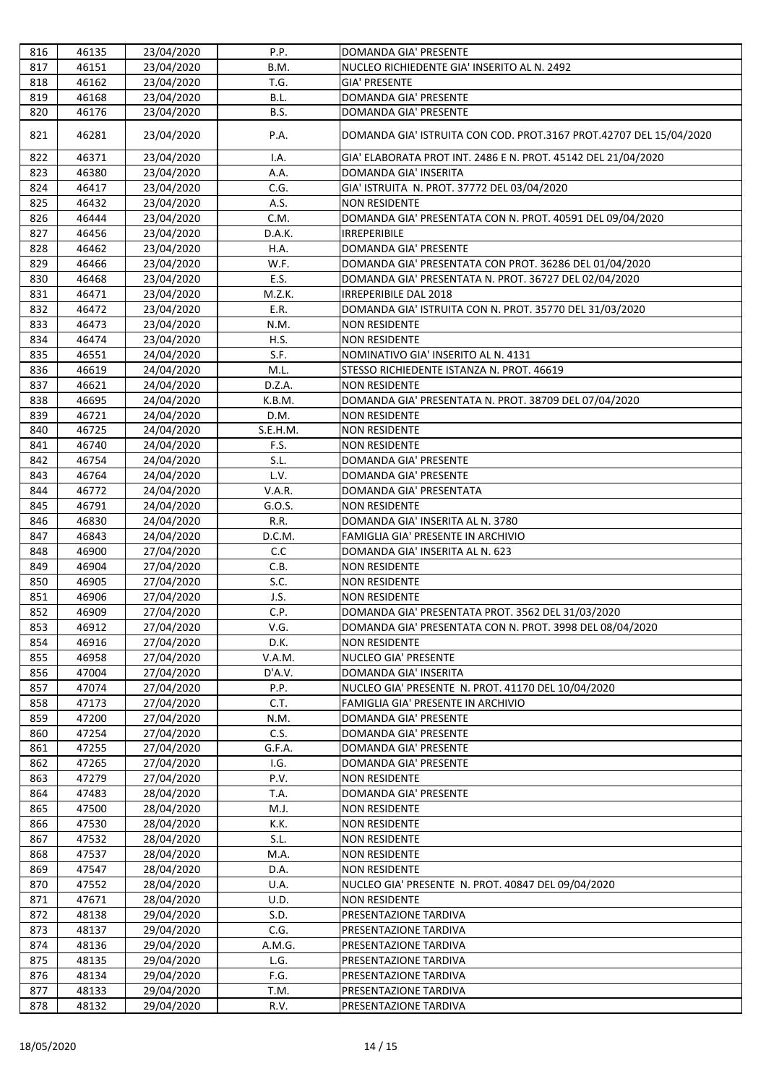| 816        | 46135          | 23/04/2020               | P.P.         | <b>DOMANDA GIA' PRESENTE</b>                                               |
|------------|----------------|--------------------------|--------------|----------------------------------------------------------------------------|
| 817        | 46151          | 23/04/2020               | B.M.         | NUCLEO RICHIEDENTE GIA' INSERITO AL N. 2492                                |
| 818        | 46162          | 23/04/2020               | T.G.         | <b>GIA' PRESENTE</b>                                                       |
| 819        | 46168          | 23/04/2020               | B.L.         | <b>DOMANDA GIA' PRESENTE</b>                                               |
| 820        | 46176          | 23/04/2020               | B.S.         | <b>DOMANDA GIA' PRESENTE</b>                                               |
| 821        | 46281          | 23/04/2020               | P.A.         | DOMANDA GIA' ISTRUITA CON COD. PROT.3167 PROT.42707 DEL 15/04/2020         |
| 822        | 46371          | 23/04/2020               | I.A.         | GIA' ELABORATA PROT INT. 2486 E N. PROT. 45142 DEL 21/04/2020              |
| 823        | 46380          | 23/04/2020               | A.A.         | <b>DOMANDA GIA' INSERITA</b>                                               |
| 824        | 46417          | 23/04/2020               | C.G.         | GIA' ISTRUITA N. PROT. 37772 DEL 03/04/2020                                |
| 825        | 46432          | 23/04/2020               | A.S.         | <b>NON RESIDENTE</b>                                                       |
| 826        | 46444          | 23/04/2020               | C.M.         | DOMANDA GIA' PRESENTATA CON N. PROT. 40591 DEL 09/04/2020                  |
| 827        | 46456          | 23/04/2020               | D.A.K.       | <b>IRREPERIBILE</b>                                                        |
| 828        | 46462          | 23/04/2020               | H.A.         | <b>DOMANDA GIA' PRESENTE</b>                                               |
| 829        | 46466          | 23/04/2020               | W.F.         | DOMANDA GIA' PRESENTATA CON PROT. 36286 DEL 01/04/2020                     |
| 830        | 46468          | 23/04/2020               | E.S.         | DOMANDA GIA' PRESENTATA N. PROT. 36727 DEL 02/04/2020                      |
| 831        | 46471          | 23/04/2020               | M.Z.K.       | <b>IRREPERIBILE DAL 2018</b>                                               |
| 832        | 46472          | 23/04/2020               | E.R.         | DOMANDA GIA' ISTRUITA CON N. PROT. 35770 DEL 31/03/2020                    |
| 833        | 46473          | 23/04/2020               | N.M.         | <b>NON RESIDENTE</b>                                                       |
| 834        | 46474          | 23/04/2020               | H.S.         | <b>NON RESIDENTE</b>                                                       |
| 835        | 46551          | 24/04/2020               | S.F.         | NOMINATIVO GIA' INSERITO AL N. 4131                                        |
| 836        | 46619          | 24/04/2020               | M.L.         | STESSO RICHIEDENTE ISTANZA N. PROT. 46619                                  |
| 837        | 46621          | 24/04/2020               | D.Z.A.       | <b>NON RESIDENTE</b>                                                       |
| 838        | 46695          | 24/04/2020               | K.B.M.       | DOMANDA GIA' PRESENTATA N. PROT. 38709 DEL 07/04/2020                      |
| 839        | 46721          | 24/04/2020               | D.M.         | <b>NON RESIDENTE</b>                                                       |
| 840        | 46725          | 24/04/2020               | S.E.H.M.     | <b>NON RESIDENTE</b>                                                       |
| 841        | 46740          | 24/04/2020               | F.S.         | <b>NON RESIDENTE</b>                                                       |
| 842        | 46754          | 24/04/2020               | S.L.         | <b>DOMANDA GIA' PRESENTE</b>                                               |
| 843        | 46764          | 24/04/2020               | L.V.         | <b>DOMANDA GIA' PRESENTE</b>                                               |
| 844        | 46772          | 24/04/2020               | V.A.R.       | DOMANDA GIA' PRESENTATA                                                    |
| 845        | 46791          | 24/04/2020               | G.O.S.       | <b>NON RESIDENTE</b>                                                       |
| 846        | 46830          | 24/04/2020               | R.R.         | DOMANDA GIA' INSERITA AL N. 3780                                           |
| 847        | 46843          | 24/04/2020               | D.C.M.       | FAMIGLIA GIA' PRESENTE IN ARCHIVIO                                         |
| 848        | 46900          | 27/04/2020               | C.C          | DOMANDA GIA' INSERITA AL N. 623                                            |
| 849        | 46904          | 27/04/2020               | C.B.         | <b>NON RESIDENTE</b>                                                       |
| 850        | 46905          | 27/04/2020               | S.C.         | <b>NON RESIDENTE</b>                                                       |
| 851        | 46906          | 27/04/2020               | J.S.         | <b>NON RESIDENTE</b>                                                       |
| 852        | 46909          | 27/04/2020               | C.P.         | DOMANDA GIA' PRESENTATA PROT. 3562 DEL 31/03/2020                          |
| 853        | 46912          | 27/04/2020               | V.G.         | DOMANDA GIA' PRESENTATA CON N. PROT. 3998 DEL 08/04/2020                   |
| 854        | 46916          | 27/04/2020               | D.K.         | <b>NON RESIDENTE</b>                                                       |
| 855        | 46958          | 27/04/2020               | V.A.M.       | <b>NUCLEO GIA' PRESENTE</b>                                                |
| 856        | 47004          | 27/04/2020               | D'A.V.       | <b>DOMANDA GIA' INSERITA</b>                                               |
| 857        | 47074          | 27/04/2020               | P.P.         | NUCLEO GIA' PRESENTE N. PROT. 41170 DEL 10/04/2020                         |
| 858        | 47173          | 27/04/2020               | C.T.         | FAMIGLIA GIA' PRESENTE IN ARCHIVIO                                         |
| 859        | 47200          | 27/04/2020               | N.M.         | DOMANDA GIA' PRESENTE                                                      |
| 860        | 47254          | 27/04/2020               | C.S.         | <b>DOMANDA GIA' PRESENTE</b>                                               |
| 861        | 47255          | 27/04/2020               | G.F.A.       | <b>DOMANDA GIA' PRESENTE</b>                                               |
| 862        | 47265          | 27/04/2020               | I.G.         | DOMANDA GIA' PRESENTE                                                      |
| 863        | 47279          | 27/04/2020               | P.V.         | <b>NON RESIDENTE</b>                                                       |
| 864        | 47483          | 28/04/2020               | T.A.         | DOMANDA GIA' PRESENTE                                                      |
| 865        | 47500          | 28/04/2020               | M.J.         | <b>NON RESIDENTE</b>                                                       |
| 866        | 47530          | 28/04/2020               | K.K.         | <b>NON RESIDENTE</b>                                                       |
| 867        | 47532          | 28/04/2020               | S.L.         | <b>NON RESIDENTE</b>                                                       |
| 868        | 47537          | 28/04/2020               | M.A.         | <b>NON RESIDENTE</b>                                                       |
| 869        | 47547          | 28/04/2020               | D.A.         | <b>NON RESIDENTE</b>                                                       |
| 870        | 47552<br>47671 | 28/04/2020               | U.A.         | NUCLEO GIA' PRESENTE N. PROT. 40847 DEL 09/04/2020<br><b>NON RESIDENTE</b> |
| 871        | 48138          | 28/04/2020               | U.D.<br>S.D. |                                                                            |
| 872<br>873 | 48137          | 29/04/2020               | C.G.         | PRESENTAZIONE TARDIVA<br>PRESENTAZIONE TARDIVA                             |
| 874        | 48136          | 29/04/2020<br>29/04/2020 | A.M.G.       | PRESENTAZIONE TARDIVA                                                      |
| 875        | 48135          | 29/04/2020               | L.G.         | PRESENTAZIONE TARDIVA                                                      |
| 876        | 48134          | 29/04/2020               | F.G.         | PRESENTAZIONE TARDIVA                                                      |
| 877        | 48133          |                          | T.M.         | PRESENTAZIONE TARDIVA                                                      |
| 878        | 48132          | 29/04/2020<br>29/04/2020 | R.V.         | PRESENTAZIONE TARDIVA                                                      |
|            |                |                          |              |                                                                            |